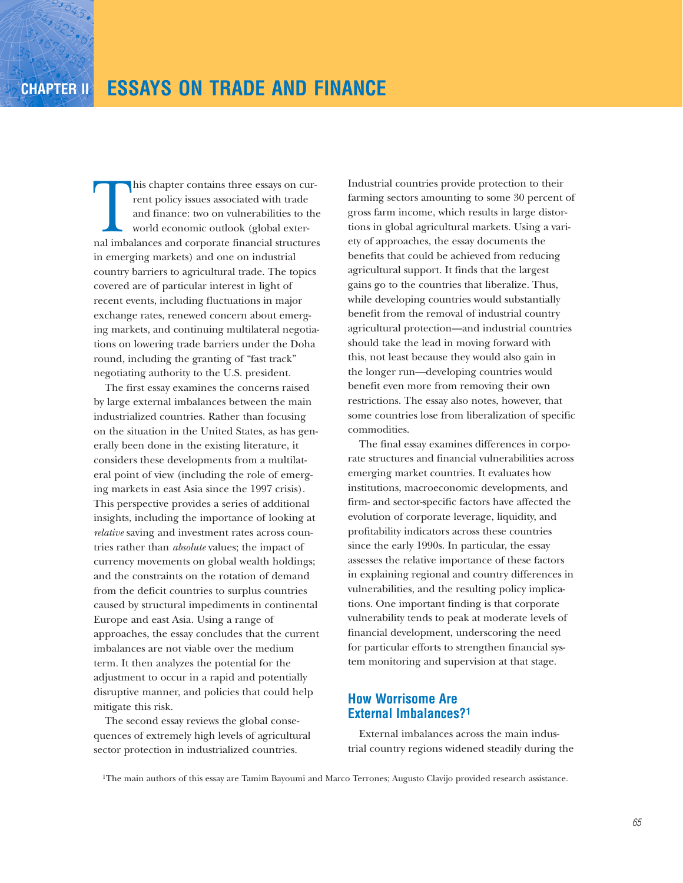his chapter contains three essays on current policy issues associated with trade<br>and finance: two on vulnerabilities to the<br>world economic outlook (global exter-<br>nal imbalances and corporate financial structure rent policy issues associated with trade and finance: two on vulnerabilities to the world economic outlook (global external imbalances and corporate financial structures in emerging markets) and one on industrial country barriers to agricultural trade. The topics covered are of particular interest in light of recent events, including fluctuations in major exchange rates, renewed concern about emerging markets, and continuing multilateral negotiations on lowering trade barriers under the Doha round, including the granting of "fast track" negotiating authority to the U.S. president.

The first essay examines the concerns raised by large external imbalances between the main industrialized countries. Rather than focusing on the situation in the United States, as has generally been done in the existing literature, it considers these developments from a multilateral point of view (including the role of emerging markets in east Asia since the 1997 crisis). This perspective provides a series of additional insights, including the importance of looking at *relative* saving and investment rates across countries rather than *absolute* values; the impact of currency movements on global wealth holdings; and the constraints on the rotation of demand from the deficit countries to surplus countries caused by structural impediments in continental Europe and east Asia. Using a range of approaches, the essay concludes that the current imbalances are not viable over the medium term. It then analyzes the potential for the adjustment to occur in a rapid and potentially disruptive manner, and policies that could help mitigate this risk.

The second essay reviews the global consequences of extremely high levels of agricultural sector protection in industrialized countries.

Industrial countries provide protection to their farming sectors amounting to some 30 percent of gross farm income, which results in large distortions in global agricultural markets. Using a variety of approaches, the essay documents the benefits that could be achieved from reducing agricultural support. It finds that the largest gains go to the countries that liberalize. Thus, while developing countries would substantially benefit from the removal of industrial country agricultural protection—and industrial countries should take the lead in moving forward with this, not least because they would also gain in the longer run—developing countries would benefit even more from removing their own restrictions. The essay also notes, however, that some countries lose from liberalization of specific commodities.

The final essay examines differences in corporate structures and financial vulnerabilities across emerging market countries. It evaluates how institutions, macroeconomic developments, and firm- and sector-specific factors have affected the evolution of corporate leverage, liquidity, and profitability indicators across these countries since the early 1990s. In particular, the essay assesses the relative importance of these factors in explaining regional and country differences in vulnerabilities, and the resulting policy implications. One important finding is that corporate vulnerability tends to peak at moderate levels of financial development, underscoring the need for particular efforts to strengthen financial system monitoring and supervision at that stage.

# **How Worrisome Are External Imbalances?1**

External imbalances across the main industrial country regions widened steadily during the

1The main authors of this essay are Tamim Bayoumi and Marco Terrones; Augusto Clavijo provided research assistance.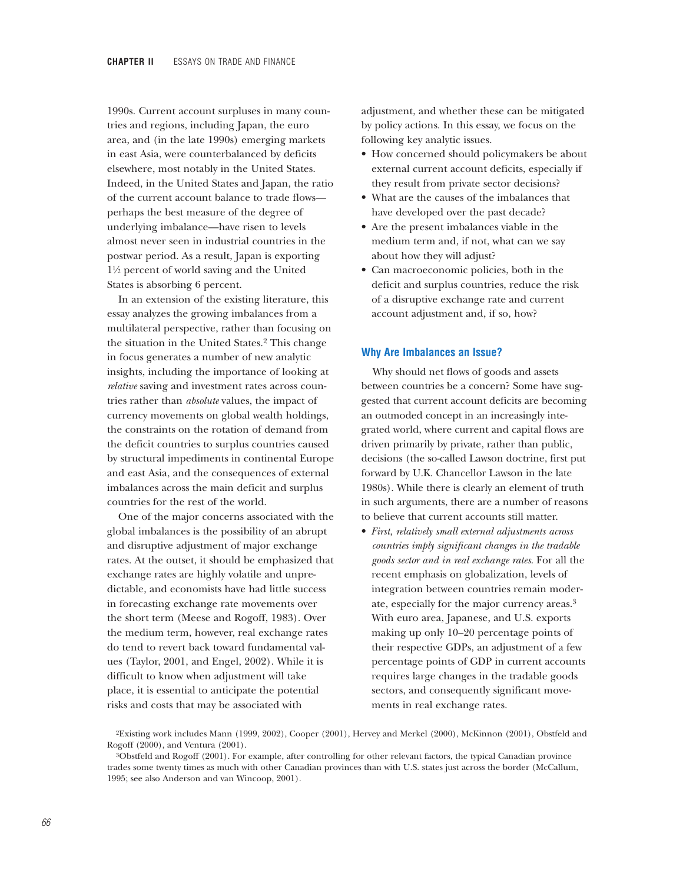1990s. Current account surpluses in many countries and regions, including Japan, the euro area, and (in the late 1990s) emerging markets in east Asia, were counterbalanced by deficits elsewhere, most notably in the United States. Indeed, in the United States and Japan, the ratio of the current account balance to trade flows perhaps the best measure of the degree of underlying imbalance—have risen to levels almost never seen in industrial countries in the postwar period. As a result, Japan is exporting 1!/2 percent of world saving and the United States is absorbing 6 percent.

In an extension of the existing literature, this essay analyzes the growing imbalances from a multilateral perspective, rather than focusing on the situation in the United States.2 This change in focus generates a number of new analytic insights, including the importance of looking at *relative* saving and investment rates across countries rather than *absolute* values, the impact of currency movements on global wealth holdings, the constraints on the rotation of demand from the deficit countries to surplus countries caused by structural impediments in continental Europe and east Asia, and the consequences of external imbalances across the main deficit and surplus countries for the rest of the world.

One of the major concerns associated with the global imbalances is the possibility of an abrupt and disruptive adjustment of major exchange rates. At the outset, it should be emphasized that exchange rates are highly volatile and unpredictable, and economists have had little success in forecasting exchange rate movements over the short term (Meese and Rogoff, 1983). Over the medium term, however, real exchange rates do tend to revert back toward fundamental values (Taylor, 2001, and Engel, 2002). While it is difficult to know when adjustment will take place, it is essential to anticipate the potential risks and costs that may be associated with

adjustment, and whether these can be mitigated by policy actions. In this essay, we focus on the following key analytic issues.

- How concerned should policymakers be about external current account deficits, especially if they result from private sector decisions?
- What are the causes of the imbalances that have developed over the past decade?
- Are the present imbalances viable in the medium term and, if not, what can we say about how they will adjust?
- Can macroeconomic policies, both in the deficit and surplus countries, reduce the risk of a disruptive exchange rate and current account adjustment and, if so, how?

#### **Why Are Imbalances an Issue?**

Why should net flows of goods and assets between countries be a concern? Some have suggested that current account deficits are becoming an outmoded concept in an increasingly integrated world, where current and capital flows are driven primarily by private, rather than public, decisions (the so-called Lawson doctrine, first put forward by U.K. Chancellor Lawson in the late 1980s). While there is clearly an element of truth in such arguments, there are a number of reasons to believe that current accounts still matter.

• *First, relatively small external adjustments across countries imply significant changes in the tradable goods sector and in real exchange rates*. For all the recent emphasis on globalization, levels of integration between countries remain moderate, especially for the major currency areas.3 With euro area, Japanese, and U.S. exports making up only 10–20 percentage points of their respective GDPs, an adjustment of a few percentage points of GDP in current accounts requires large changes in the tradable goods sectors, and consequently significant movements in real exchange rates.

<sup>2</sup>Existing work includes Mann (1999, 2002), Cooper (2001), Hervey and Merkel (2000), McKinnon (2001), Obstfeld and Rogoff (2000), and Ventura (2001).

<sup>3</sup>Obstfeld and Rogoff (2001). For example, after controlling for other relevant factors, the typical Canadian province trades some twenty times as much with other Canadian provinces than with U.S. states just across the border (McCallum, 1995; see also Anderson and van Wincoop, 2001).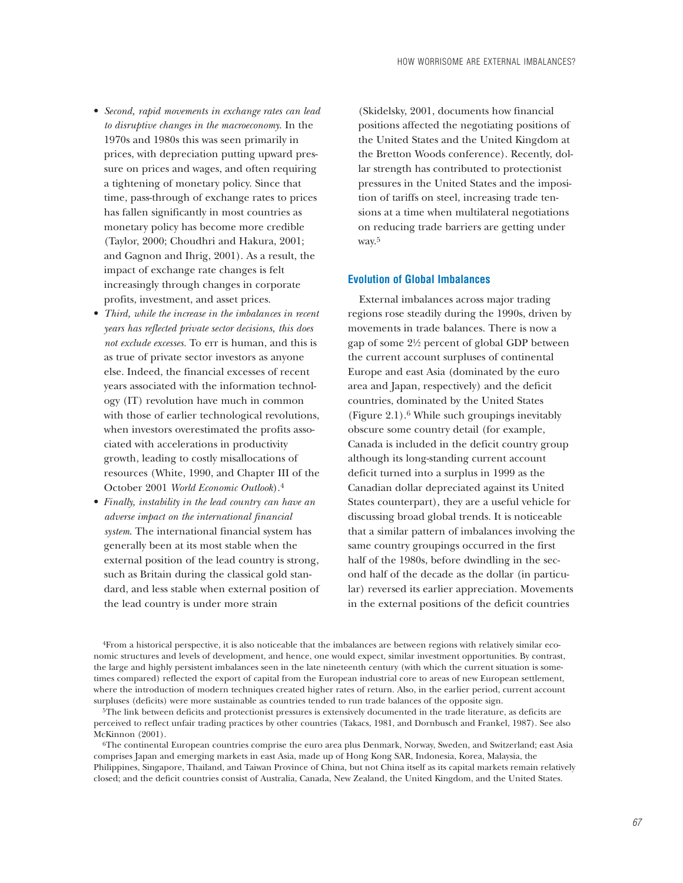- *Second, rapid movements in exchange rates can lead to disruptive changes in the macroeconomy*. In the 1970s and 1980s this was seen primarily in prices, with depreciation putting upward pressure on prices and wages, and often requiring a tightening of monetary policy. Since that time, pass-through of exchange rates to prices has fallen significantly in most countries as monetary policy has become more credible (Taylor, 2000; Choudhri and Hakura, 2001; and Gagnon and Ihrig, 2001). As a result, the impact of exchange rate changes is felt increasingly through changes in corporate profits, investment, and asset prices.
- *Third, while the increase in the imbalances in recent years has reflected private sector decisions, this does not exclude excesses.* To err is human, and this is as true of private sector investors as anyone else. Indeed, the financial excesses of recent years associated with the information technology (IT) revolution have much in common with those of earlier technological revolutions, when investors overestimated the profits associated with accelerations in productivity growth, leading to costly misallocations of resources (White, 1990, and Chapter III of the October 2001 *World Economic Outlook*).4
- *Finally, instability in the lead country can have an adverse impact on the international financial system*. The international financial system has generally been at its most stable when the external position of the lead country is strong, such as Britain during the classical gold standard, and less stable when external position of the lead country is under more strain

(Skidelsky, 2001, documents how financial positions affected the negotiating positions of the United States and the United Kingdom at the Bretton Woods conference). Recently, dollar strength has contributed to protectionist pressures in the United States and the imposition of tariffs on steel, increasing trade tensions at a time when multilateral negotiations on reducing trade barriers are getting under way.5

### **Evolution of Global Imbalances**

External imbalances across major trading regions rose steadily during the 1990s, driven by movements in trade balances. There is now a gap of some 2!/2 percent of global GDP between the current account surpluses of continental Europe and east Asia (dominated by the euro area and Japan, respectively) and the deficit countries, dominated by the United States (Figure 2.1).6 While such groupings inevitably obscure some country detail (for example, Canada is included in the deficit country group although its long-standing current account deficit turned into a surplus in 1999 as the Canadian dollar depreciated against its United States counterpart), they are a useful vehicle for discussing broad global trends. It is noticeable that a similar pattern of imbalances involving the same country groupings occurred in the first half of the 1980s, before dwindling in the second half of the decade as the dollar (in particular) reversed its earlier appreciation. Movements in the external positions of the deficit countries

4From a historical perspective, it is also noticeable that the imbalances are between regions with relatively similar economic structures and levels of development, and hence, one would expect, similar investment opportunities. By contrast, the large and highly persistent imbalances seen in the late nineteenth century (with which the current situation is sometimes compared) reflected the export of capital from the European industrial core to areas of new European settlement, where the introduction of modern techniques created higher rates of return. Also, in the earlier period, current account surpluses (deficits) were more sustainable as countries tended to run trade balances of the opposite sign.

5The link between deficits and protectionist pressures is extensively documented in the trade literature, as deficits are perceived to reflect unfair trading practices by other countries (Takacs, 1981, and Dornbusch and Frankel, 1987). See also McKinnon (2001).

6The continental European countries comprise the euro area plus Denmark, Norway, Sweden, and Switzerland; east Asia comprises Japan and emerging markets in east Asia, made up of Hong Kong SAR, Indonesia, Korea, Malaysia, the Philippines, Singapore, Thailand, and Taiwan Province of China, but not China itself as its capital markets remain relatively closed; and the deficit countries consist of Australia, Canada, New Zealand, the United Kingdom, and the United States.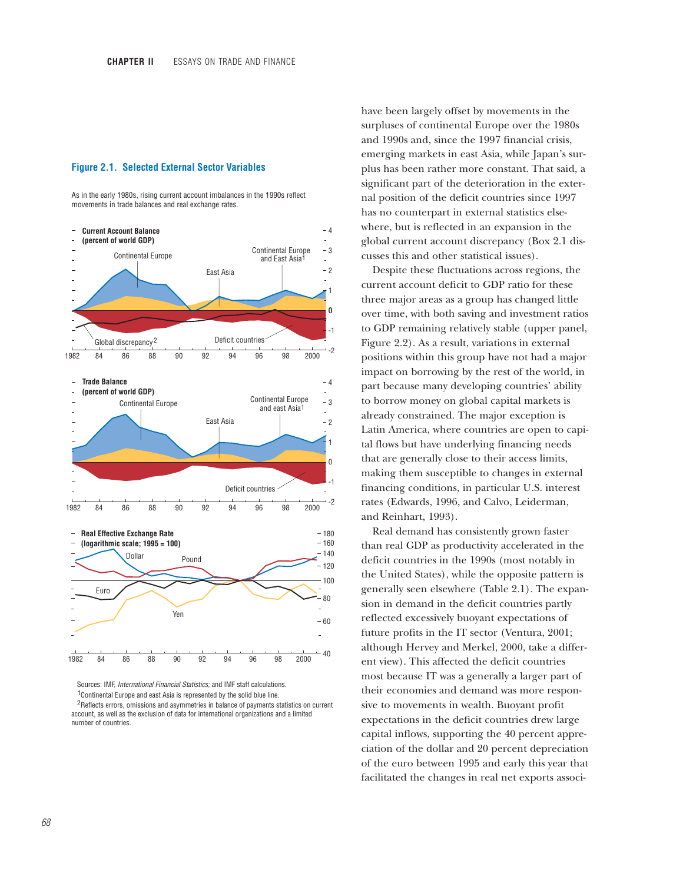#### **Figure 2.1. Selected External Sector Variables**

As in the early 1980s, rising current account imbalances in the 1990s reflect movements in trade balances and real exchange rates.



Sources: IMF, *International Financial Statistics;* and IMF staff calculations.

 $1$ Continental Europe and east Asia is represented by the solid blue line.

<sup>2</sup> Reflects errors, omissions and asymmetries in balance of payments statistics on current account, as well as the exclusion of data for international organizations and a limited number of countries.

have been largely offset by movements in the surpluses of continental Europe over the 1980s and 1990s and, since the 1997 financial crisis, emerging markets in east Asia, while Japan's surplus has been rather more constant. That said, a significant part of the deterioration in the external position of the deficit countries since 1997 has no counterpart in external statistics elsewhere, but is reflected in an expansion in the global current account discrepancy (Box 2.1 discusses this and other statistical issues).

Despite these fluctuations across regions, the current account deficit to GDP ratio for these three major areas as a group has changed little over time, with both saving and investment ratios to GDP remaining relatively stable (upper panel, Figure 2.2). As a result, variations in external positions within this group have not had a major impact on borrowing by the rest of the world, in part because many developing countries' ability to borrow money on global capital markets is already constrained. The major exception is Latin America, where countries are open to capital flows but have underlying financing needs that are generally close to their access limits, making them susceptible to changes in external financing conditions, in particular U.S. interest rates (Edwards, 1996, and Calvo, Leiderman, and Reinhart, 1993).

Real demand has consistently grown faster than real GDP as productivity accelerated in the deficit countries in the 1990s (most notably in the United States), while the opposite pattern is generally seen elsewhere (Table 2.1). The expansion in demand in the deficit countries partly reflected excessively buoyant expectations of future profits in the IT sector (Ventura, 2001; although Hervey and Merkel, 2000, take a different view). This affected the deficit countries most because IT was a generally a larger part of their economies and demand was more responsive to movements in wealth. Buoyant profit expectations in the deficit countries drew large capital inflows, supporting the 40 percent appreciation of the dollar and 20 percent depreciation of the euro between 1995 and early this year that facilitated the changes in real net exports associ-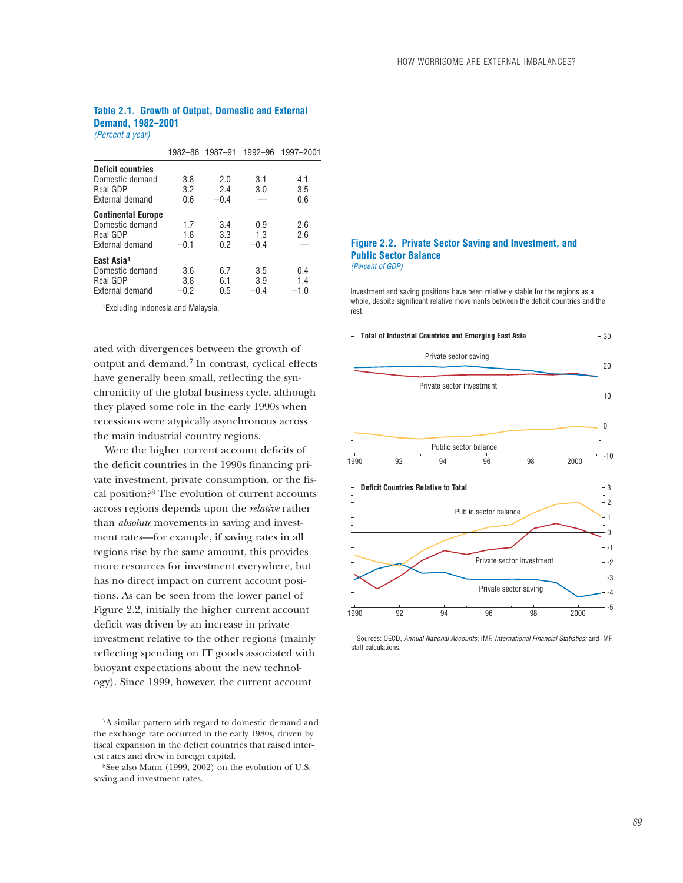## **Table 2.1. Growth of Output, Domestic and External Demand, 1982–2001**

*(Percent a year)*

|                                                                             |                      |                   |                      | 1982-86 1987-91 1992-96 1997-2001 |
|-----------------------------------------------------------------------------|----------------------|-------------------|----------------------|-----------------------------------|
| <b>Deficit countries</b><br>Domestic demand                                 | 3.8                  | 2.0               | 3.1                  | 4.1                               |
| Real GDP<br>External demand                                                 | 3.2<br>0.6           | 2.4<br>$-0.4$     | 3.0                  | 3.5<br>0.6                        |
| <b>Continental Europe</b><br>Domestic demand<br>Real GDP<br>External demand | 1.7<br>1.8<br>$-0.1$ | 3.4<br>3.3<br>0.2 | 0.9<br>1.3<br>$-0.4$ | 2.6<br>2.6                        |
| East Asia <sup>1</sup><br>Domestic demand<br>Real GDP<br>External demand    | 3.6<br>3.8<br>$-0.2$ | 6.7<br>6.1<br>0.5 | 3.5<br>3.9<br>$-0.4$ | 0.4<br>1.4<br>$-1.0$              |

1Excluding Indonesia and Malaysia.

ated with divergences between the growth of output and demand.7 In contrast, cyclical effects have generally been small, reflecting the synchronicity of the global business cycle, although they played some role in the early 1990s when recessions were atypically asynchronous across the main industrial country regions.

Were the higher current account deficits of the deficit countries in the 1990s financing private investment, private consumption, or the fiscal position?8 The evolution of current accounts across regions depends upon the *relative* rather than *absolute* movements in saving and investment rates—for example, if saving rates in all regions rise by the same amount, this provides more resources for investment everywhere, but has no direct impact on current account positions. As can be seen from the lower panel of Figure 2.2, initially the higher current account deficit was driven by an increase in private investment relative to the other regions (mainly reflecting spending on IT goods associated with buoyant expectations about the new technology). Since 1999, however, the current account

7A similar pattern with regard to domestic demand and the exchange rate occurred in the early 1980s, driven by fiscal expansion in the deficit countries that raised interest rates and drew in foreign capital.

8See also Mann (1999, 2002) on the evolution of U.S. saving and investment rates.

#### **Figure 2.2. Private Sector Saving and Investment, and Public Sector Balance** *(Percent of GDP)*

Investment and saving positions have been relatively stable for the regions as a whole, despite significant relative movements between the deficit countries and the rest.



 Sources: OECD, *Annual National Accounts;* IMF, *International Financial Statistics;* and IMF staff calculations.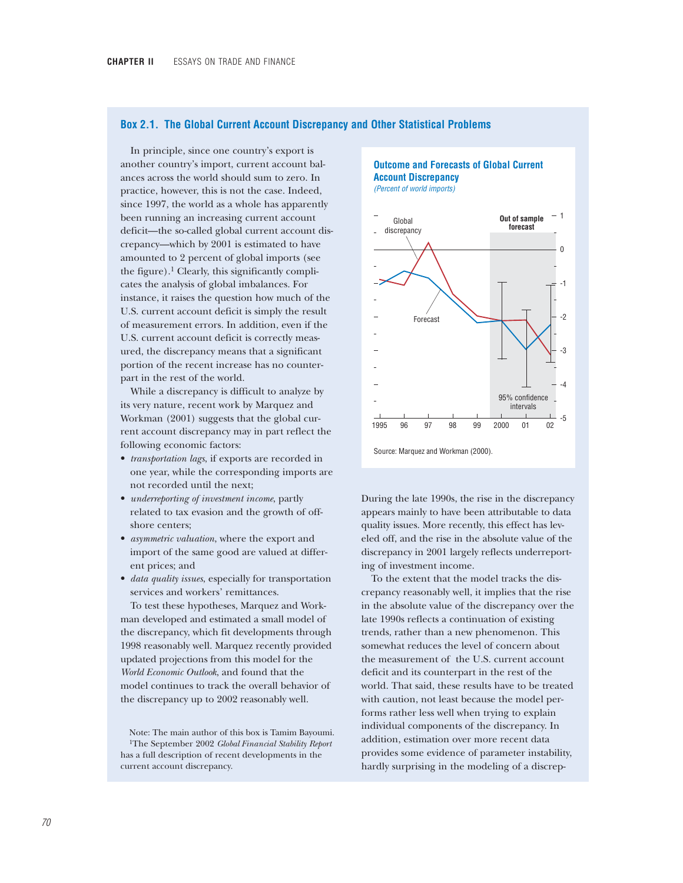### **Box 2.1. The Global Current Account Discrepancy and Other Statistical Problems**

In principle, since one country's export is another country's import, current account balances across the world should sum to zero. In practice, however, this is not the case. Indeed, since 1997, the world as a whole has apparently been running an increasing current account deficit—the so-called global current account discrepancy—which by 2001 is estimated to have amounted to 2 percent of global imports (see the figure).<sup>1</sup> Clearly, this significantly complicates the analysis of global imbalances. For instance, it raises the question how much of the U.S. current account deficit is simply the result of measurement errors. In addition, even if the U.S. current account deficit is correctly measured, the discrepancy means that a significant portion of the recent increase has no counterpart in the rest of the world.

While a discrepancy is difficult to analyze by its very nature, recent work by Marquez and Workman (2001) suggests that the global current account discrepancy may in part reflect the following economic factors:

- *transportation lags*, if exports are recorded in one year, while the corresponding imports are not recorded until the next;
- *underreporting of investment income*, partly related to tax evasion and the growth of offshore centers;
- *asymmetric valuation*, where the export and import of the same good are valued at different prices; and
- *data quality issues*, especially for transportation services and workers' remittances.

To test these hypotheses, Marquez and Workman developed and estimated a small model of the discrepancy, which fit developments through 1998 reasonably well. Marquez recently provided updated projections from this model for the *World Economic Outlook*, and found that the model continues to track the overall behavior of the discrepancy up to 2002 reasonably well.

Note: The main author of this box is Tamim Bayoumi. 1The September 2002 *Global Financial Stability Report* has a full description of recent developments in the current account discrepancy.

### **Outcome and Forecasts of Global Current Account Discrepancy** *(Percent of world imports)*



Source: Marquez and Workman (2000).

During the late 1990s, the rise in the discrepancy appears mainly to have been attributable to data quality issues. More recently, this effect has leveled off, and the rise in the absolute value of the discrepancy in 2001 largely reflects underreporting of investment income.

To the extent that the model tracks the discrepancy reasonably well, it implies that the rise in the absolute value of the discrepancy over the late 1990s reflects a continuation of existing trends, rather than a new phenomenon. This somewhat reduces the level of concern about the measurement of the U.S. current account deficit and its counterpart in the rest of the world. That said, these results have to be treated with caution, not least because the model performs rather less well when trying to explain individual components of the discrepancy. In addition, estimation over more recent data provides some evidence of parameter instability, hardly surprising in the modeling of a discrep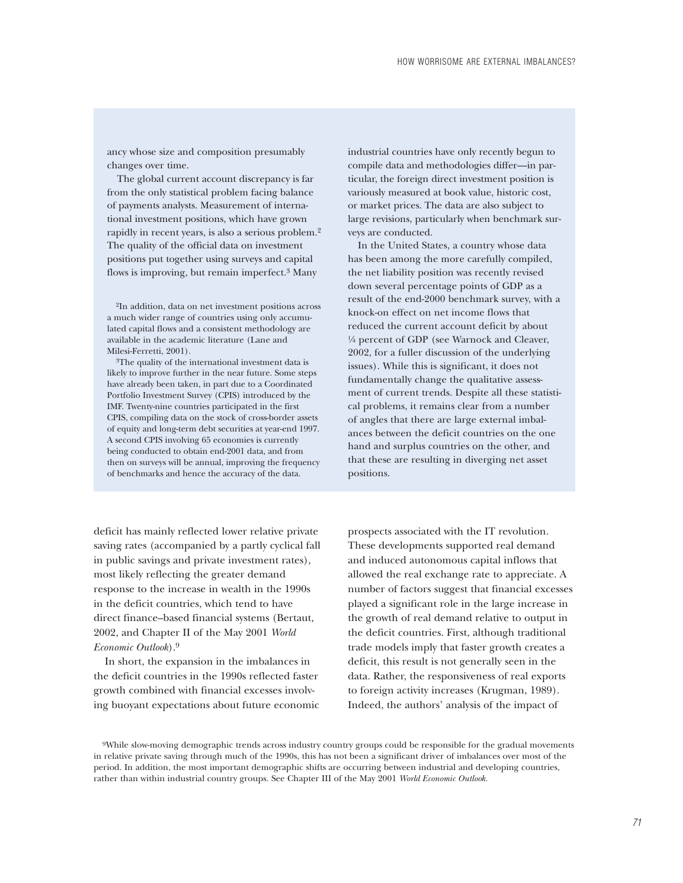ancy whose size and composition presumably changes over time.

The global current account discrepancy is far from the only statistical problem facing balance of payments analysts. Measurement of international investment positions, which have grown rapidly in recent years, is also a serious problem.2 The quality of the official data on investment positions put together using surveys and capital flows is improving, but remain imperfect.3 Many

2In addition, data on net investment positions across a much wider range of countries using only accumulated capital flows and a consistent methodology are available in the academic literature (Lane and Milesi-Ferretti, 2001).

3The quality of the international investment data is likely to improve further in the near future. Some steps have already been taken, in part due to a Coordinated Portfolio Investment Survey (CPIS) introduced by the IMF. Twenty-nine countries participated in the first CPIS, compiling data on the stock of cross-border assets of equity and long-term debt securities at year-end 1997. A second CPIS involving 65 economies is currently being conducted to obtain end-2001 data, and from then on surveys will be annual, improving the frequency of benchmarks and hence the accuracy of the data.

industrial countries have only recently begun to compile data and methodologies differ—in particular, the foreign direct investment position is variously measured at book value, historic cost, or market prices. The data are also subject to large revisions, particularly when benchmark surveys are conducted.

In the United States, a country whose data has been among the more carefully compiled, the net liability position was recently revised down several percentage points of GDP as a result of the end-2000 benchmark survey, with a knock-on effect on net income flows that reduced the current account deficit by about !/4 percent of GDP (see Warnock and Cleaver, 2002, for a fuller discussion of the underlying issues). While this is significant, it does not fundamentally change the qualitative assessment of current trends. Despite all these statistical problems, it remains clear from a number of angles that there are large external imbalances between the deficit countries on the one hand and surplus countries on the other, and that these are resulting in diverging net asset positions.

deficit has mainly reflected lower relative private saving rates (accompanied by a partly cyclical fall in public savings and private investment rates), most likely reflecting the greater demand response to the increase in wealth in the 1990s in the deficit countries, which tend to have direct finance–based financial systems (Bertaut, 2002, and Chapter II of the May 2001 *World Economic Outlook*).9

In short, the expansion in the imbalances in the deficit countries in the 1990s reflected faster growth combined with financial excesses involving buoyant expectations about future economic prospects associated with the IT revolution. These developments supported real demand and induced autonomous capital inflows that allowed the real exchange rate to appreciate. A number of factors suggest that financial excesses played a significant role in the large increase in the growth of real demand relative to output in the deficit countries. First, although traditional trade models imply that faster growth creates a deficit, this result is not generally seen in the data. Rather, the responsiveness of real exports to foreign activity increases (Krugman, 1989). Indeed, the authors' analysis of the impact of

<sup>9</sup>While slow-moving demographic trends across industry country groups could be responsible for the gradual movements in relative private saving through much of the 1990s, this has not been a significant driver of imbalances over most of the period. In addition, the most important demographic shifts are occurring between industrial and developing countries, rather than within industrial country groups. See Chapter III of the May 2001 *World Economic Outlook.*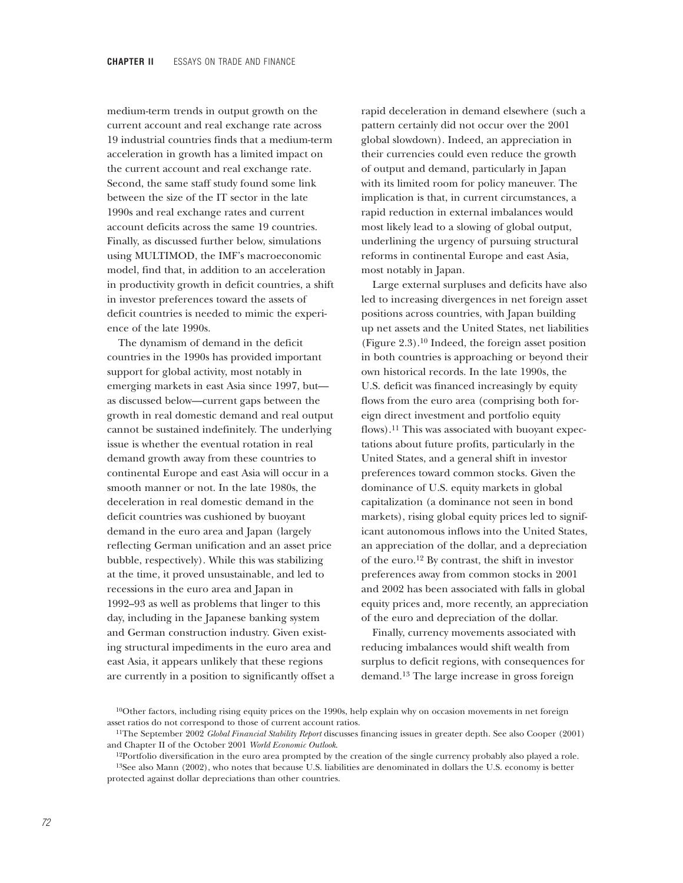medium-term trends in output growth on the current account and real exchange rate across 19 industrial countries finds that a medium-term acceleration in growth has a limited impact on the current account and real exchange rate. Second, the same staff study found some link between the size of the IT sector in the late 1990s and real exchange rates and current account deficits across the same 19 countries. Finally, as discussed further below, simulations using MULTIMOD, the IMF's macroeconomic model, find that, in addition to an acceleration in productivity growth in deficit countries, a shift in investor preferences toward the assets of deficit countries is needed to mimic the experience of the late 1990s.

The dynamism of demand in the deficit countries in the 1990s has provided important support for global activity, most notably in emerging markets in east Asia since 1997, but as discussed below—current gaps between the growth in real domestic demand and real output cannot be sustained indefinitely. The underlying issue is whether the eventual rotation in real demand growth away from these countries to continental Europe and east Asia will occur in a smooth manner or not. In the late 1980s, the deceleration in real domestic demand in the deficit countries was cushioned by buoyant demand in the euro area and Japan (largely reflecting German unification and an asset price bubble, respectively). While this was stabilizing at the time, it proved unsustainable, and led to recessions in the euro area and Japan in 1992–93 as well as problems that linger to this day, including in the Japanese banking system and German construction industry. Given existing structural impediments in the euro area and east Asia, it appears unlikely that these regions are currently in a position to significantly offset a rapid deceleration in demand elsewhere (such a pattern certainly did not occur over the 2001 global slowdown). Indeed, an appreciation in their currencies could even reduce the growth of output and demand, particularly in Japan with its limited room for policy maneuver. The implication is that, in current circumstances, a rapid reduction in external imbalances would most likely lead to a slowing of global output, underlining the urgency of pursuing structural reforms in continental Europe and east Asia, most notably in Japan.

Large external surpluses and deficits have also led to increasing divergences in net foreign asset positions across countries, with Japan building up net assets and the United States, net liabilities (Figure 2.3).10 Indeed, the foreign asset position in both countries is approaching or beyond their own historical records. In the late 1990s, the U.S. deficit was financed increasingly by equity flows from the euro area (comprising both foreign direct investment and portfolio equity flows).11 This was associated with buoyant expectations about future profits, particularly in the United States, and a general shift in investor preferences toward common stocks. Given the dominance of U.S. equity markets in global capitalization (a dominance not seen in bond markets), rising global equity prices led to significant autonomous inflows into the United States, an appreciation of the dollar, and a depreciation of the euro.12 By contrast, the shift in investor preferences away from common stocks in 2001 and 2002 has been associated with falls in global equity prices and, more recently, an appreciation of the euro and depreciation of the dollar.

Finally, currency movements associated with reducing imbalances would shift wealth from surplus to deficit regions, with consequences for demand.13 The large increase in gross foreign

<sup>10</sup>Other factors, including rising equity prices on the 1990s, help explain why on occasion movements in net foreign asset ratios do not correspond to those of current account ratios.

<sup>11</sup>The September 2002 *Global Financial Stability Report* discusses financing issues in greater depth. See also Cooper (2001) and Chapter II of the October 2001 *World Economic Outlook*.

 $12$ Portfolio diversification in the euro area prompted by the creation of the single currency probably also played a role.

<sup>13</sup>See also Mann (2002), who notes that because U.S. liabilities are denominated in dollars the U.S. economy is better protected against dollar depreciations than other countries.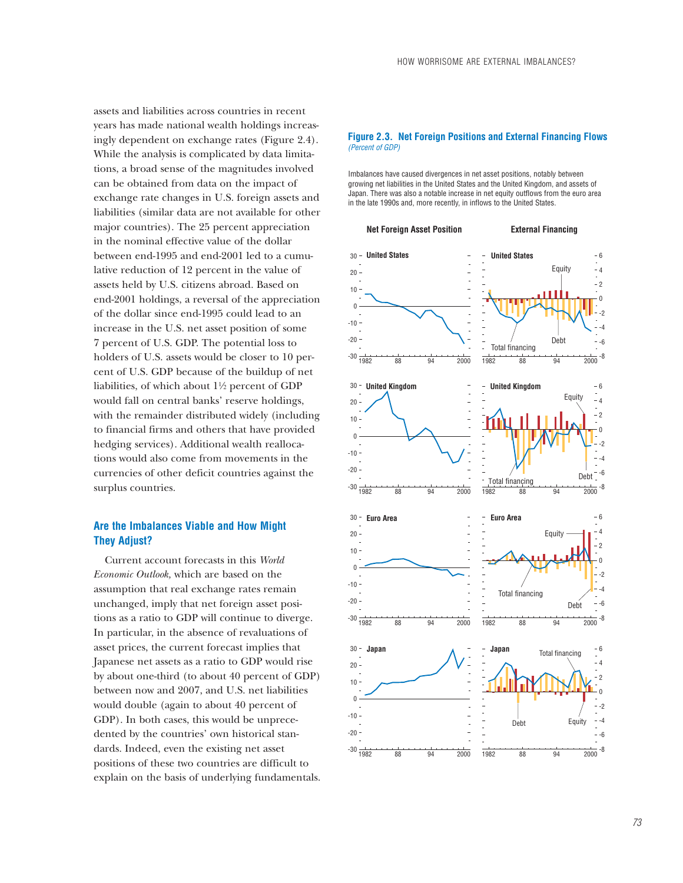assets and liabilities across countries in recent years has made national wealth holdings increasingly dependent on exchange rates (Figure 2.4). While the analysis is complicated by data limitations, a broad sense of the magnitudes involved can be obtained from data on the impact of exchange rate changes in U.S. foreign assets and liabilities (similar data are not available for other major countries). The 25 percent appreciation in the nominal effective value of the dollar between end-1995 and end-2001 led to a cumulative reduction of 12 percent in the value of assets held by U.S. citizens abroad. Based on end-2001 holdings, a reversal of the appreciation of the dollar since end-1995 could lead to an increase in the U.S. net asset position of some 7 percent of U.S. GDP. The potential loss to holders of U.S. assets would be closer to 10 percent of U.S. GDP because of the buildup of net liabilities, of which about  $1\frac{1}{2}$  percent of GDP would fall on central banks' reserve holdings, with the remainder distributed widely (including to financial firms and others that have provided

hedging services). Additional wealth reallocations would also come from movements in the currencies of other deficit countries against the surplus countries.

## **Are the Imbalances Viable and How Might They Adjust?**

Current account forecasts in this *World Economic Outlook,* which are based on the assumption that real exchange rates remain unchanged, imply that net foreign asset positions as a ratio to GDP will continue to diverge. In particular, in the absence of revaluations of asset prices, the current forecast implies that Japanese net assets as a ratio to GDP would rise by about one-third (to about 40 percent of GDP) between now and 2007, and U.S. net liabilities would double (again to about 40 percent of GDP). In both cases, this would be unprecedented by the countries' own historical standards. Indeed, even the existing net asset positions of these two countries are difficult to explain on the basis of underlying fundamentals.

### **Figure 2.3. Net Foreign Positions and External Financing Flows** *(Percent of GDP)*

Imbalances have caused divergences in net asset positions, notably between growing net liabilities in the United States and the United Kingdom, and assets of Japan. There was also a notable increase in net equity outflows from the euro area in the late 1990s and, more recently, in inflows to the United States.

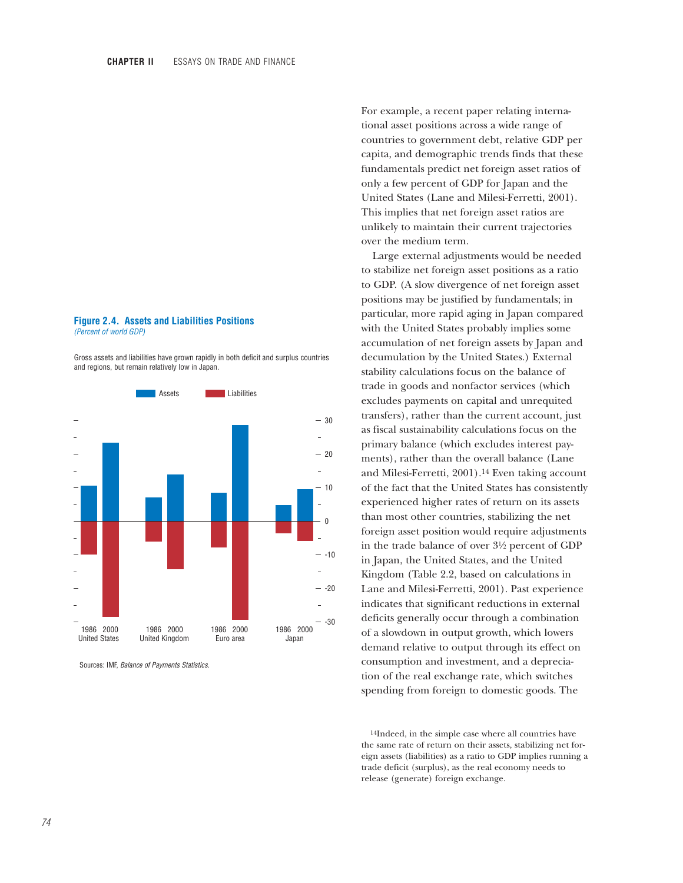#### **Figure 2.4. Assets and Liabilities Positions** *(Percent of world GDP)*

Gross assets and liabilities have grown rapidly in both deficit and surplus countries and regions, but remain relatively low in Japan.



Sources: IMF, *Balance of Payments Statistics.*

For example, a recent paper relating international asset positions across a wide range of countries to government debt, relative GDP per capita, and demographic trends finds that these fundamentals predict net foreign asset ratios of only a few percent of GDP for Japan and the United States (Lane and Milesi-Ferretti, 2001). This implies that net foreign asset ratios are unlikely to maintain their current trajectories over the medium term.

Large external adjustments would be needed to stabilize net foreign asset positions as a ratio to GDP. (A slow divergence of net foreign asset positions may be justified by fundamentals; in particular, more rapid aging in Japan compared with the United States probably implies some accumulation of net foreign assets by Japan and decumulation by the United States.) External stability calculations focus on the balance of trade in goods and nonfactor services (which excludes payments on capital and unrequited transfers), rather than the current account, just as fiscal sustainability calculations focus on the primary balance (which excludes interest payments), rather than the overall balance (Lane and Milesi-Ferretti, 2001).14 Even taking account of the fact that the United States has consistently experienced higher rates of return on its assets than most other countries, stabilizing the net foreign asset position would require adjustments in the trade balance of over  $3\frac{1}{2}$  percent of GDP in Japan, the United States, and the United Kingdom (Table 2.2, based on calculations in Lane and Milesi-Ferretti, 2001). Past experience indicates that significant reductions in external deficits generally occur through a combination of a slowdown in output growth, which lowers demand relative to output through its effect on consumption and investment, and a depreciation of the real exchange rate, which switches spending from foreign to domestic goods. The

14Indeed, in the simple case where all countries have the same rate of return on their assets, stabilizing net foreign assets (liabilities) as a ratio to GDP implies running a trade deficit (surplus), as the real economy needs to release (generate) foreign exchange.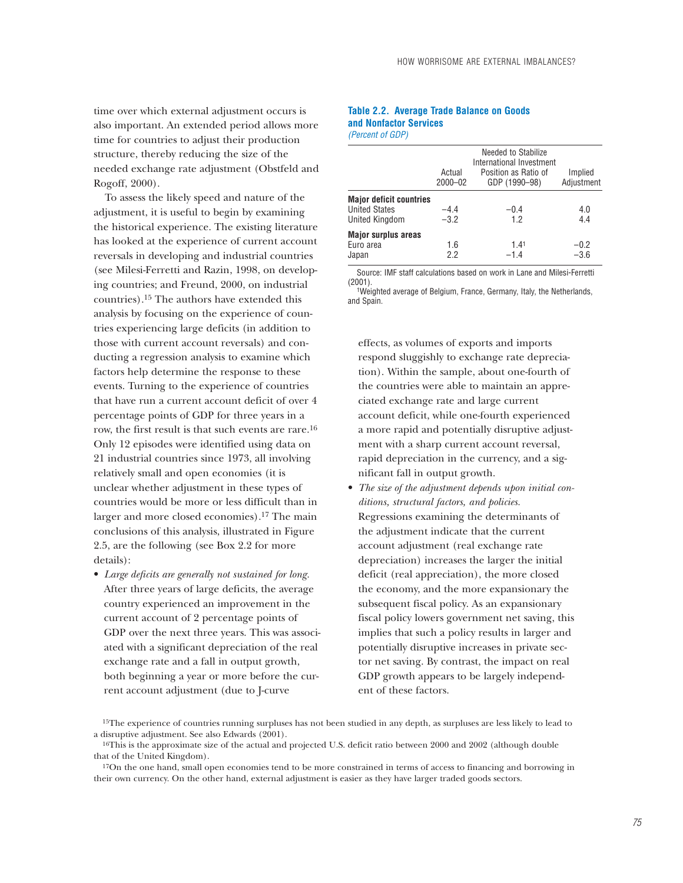time over which external adjustment occurs is also important. An extended period allows more time for countries to adjust their production structure, thereby reducing the size of the needed exchange rate adjustment (Obstfeld and Rogoff, 2000).

To assess the likely speed and nature of the adjustment, it is useful to begin by examining the historical experience. The existing literature has looked at the experience of current account reversals in developing and industrial countries (see Milesi-Ferretti and Razin, 1998, on developing countries; and Freund, 2000, on industrial countries).15 The authors have extended this analysis by focusing on the experience of countries experiencing large deficits (in addition to those with current account reversals) and conducting a regression analysis to examine which factors help determine the response to these events. Turning to the experience of countries that have run a current account deficit of over 4 percentage points of GDP for three years in a row, the first result is that such events are rare.16 Only 12 episodes were identified using data on 21 industrial countries since 1973, all involving relatively small and open economies (it is unclear whether adjustment in these types of countries would be more or less difficult than in larger and more closed economies).17 The main conclusions of this analysis, illustrated in Figure 2.5, are the following (see Box 2.2 for more details):

• *Large deficits are generally not sustained for long.* After three years of large deficits, the average country experienced an improvement in the current account of 2 percentage points of GDP over the next three years. This was associated with a significant depreciation of the real exchange rate and a fall in output growth, both beginning a year or more before the current account adjustment (due to J-curve

### **Table 2.2. Average Trade Balance on Goods and Nonfactor Services** *(Percent of GDP)*

|                                | Actual<br>$2000 - 02$ | Needed to Stabilize<br>International Investment<br>Position as Ratio of<br>GDP (1990-98) | Implied<br>Adjustment |
|--------------------------------|-----------------------|------------------------------------------------------------------------------------------|-----------------------|
| <b>Major deficit countries</b> |                       |                                                                                          |                       |
| <b>United States</b>           | $-4.4$                | $-0.4$                                                                                   | 4.0                   |
| United Kingdom                 | $-3.2$                | 1.2                                                                                      | 4.4                   |
| <b>Major surplus areas</b>     |                       |                                                                                          |                       |
| Euro area                      | 1.6                   | 1.41                                                                                     | $-0.2$                |
| Japan                          | 22                    | $-1.4$                                                                                   | $-3.6$                |
|                                |                       |                                                                                          |                       |

Source: IMF staff calculations based on work in Lane and Milesi-Ferretti (2001).

1Weighted average of Belgium, France, Germany, Italy, the Netherlands, and Spain.

effects, as volumes of exports and imports respond sluggishly to exchange rate depreciation). Within the sample, about one-fourth of the countries were able to maintain an appreciated exchange rate and large current account deficit, while one-fourth experienced a more rapid and potentially disruptive adjustment with a sharp current account reversal, rapid depreciation in the currency, and a significant fall in output growth.

• *The size of the adjustment depends upon initial conditions, structural factors, and policies.* Regressions examining the determinants of the adjustment indicate that the current account adjustment (real exchange rate depreciation) increases the larger the initial deficit (real appreciation), the more closed the economy, and the more expansionary the subsequent fiscal policy. As an expansionary fiscal policy lowers government net saving, this implies that such a policy results in larger and potentially disruptive increases in private sector net saving. By contrast, the impact on real GDP growth appears to be largely independent of these factors.

<sup>15</sup>The experience of countries running surpluses has not been studied in any depth, as surpluses are less likely to lead to a disruptive adjustment. See also Edwards (2001).

<sup>&</sup>lt;sup>16</sup>This is the approximate size of the actual and projected U.S. deficit ratio between 2000 and 2002 (although double that of the United Kingdom).

<sup>&</sup>lt;sup>17</sup>On the one hand, small open economies tend to be more constrained in terms of access to financing and borrowing in their own currency. On the other hand, external adjustment is easier as they have larger traded goods sectors.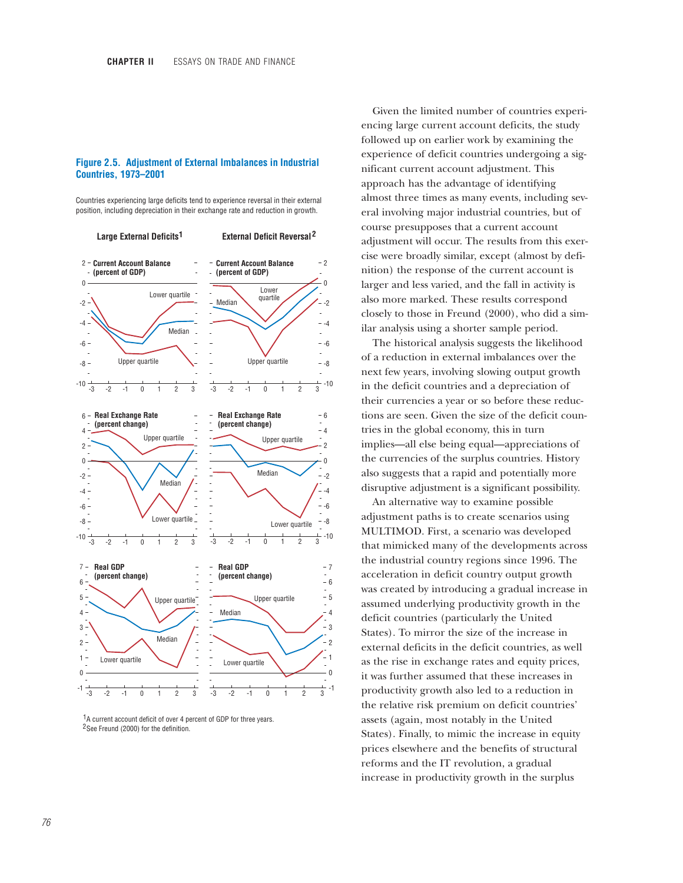### **Figure 2.5. Adjustment of External Imbalances in Industrial Countries, 1973–2001**

Countries experiencing large deficits tend to experience reversal in their external position, including depreciation in their exchange rate and reduction in growth.



 $1A$  current account deficit of over 4 percent of GDP for three years. <sup>2</sup>See Freund (2000) for the definition.

Given the limited number of countries experiencing large current account deficits, the study followed up on earlier work by examining the experience of deficit countries undergoing a significant current account adjustment. This approach has the advantage of identifying almost three times as many events, including several involving major industrial countries, but of course presupposes that a current account adjustment will occur. The results from this exercise were broadly similar, except (almost by definition) the response of the current account is larger and less varied, and the fall in activity is also more marked. These results correspond closely to those in Freund (2000), who did a similar analysis using a shorter sample period.

The historical analysis suggests the likelihood of a reduction in external imbalances over the next few years, involving slowing output growth in the deficit countries and a depreciation of their currencies a year or so before these reductions are seen. Given the size of the deficit countries in the global economy, this in turn implies—all else being equal—appreciations of the currencies of the surplus countries. History also suggests that a rapid and potentially more disruptive adjustment is a significant possibility.

An alternative way to examine possible adjustment paths is to create scenarios using MULTIMOD. First, a scenario was developed that mimicked many of the developments across the industrial country regions since 1996. The acceleration in deficit country output growth was created by introducing a gradual increase in assumed underlying productivity growth in the deficit countries (particularly the United States). To mirror the size of the increase in external deficits in the deficit countries, as well as the rise in exchange rates and equity prices, it was further assumed that these increases in productivity growth also led to a reduction in the relative risk premium on deficit countries' assets (again, most notably in the United States). Finally, to mimic the increase in equity prices elsewhere and the benefits of structural reforms and the IT revolution, a gradual increase in productivity growth in the surplus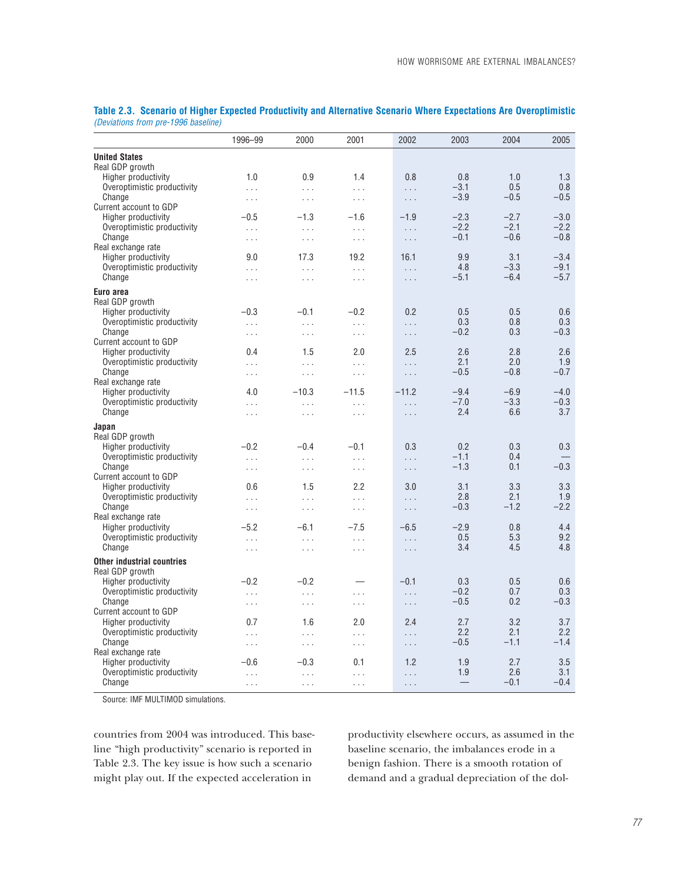|                                                    | 1996-99              | 2000            | 2001      | 2002     | 2003          | 2004       | 2005             |
|----------------------------------------------------|----------------------|-----------------|-----------|----------|---------------|------------|------------------|
| <b>United States</b>                               |                      |                 |           |          |               |            |                  |
| Real GDP growth                                    |                      |                 |           |          |               |            |                  |
| Higher productivity<br>Overoptimistic productivity | 1.0<br>$\cdots$      | 0.9<br>$\cdots$ | 1.4<br>.  | 0.8<br>. | 0.8<br>$-3.1$ | 1.0<br>0.5 | 1.3<br>0.8       |
| Change                                             | $\ldots$             | $\ldots$        | $\ldots$  | $\ldots$ | $-3.9$        | $-0.5$     | $-0.5$           |
| Current account to GDP                             |                      |                 |           |          |               |            |                  |
| Higher productivity                                | $-0.5$               | $-1.3$          | $-1.6$    | $-1.9$   | $-2.3$        | $-2.7$     | $-3.0$           |
| Overoptimistic productivity                        | $\sim 10$ .          | $\cdots$        | $\cdots$  | $\cdots$ | $-2.2$        | $-2.1$     | $-2.2$<br>$-0.8$ |
| Change<br>Real exchange rate                       | $\sim 10$ .          | $\cdots$        | $\ldots$  | $\ldots$ | $-0.1$        | $-0.6$     |                  |
| Higher productivity                                | 9.0                  | 17.3            | 19.2      | 16.1     | 9.9           | 3.1        | $-3.4$           |
| Overoptimistic productivity                        | $\cdots$             | $\cdots$        | .         | .        | 4.8           | $-3.3$     | $-9.1$           |
| Change                                             | $\ldots$             | $\ldots$        | $\ldots$  | $\ldots$ | $-5.1$        | $-6.4$     | $-5.7$           |
| Euro area                                          |                      |                 |           |          |               |            |                  |
| Real GDP growth                                    |                      |                 |           |          |               |            |                  |
| Higher productivity                                | $-0.3$               | $-0.1$          | $-0.2$    | 0.2      | 0.5           | 0.5        | 0.6              |
| Overoptimistic productivity<br>Change              | $\cdots$             | $\ldots$        | .         | .        | 0.3<br>$-0.2$ | 0.8<br>0.3 | 0.3<br>$-0.3$    |
| Current account to GDP                             | $\ldots$             | $\ldots$        | $\ldots$  | $\cdots$ |               |            |                  |
| Higher productivity                                | 0.4                  | 1.5             | 2.0       | 2.5      | 2.6           | 2.8        | 2.6              |
| Overoptimistic productivity                        | $\cdots$             | $\cdots$        | $\ddotsc$ | .        | 2.1           | 2.0        | 1.9              |
| Change                                             | $\sim 10$ .          | $\cdots$        | $\ldots$  | $\cdots$ | $-0.5$        | $-0.8$     | $-0.7$           |
| Real exchange rate<br>Higher productivity          | 4.0                  | $-10.3$         | $-11.5$   | $-11.2$  | $-9.4$        | $-6.9$     | $-4.0$           |
| Overoptimistic productivity                        | $\cdots$             | $\cdots$        | .         | .        | $-7.0$        | $-3.3$     | $-0.3$           |
| Change                                             | $\cdots$             | $\cdots$        | $\cdots$  | .        | 2.4           | 6.6        | 3.7              |
| Japan                                              |                      |                 |           |          |               |            |                  |
| Real GDP growth                                    |                      |                 |           |          |               |            |                  |
| Higher productivity                                | $-0.2$               | $-0.4$          | $-0.1$    | 0.3      | 0.2           | 0.3        | 0.3              |
| Overoptimistic productivity                        | $\ldots$             | $\cdots$        | $\cdots$  | .        | $-1.1$        | 0.4        |                  |
| Change                                             | $\sim 10$ .          | $\ldots$        | $\ldots$  | $\cdots$ | $-1.3$        | 0.1        | $-0.3$           |
| Current account to GDP<br>Higher productivity      | 0.6                  | 1.5             | 2.2       | 3.0      | 3.1           | 3.3        | 3.3              |
| Overoptimistic productivity                        | $\ldots$             | $\ldots$        | $\cdots$  | .        | 2.8           | 2.1        | 1.9              |
| Change                                             | $\sim$ $\sim$ $\sim$ | $\cdots$        | $\ldots$  | $\ldots$ | $-0.3$        | $-1.2$     | $-2.2$           |
| Real exchange rate                                 |                      |                 |           |          |               |            |                  |
| Higher productivity                                | $-5.2$               | $-6.1$          | $-7.5$    | $-6.5$   | $-2.9$        | 0.8        | 4.4              |
| Overoptimistic productivity<br>Change              | $\sim 10$ .          | $\cdots$        | .         | .        | 0.5<br>3.4    | 5.3<br>4.5 | 9.2<br>4.8       |
|                                                    | $\ldots$             | $\cdots$        | .         | .        |               |            |                  |
| Other industrial countries<br>Real GDP growth      |                      |                 |           |          |               |            |                  |
| Higher productivity                                | $-0.2$               | $-0.2$          |           | $-0.1$   | 0.3           | 0.5        | 0.6              |
| Overoptimistic productivity                        | $\ldots$             | $\cdots$        | .         | .        | $-0.2$        | 0.7        | 0.3              |
| Change                                             | $\cdots$             | $\ldots$        | $\cdots$  | $\cdots$ | $-0.5$        | 0.2        | $-0.3$           |
| Current account to GDP                             |                      |                 |           |          |               |            |                  |
| Higher productivity                                | 0.7                  | 1.6             | 2.0       | 2.4      | 2.7<br>2.2    | 3.2<br>2.1 | 3.7<br>2.2       |
| Overoptimistic productivity<br>Change              | $\cdots$             | $\cdots$        | $\cdots$  | .        | $-0.5$        | $-1.1$     | $-1.4$           |
| Real exchange rate                                 | $\sim$ $\sim$ $\sim$ | $\ldots$        | $\cdots$  | $\cdots$ |               |            |                  |
| Higher productivity                                | $-0.6$               | $-0.3$          | 0.1       | 1.2      | 1.9           | 2.7        | 3.5              |
| Overoptimistic productivity                        | $\ldots$             | $\ldots$        | .         | .        | 1.9           | 2.6        | 3.1              |
| Change                                             | $\ldots$             | $\cdots$        | $\cdots$  | .        |               | $-0.1$     | $-0.4$           |

**Table 2.3. Scenario of Higher Expected Productivity and Alternative Scenario Where Expectations Are Overoptimistic** *(Deviations from pre-1996 baseline)*

Source: IMF MULTIMOD simulations.

countries from 2004 was introduced. This baseline "high productivity" scenario is reported in Table 2.3. The key issue is how such a scenario might play out. If the expected acceleration in

productivity elsewhere occurs, as assumed in the baseline scenario, the imbalances erode in a benign fashion. There is a smooth rotation of demand and a gradual depreciation of the dol-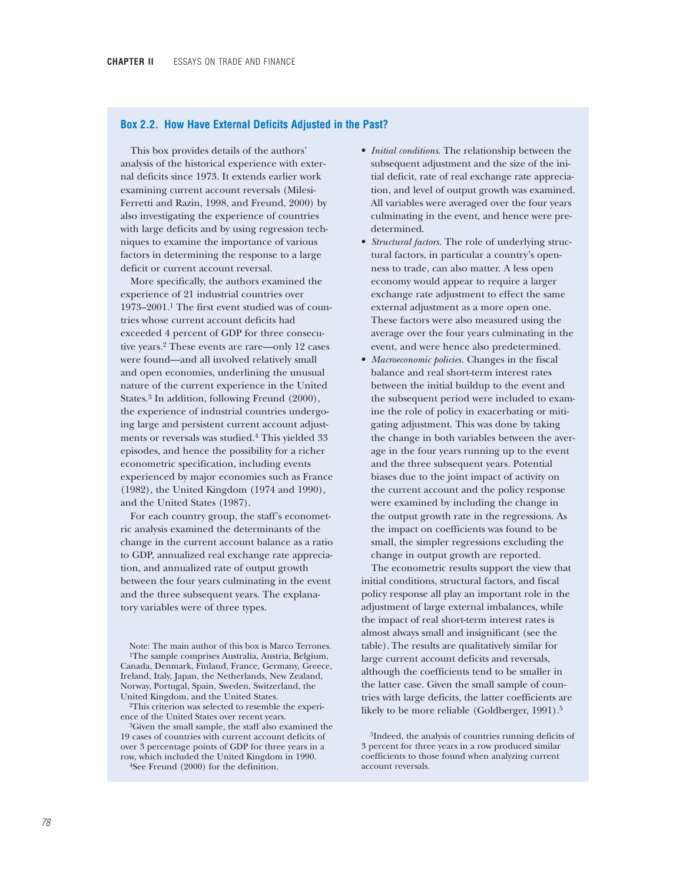### **Box 2.2. How Have External Deficits Adjusted in the Past?**

This box provides details of the authors' analysis of the historical experience with external deficits since 1973. It extends earlier work examining current account reversals (Milesi-Ferretti and Razin, 1998, and Freund, 2000) by also investigating the experience of countries with large deficits and by using regression techniques to examine the importance of various factors in determining the response to a large deficit or current account reversal.

More specifically, the authors examined the experience of 21 industrial countries over 1973–2001.1 The first event studied was of countries whose current account deficits had exceeded 4 percent of GDP for three consecutive years.2 These events are rare—only 12 cases were found—and all involved relatively small and open economies, underlining the unusual nature of the current experience in the United States.3 In addition, following Freund (2000), the experience of industrial countries undergoing large and persistent current account adjustments or reversals was studied.4 This yielded 33 episodes, and hence the possibility for a richer econometric specification, including events experienced by major economies such as France (1982), the United Kingdom (1974 and 1990), and the United States (1987).

For each country group, the staff's econometric analysis examined the determinants of the change in the current account balance as a ratio to GDP, annualized real exchange rate appreciation, and annualized rate of output growth between the four years culminating in the event and the three subsequent years. The explanatory variables were of three types.

Note: The main author of this box is Marco Terrones. 1The sample comprises Australia, Austria, Belgium, Canada, Denmark, Finland, France, Germany, Greece, Ireland, Italy, Japan, the Netherlands, New Zealand, Norway, Portugal, Spain, Sweden, Switzerland, the United Kingdom, and the United States.

2This criterion was selected to resemble the experience of the United States over recent years.

3Given the small sample, the staff also examined the 19 cases of countries with current account deficits of over 3 percentage points of GDP for three years in a row, which included the United Kingdom in 1990. 4See Freund (2000) for the definition.

- *Initial conditions*. The relationship between the subsequent adjustment and the size of the initial deficit, rate of real exchange rate appreciation, and level of output growth was examined. All variables were averaged over the four years culminating in the event, and hence were predetermined.
- *Structural factors.* The role of underlying structural factors, in particular a country's openness to trade, can also matter. A less open economy would appear to require a larger exchange rate adjustment to effect the same external adjustment as a more open one. These factors were also measured using the average over the four years culminating in the event, and were hence also predetermined.
- *Macroeconomic policies.* Changes in the fiscal balance and real short-term interest rates between the initial buildup to the event and the subsequent period were included to examine the role of policy in exacerbating or mitigating adjustment. This was done by taking the change in both variables between the average in the four years running up to the event and the three subsequent years. Potential biases due to the joint impact of activity on the current account and the policy response were examined by including the change in the output growth rate in the regressions. As the impact on coefficients was found to be small, the simpler regressions excluding the change in output growth are reported.

The econometric results support the view that initial conditions, structural factors, and fiscal policy response all play an important role in the adjustment of large external imbalances, while the impact of real short-term interest rates is almost always small and insignificant (see the table). The results are qualitatively similar for large current account deficits and reversals, although the coefficients tend to be smaller in the latter case. Given the small sample of countries with large deficits, the latter coefficients are likely to be more reliable (Goldberger, 1991).<sup>5</sup>

5Indeed, the analysis of countries running deficits of 3 percent for three years in a row produced similar coefficients to those found when analyzing current account reversals.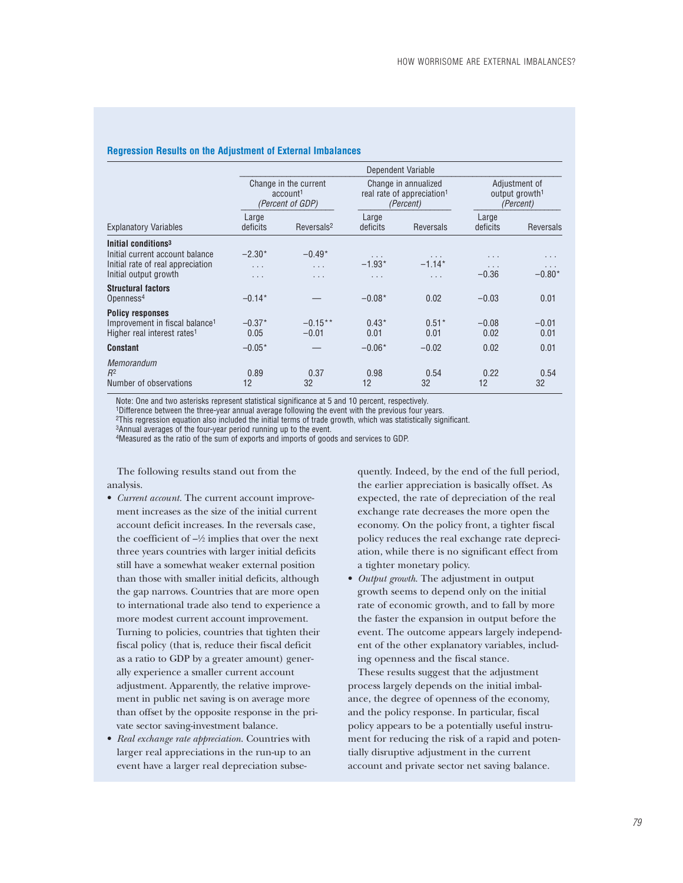#### **Regression Results on the Adjustment of External Imbalances**

|                                                                                                                                     |                              | Dependent Variable                                                |                             |                                                                             |                         |                                                          |  |  |  |
|-------------------------------------------------------------------------------------------------------------------------------------|------------------------------|-------------------------------------------------------------------|-----------------------------|-----------------------------------------------------------------------------|-------------------------|----------------------------------------------------------|--|--|--|
|                                                                                                                                     |                              | Change in the current<br>account <sup>1</sup><br>(Percent of GDP) |                             | Change in annualized<br>real rate of appreciation <sup>1</sup><br>(Percent) |                         | Adjustment of<br>output growth <sup>1</sup><br>(Percent) |  |  |  |
| <b>Explanatory Variables</b>                                                                                                        | Large<br>deficits            | Reversals <sup>2</sup>                                            | Large<br>deficits           | Reversals                                                                   | Large<br>deficits       | Reversals                                                |  |  |  |
| Initial conditions <sup>3</sup><br>Initial current account balance<br>Initial rate of real appreciation<br>Initial output growth    | $-2.30*$<br>.<br>$\cdots$    | $-0.49*$<br>$\cdots$<br>.                                         | .<br>$-1.93*$<br>.          | .<br>$-1.14*$<br>.                                                          | .<br>.<br>$-0.36$       | .<br>.<br>$-0.80*$                                       |  |  |  |
| <b>Structural factors</b><br>Openness <sup>4</sup>                                                                                  | $-0.14*$                     |                                                                   | $-0.08*$                    | 0.02                                                                        | $-0.03$                 | 0.01                                                     |  |  |  |
| <b>Policy responses</b><br>Improvement in fiscal balance <sup>1</sup><br>Higher real interest rates <sup>1</sup><br><b>Constant</b> | $-0.37*$<br>0.05<br>$-0.05*$ | $-0.15**$<br>$-0.01$                                              | $0.43*$<br>0.01<br>$-0.06*$ | $0.51*$<br>0.01<br>$-0.02$                                                  | $-0.08$<br>0.02<br>0.02 | $-0.01$<br>0.01<br>0.01                                  |  |  |  |
| <b>Memorandum</b><br>$R^2$<br>Number of observations                                                                                | 0.89<br>12                   | 0.37<br>32                                                        | 0.98<br>12                  | 0.54<br>32                                                                  | 0.22<br>12              | 0.54<br>32                                               |  |  |  |

Note: One and two asterisks represent statistical significance at 5 and 10 percent, respectively.

1Difference between the three-year annual average following the event with the previous four years.

2This regression equation also included the initial terms of trade growth, which was statistically significant.

3Annual averages of the four-year period running up to the event.

4Measured as the ratio of the sum of exports and imports of goods and services to GDP.

The following results stand out from the analysis.

- *Current account.* The current account improvement increases as the size of the initial current account deficit increases. In the reversals case, the coefficient of  $-\frac{1}{2}$  implies that over the next three years countries with larger initial deficits still have a somewhat weaker external position than those with smaller initial deficits, although the gap narrows. Countries that are more open to international trade also tend to experience a more modest current account improvement. Turning to policies, countries that tighten their fiscal policy (that is, reduce their fiscal deficit as a ratio to GDP by a greater amount) generally experience a smaller current account adjustment. Apparently, the relative improvement in public net saving is on average more than offset by the opposite response in the private sector saving-investment balance.
- *Real exchange rate appreciation*. Countries with larger real appreciations in the run-up to an event have a larger real depreciation subse-

quently. Indeed, by the end of the full period, the earlier appreciation is basically offset. As expected, the rate of depreciation of the real exchange rate decreases the more open the economy. On the policy front, a tighter fiscal policy reduces the real exchange rate depreciation, while there is no significant effect from a tighter monetary policy.

• *Output growth*. The adjustment in output growth seems to depend only on the initial rate of economic growth, and to fall by more the faster the expansion in output before the event. The outcome appears largely independent of the other explanatory variables, including openness and the fiscal stance.

These results suggest that the adjustment process largely depends on the initial imbalance, the degree of openness of the economy, and the policy response. In particular, fiscal policy appears to be a potentially useful instrument for reducing the risk of a rapid and potentially disruptive adjustment in the current account and private sector net saving balance.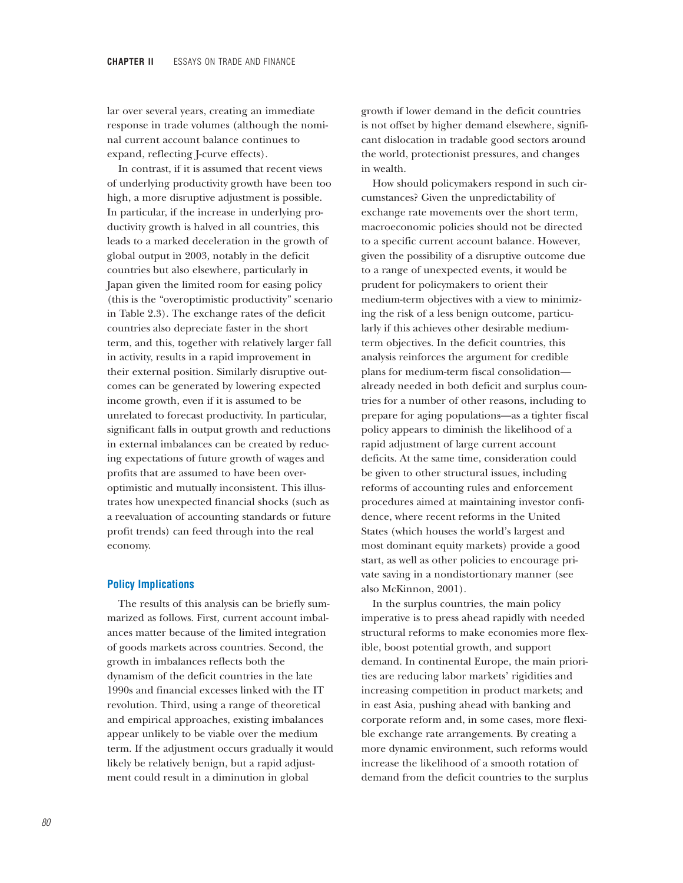lar over several years, creating an immediate response in trade volumes (although the nominal current account balance continues to expand, reflecting J-curve effects).

In contrast, if it is assumed that recent views of underlying productivity growth have been too high, a more disruptive adjustment is possible. In particular, if the increase in underlying productivity growth is halved in all countries, this leads to a marked deceleration in the growth of global output in 2003, notably in the deficit countries but also elsewhere, particularly in Japan given the limited room for easing policy (this is the "overoptimistic productivity" scenario in Table 2.3). The exchange rates of the deficit countries also depreciate faster in the short term, and this, together with relatively larger fall in activity, results in a rapid improvement in their external position. Similarly disruptive outcomes can be generated by lowering expected income growth, even if it is assumed to be unrelated to forecast productivity. In particular, significant falls in output growth and reductions in external imbalances can be created by reducing expectations of future growth of wages and profits that are assumed to have been overoptimistic and mutually inconsistent. This illustrates how unexpected financial shocks (such as a reevaluation of accounting standards or future profit trends) can feed through into the real economy.

### **Policy Implications**

The results of this analysis can be briefly summarized as follows. First, current account imbalances matter because of the limited integration of goods markets across countries. Second, the growth in imbalances reflects both the dynamism of the deficit countries in the late 1990s and financial excesses linked with the IT revolution. Third, using a range of theoretical and empirical approaches, existing imbalances appear unlikely to be viable over the medium term. If the adjustment occurs gradually it would likely be relatively benign, but a rapid adjustment could result in a diminution in global

growth if lower demand in the deficit countries is not offset by higher demand elsewhere, significant dislocation in tradable good sectors around the world, protectionist pressures, and changes in wealth.

How should policymakers respond in such circumstances? Given the unpredictability of exchange rate movements over the short term, macroeconomic policies should not be directed to a specific current account balance. However, given the possibility of a disruptive outcome due to a range of unexpected events, it would be prudent for policymakers to orient their medium-term objectives with a view to minimizing the risk of a less benign outcome, particularly if this achieves other desirable mediumterm objectives. In the deficit countries, this analysis reinforces the argument for credible plans for medium-term fiscal consolidation already needed in both deficit and surplus countries for a number of other reasons, including to prepare for aging populations—as a tighter fiscal policy appears to diminish the likelihood of a rapid adjustment of large current account deficits. At the same time, consideration could be given to other structural issues, including reforms of accounting rules and enforcement procedures aimed at maintaining investor confidence, where recent reforms in the United States (which houses the world's largest and most dominant equity markets) provide a good start, as well as other policies to encourage private saving in a nondistortionary manner (see also McKinnon, 2001).

In the surplus countries, the main policy imperative is to press ahead rapidly with needed structural reforms to make economies more flexible, boost potential growth, and support demand. In continental Europe, the main priorities are reducing labor markets' rigidities and increasing competition in product markets; and in east Asia, pushing ahead with banking and corporate reform and, in some cases, more flexible exchange rate arrangements. By creating a more dynamic environment, such reforms would increase the likelihood of a smooth rotation of demand from the deficit countries to the surplus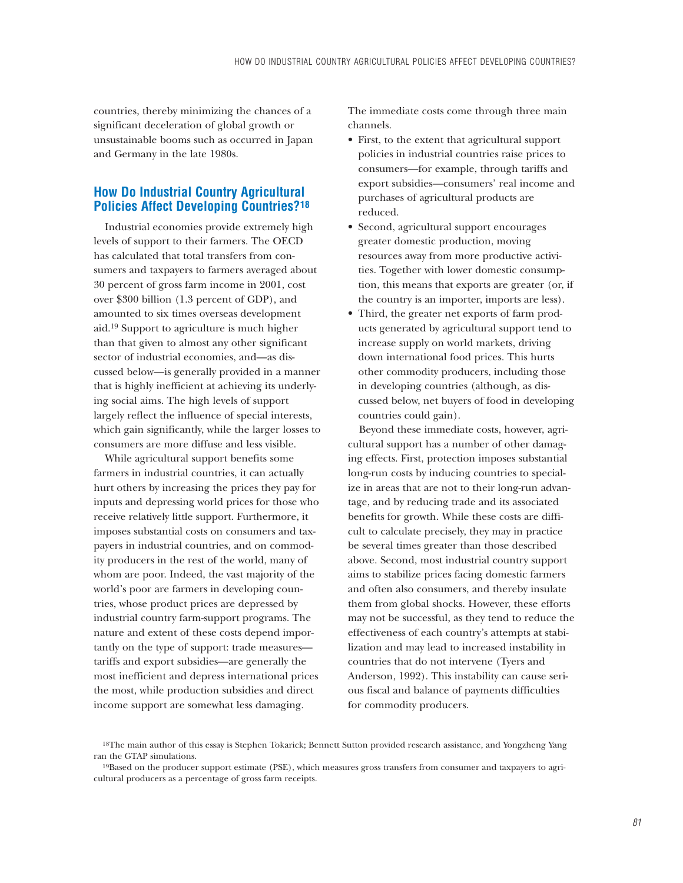countries, thereby minimizing the chances of a significant deceleration of global growth or unsustainable booms such as occurred in Japan and Germany in the late 1980s.

# **How Do Industrial Country Agricultural Policies Affect Developing Countries?18**

Industrial economies provide extremely high levels of support to their farmers. The OECD has calculated that total transfers from consumers and taxpayers to farmers averaged about 30 percent of gross farm income in 2001, cost over \$300 billion (1.3 percent of GDP), and amounted to six times overseas development aid.19 Support to agriculture is much higher than that given to almost any other significant sector of industrial economies, and—as discussed below—is generally provided in a manner that is highly inefficient at achieving its underlying social aims. The high levels of support largely reflect the influence of special interests, which gain significantly, while the larger losses to consumers are more diffuse and less visible.

While agricultural support benefits some farmers in industrial countries, it can actually hurt others by increasing the prices they pay for inputs and depressing world prices for those who receive relatively little support. Furthermore, it imposes substantial costs on consumers and taxpayers in industrial countries, and on commodity producers in the rest of the world, many of whom are poor. Indeed, the vast majority of the world's poor are farmers in developing countries, whose product prices are depressed by industrial country farm-support programs. The nature and extent of these costs depend importantly on the type of support: trade measures tariffs and export subsidies—are generally the most inefficient and depress international prices the most, while production subsidies and direct income support are somewhat less damaging.

The immediate costs come through three main channels.

- First, to the extent that agricultural support policies in industrial countries raise prices to consumers—for example, through tariffs and export subsidies—consumers' real income and purchases of agricultural products are reduced.
- Second, agricultural support encourages greater domestic production, moving resources away from more productive activities. Together with lower domestic consumption, this means that exports are greater (or, if the country is an importer, imports are less).
- Third, the greater net exports of farm products generated by agricultural support tend to increase supply on world markets, driving down international food prices. This hurts other commodity producers, including those in developing countries (although, as discussed below, net buyers of food in developing countries could gain).

Beyond these immediate costs, however, agricultural support has a number of other damaging effects. First, protection imposes substantial long-run costs by inducing countries to specialize in areas that are not to their long-run advantage, and by reducing trade and its associated benefits for growth. While these costs are difficult to calculate precisely, they may in practice be several times greater than those described above. Second, most industrial country support aims to stabilize prices facing domestic farmers and often also consumers, and thereby insulate them from global shocks. However, these efforts may not be successful, as they tend to reduce the effectiveness of each country's attempts at stabilization and may lead to increased instability in countries that do not intervene (Tyers and Anderson, 1992). This instability can cause serious fiscal and balance of payments difficulties for commodity producers.

<sup>18</sup>The main author of this essay is Stephen Tokarick; Bennett Sutton provided research assistance, and Yongzheng Yang ran the GTAP simulations.

<sup>19</sup>Based on the producer support estimate (PSE), which measures gross transfers from consumer and taxpayers to agricultural producers as a percentage of gross farm receipts.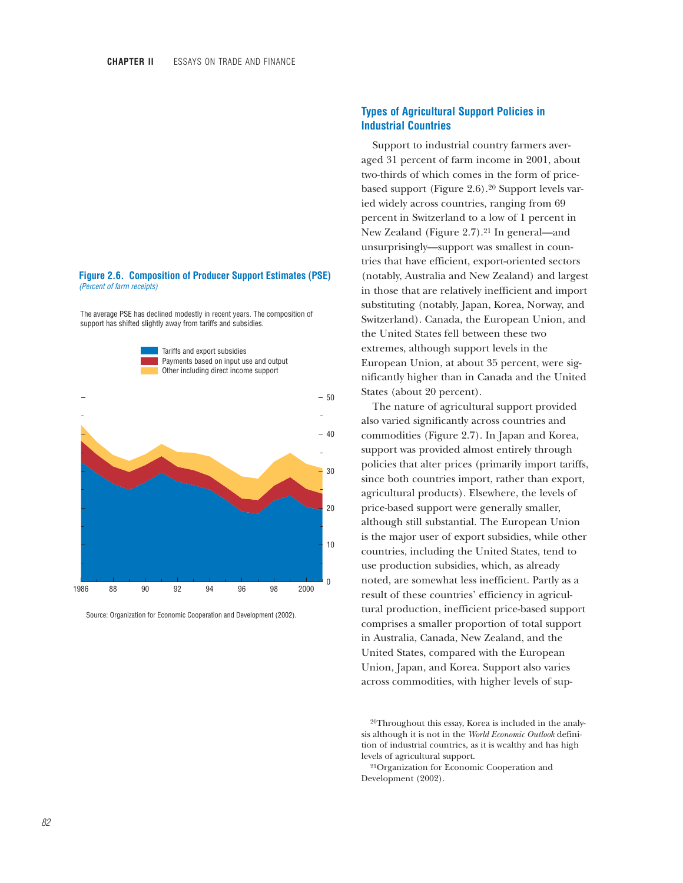### **Figure 2.6. Composition of Producer Support Estimates (PSE)** *(Percent of farm receipts)*

The average PSE has declined modestly in recent years. The composition of support has shifted slightly away from tariffs and subsidies.



Source: Organization for Economic Cooperation and Development (2002).

## **Types of Agricultural Support Policies in Industrial Countries**

Support to industrial country farmers averaged 31 percent of farm income in 2001, about two-thirds of which comes in the form of pricebased support (Figure 2.6).20 Support levels varied widely across countries, ranging from 69 percent in Switzerland to a low of 1 percent in New Zealand (Figure 2.7).21 In general—and unsurprisingly—support was smallest in countries that have efficient, export-oriented sectors (notably, Australia and New Zealand) and largest in those that are relatively inefficient and import substituting (notably, Japan, Korea, Norway, and Switzerland). Canada, the European Union, and the United States fell between these two extremes, although support levels in the European Union, at about 35 percent, were significantly higher than in Canada and the United States (about 20 percent).

The nature of agricultural support provided also varied significantly across countries and commodities (Figure 2.7). In Japan and Korea, support was provided almost entirely through policies that alter prices (primarily import tariffs, since both countries import, rather than export, agricultural products). Elsewhere, the levels of price-based support were generally smaller, although still substantial. The European Union is the major user of export subsidies, while other countries, including the United States, tend to use production subsidies, which, as already noted, are somewhat less inefficient. Partly as a result of these countries' efficiency in agricultural production, inefficient price-based support comprises a smaller proportion of total support in Australia, Canada, New Zealand, and the United States, compared with the European Union, Japan, and Korea. Support also varies across commodities, with higher levels of sup-

20Throughout this essay, Korea is included in the analysis although it is not in the *World Economic Outlook* definition of industrial countries, as it is wealthy and has high levels of agricultural support.

21Organization for Economic Cooperation and Development (2002).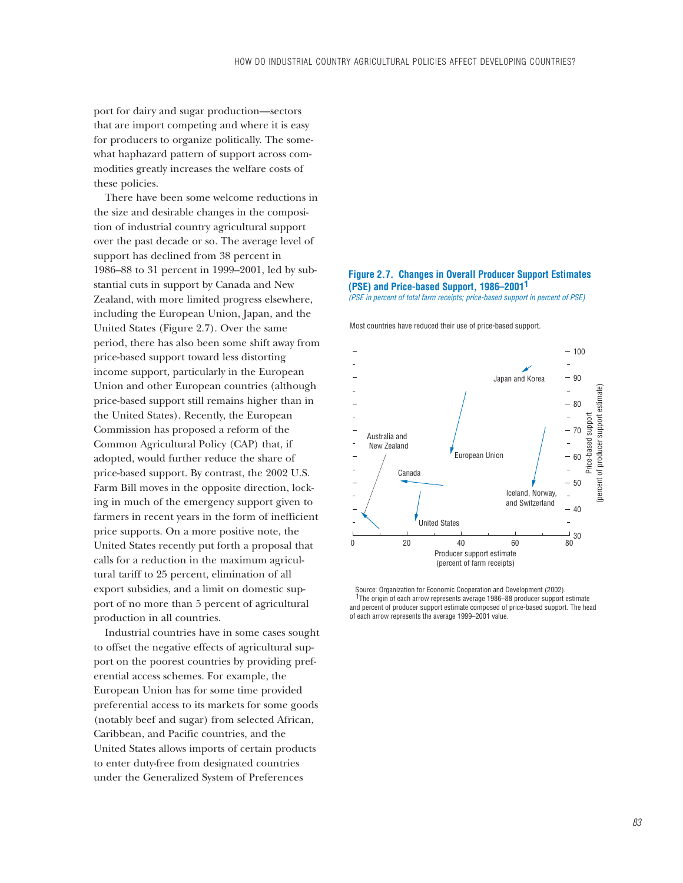port for dairy and sugar production—sectors that are import competing and where it is easy for producers to organize politically. The somewhat haphazard pattern of support across commodities greatly increases the welfare costs of these policies.

There have been some welcome reductions in the size and desirable changes in the composition of industrial country agricultural support over the past decade or so. The average level of support has declined from 38 percent in 1986–88 to 31 percent in 1999–2001, led by substantial cuts in support by Canada and New Zealand, with more limited progress elsewhere, including the European Union, Japan, and the United States (Figure 2.7). Over the same period, there has also been some shift away from price-based support toward less distorting income support, particularly in the European Union and other European countries (although price-based support still remains higher than in the United States). Recently, the European Commission has proposed a reform of the Common Agricultural Policy (CAP) that, if adopted, would further reduce the share of price-based support. By contrast, the 2002 U.S. Farm Bill moves in the opposite direction, locking in much of the emergency support given to farmers in recent years in the form of inefficient price supports. On a more positive note, the United States recently put forth a proposal that calls for a reduction in the maximum agricultural tariff to 25 percent, elimination of all export subsidies, and a limit on domestic support of no more than 5 percent of agricultural production in all countries.

Industrial countries have in some cases sought to offset the negative effects of agricultural support on the poorest countries by providing preferential access schemes. For example, the European Union has for some time provided preferential access to its markets for some goods (notably beef and sugar) from selected African, Caribbean, and Pacific countries, and the United States allows imports of certain products to enter duty-free from designated countries under the Generalized System of Preferences



*(PSE in percent of total farm receipts; price-based support in percent of PSE)*

Most countries have reduced their use of price-based support.



 Source: Organization for Economic Cooperation and Development (2002). <sup>1</sup>The origin of each arrow represents average 1986–88 producer support estimate and percent of producer support estimate composed of price-based support. The head of each arrow represents the average 1999–2001 value.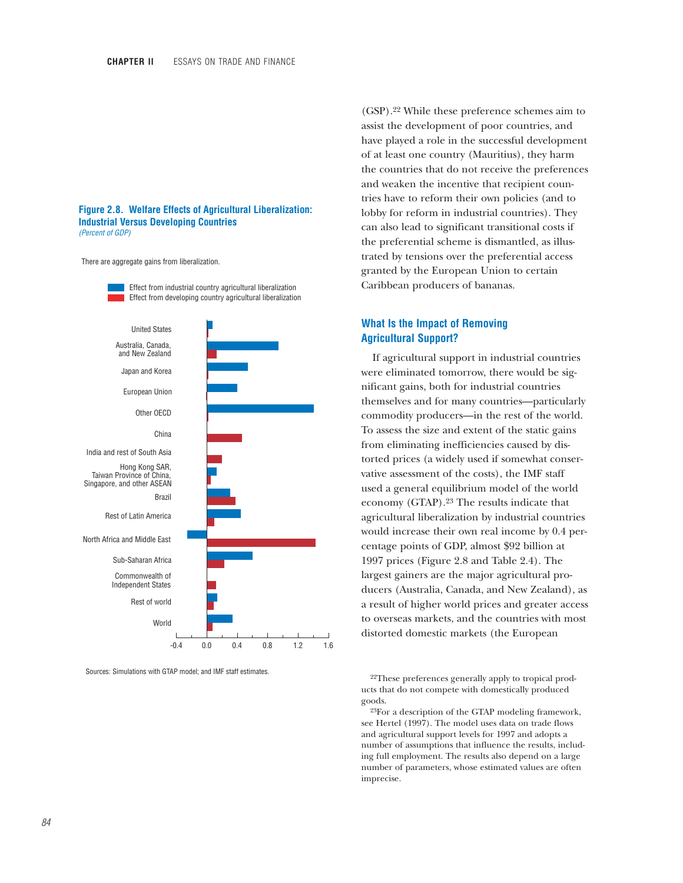### **Figure 2.8. Welfare Effects of Agricultural Liberalization: Industrial Versus Developing Countries** *(Percent of GDP)*

There are aggregate gains from liberalization.



Sources: Simulations with GTAP model; and IMF staff estimates.

(GSP).22 While these preference schemes aim to assist the development of poor countries, and have played a role in the successful development of at least one country (Mauritius), they harm the countries that do not receive the preferences and weaken the incentive that recipient countries have to reform their own policies (and to lobby for reform in industrial countries). They can also lead to significant transitional costs if the preferential scheme is dismantled, as illustrated by tensions over the preferential access granted by the European Union to certain Caribbean producers of bananas.

## **What Is the Impact of Removing Agricultural Support?**

If agricultural support in industrial countries were eliminated tomorrow, there would be significant gains, both for industrial countries themselves and for many countries—particularly commodity producers—in the rest of the world. To assess the size and extent of the static gains from eliminating inefficiencies caused by distorted prices (a widely used if somewhat conservative assessment of the costs), the IMF staff used a general equilibrium model of the world economy (GTAP).23 The results indicate that agricultural liberalization by industrial countries would increase their own real income by 0.4 percentage points of GDP, almost \$92 billion at 1997 prices (Figure 2.8 and Table 2.4). The largest gainers are the major agricultural producers (Australia, Canada, and New Zealand), as a result of higher world prices and greater access to overseas markets, and the countries with most distorted domestic markets (the European

23For a description of the GTAP modeling framework, see Hertel (1997). The model uses data on trade flows and agricultural support levels for 1997 and adopts a number of assumptions that influence the results, including full employment. The results also depend on a large number of parameters, whose estimated values are often imprecise.

<sup>22</sup>These preferences generally apply to tropical products that do not compete with domestically produced goods.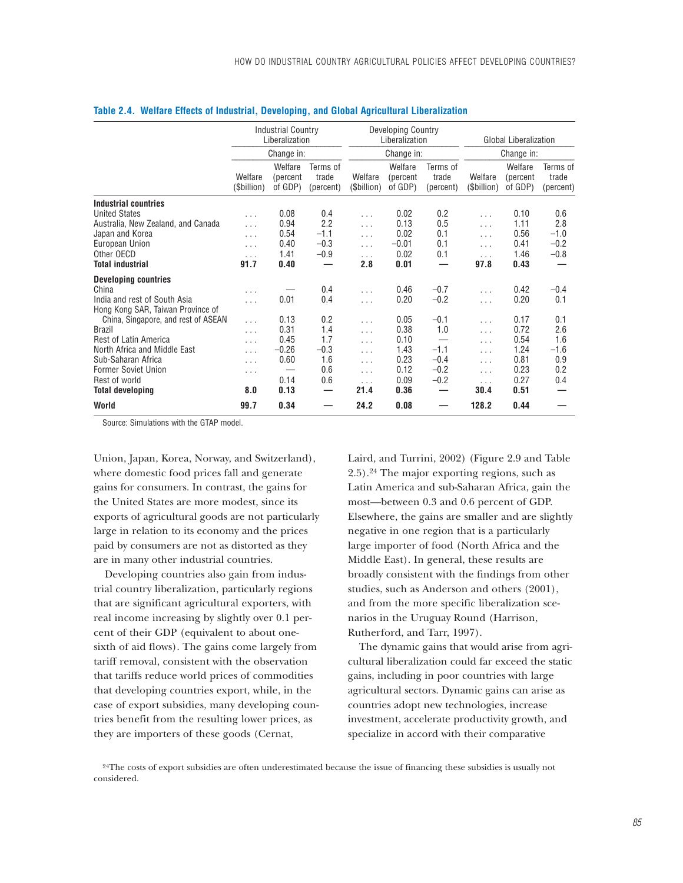|                                     | <b>Industrial Country</b><br>Liberalization |                                |                                |                        | Developing Country<br>Liberalization |                                |                        | <b>Global Liberalization</b>   |                                |  |
|-------------------------------------|---------------------------------------------|--------------------------------|--------------------------------|------------------------|--------------------------------------|--------------------------------|------------------------|--------------------------------|--------------------------------|--|
|                                     |                                             | Change in:                     |                                |                        | Change in:                           |                                | Change in:             |                                |                                |  |
|                                     | Welfare<br>(\$billion)                      | Welfare<br>(percent<br>of GDP) | Terms of<br>trade<br>(percent) | Welfare<br>(\$billion) | Welfare<br>(percent)<br>of GDP)      | Terms of<br>trade<br>(percent) | Welfare<br>(\$billion) | Welfare<br>(percent<br>of GDP) | Terms of<br>trade<br>(percent) |  |
| Industrial countries                |                                             |                                |                                |                        |                                      |                                |                        |                                |                                |  |
| <b>United States</b>                | $\cdots$                                    | 0.08                           | 0.4                            | $\cdots$               | 0.02                                 | 0.2                            | $\cdots$               | 0.10                           | 0.6                            |  |
| Australia, New Zealand, and Canada  | $\cdots$                                    | 0.94                           | 2.2                            | $\cdots$               | 0.13                                 | 0.5                            | $\cdots$               | 1.11                           | 2.8                            |  |
| Japan and Korea                     | $\ldots$                                    | 0.54                           | $-1.1$                         | $\cdots$               | 0.02                                 | 0.1                            | $\cdots$               | 0.56                           | $-1.0$                         |  |
| European Union                      | $\ldots$                                    | 0.40                           | $-0.3$                         | $\ldots$               | $-0.01$                              | 0.1                            | $\ldots$               | 0.41                           | $-0.2$                         |  |
| Other OECD                          | $\cdots$                                    | 1.41                           | $-0.9$                         | .                      | 0.02                                 | 0.1                            | $\ldots$               | 1.46                           | $-0.8$                         |  |
| <b>Total industrial</b>             | 91.7                                        | 0.40                           |                                | 2.8                    | 0.01                                 |                                | 97.8                   | 0.43                           |                                |  |
| <b>Developing countries</b>         |                                             |                                |                                |                        |                                      |                                |                        |                                |                                |  |
| China                               | .                                           |                                | 0.4                            | $\cdots$               | 0.46                                 | $-0.7$                         | $\cdots$               | 0.42                           | $-0.4$                         |  |
| India and rest of South Asia        | .                                           | 0.01                           | 0.4                            | $\ldots$               | 0.20                                 | $-0.2$                         | $\ldots$               | 0.20                           | 0.1                            |  |
| Hong Kong SAR, Taiwan Province of   |                                             |                                |                                |                        |                                      |                                |                        |                                |                                |  |
| China, Singapore, and rest of ASEAN | $\ldots$                                    | 0.13                           | 0.2                            | $\cdots$               | 0.05                                 | $-0.1$                         | $\ldots$               | 0.17                           | 0.1                            |  |
| <b>Brazil</b>                       | $\ldots$                                    | 0.31                           | 1.4                            | $\cdots$               | 0.38                                 | 1.0                            | $\cdots$               | 0.72                           | 2.6                            |  |
| Rest of Latin America               | $\cdots$                                    | 0.45                           | 1.7                            | $\cdots$               | 0.10                                 |                                | $\cdots$               | 0.54                           | 1.6                            |  |
| North Africa and Middle East        | $\cdots$                                    | $-0.26$                        | $-0.3$                         | $\ldots$               | 1.43                                 | $-1.1$                         | $\cdots$               | 1.24                           | $-1.6$                         |  |
| Sub-Saharan Africa                  | $\ldots$                                    | 0.60                           | 1.6                            | $\cdots$               | 0.23                                 | $-0.4$                         | $\cdots$               | 0.81                           | 0.9                            |  |
| <b>Former Soviet Union</b>          | $\cdots$                                    | $\overbrace{\phantom{123321}}$ | 0.6                            | .                      | 0.12                                 | $-0.2$                         | $\cdots$               | 0.23                           | 0.2                            |  |
| Rest of world                       |                                             | 0.14                           | 0.6                            | $\ldots$               | 0.09                                 | $-0.2$                         | $\ldots$               | 0.27                           | 0.4                            |  |
| <b>Total developing</b>             | 8.0                                         | 0.13                           | –                              | 21.4                   | 0.36                                 | –                              | 30.4                   | 0.51                           |                                |  |
| World                               | 99.7                                        | 0.34                           |                                | 24.2                   | 0.08                                 |                                | 128.2                  | 0.44                           |                                |  |

### **Table 2.4. Welfare Effects of Industrial, Developing, and Global Agricultural Liberalization**

Source: Simulations with the GTAP model.

Union, Japan, Korea, Norway, and Switzerland), where domestic food prices fall and generate gains for consumers. In contrast, the gains for the United States are more modest, since its exports of agricultural goods are not particularly large in relation to its economy and the prices paid by consumers are not as distorted as they are in many other industrial countries.

Developing countries also gain from industrial country liberalization, particularly regions that are significant agricultural exporters, with real income increasing by slightly over 0.1 percent of their GDP (equivalent to about onesixth of aid flows). The gains come largely from tariff removal, consistent with the observation that tariffs reduce world prices of commodities that developing countries export, while, in the case of export subsidies, many developing countries benefit from the resulting lower prices, as they are importers of these goods (Cernat,

Laird, and Turrini, 2002) (Figure 2.9 and Table 2.5).24 The major exporting regions, such as Latin America and sub-Saharan Africa, gain the most—between 0.3 and 0.6 percent of GDP. Elsewhere, the gains are smaller and are slightly negative in one region that is a particularly large importer of food (North Africa and the Middle East). In general, these results are broadly consistent with the findings from other studies, such as Anderson and others (2001), and from the more specific liberalization scenarios in the Uruguay Round (Harrison, Rutherford, and Tarr, 1997).

The dynamic gains that would arise from agricultural liberalization could far exceed the static gains, including in poor countries with large agricultural sectors. Dynamic gains can arise as countries adopt new technologies, increase investment, accelerate productivity growth, and specialize in accord with their comparative

<sup>24</sup>The costs of export subsidies are often underestimated because the issue of financing these subsidies is usually not considered.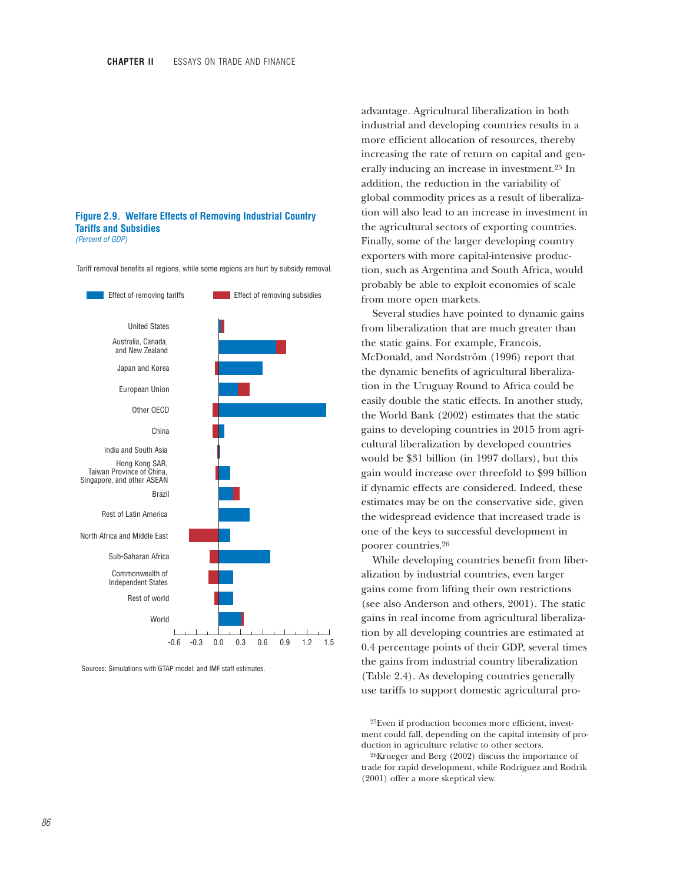#### **Figure 2.9. Welfare Effects of Removing Industrial Country Tariffs and Subsidies** *(Percent of GDP)*

Tariff removal benefits all regions, while some regions are hurt by subsidy removal.



Sources: Simulations with GTAP model; and IMF staff estimates.

advantage. Agricultural liberalization in both industrial and developing countries results in a more efficient allocation of resources, thereby increasing the rate of return on capital and generally inducing an increase in investment.25 In addition, the reduction in the variability of global commodity prices as a result of liberalization will also lead to an increase in investment in the agricultural sectors of exporting countries. Finally, some of the larger developing country exporters with more capital-intensive production, such as Argentina and South Africa, would probably be able to exploit economies of scale from more open markets.

Several studies have pointed to dynamic gains from liberalization that are much greater than the static gains. For example, Francois, McDonald, and Nordström (1996) report that the dynamic benefits of agricultural liberalization in the Uruguay Round to Africa could be easily double the static effects. In another study, the World Bank (2002) estimates that the static gains to developing countries in 2015 from agricultural liberalization by developed countries would be \$31 billion (in 1997 dollars), but this gain would increase over threefold to \$99 billion if dynamic effects are considered. Indeed, these estimates may be on the conservative side, given the widespread evidence that increased trade is one of the keys to successful development in poorer countries.26

While developing countries benefit from liberalization by industrial countries, even larger gains come from lifting their own restrictions (see also Anderson and others, 2001). The static gains in real income from agricultural liberalization by all developing countries are estimated at 0.4 percentage points of their GDP, several times the gains from industrial country liberalization (Table 2.4). As developing countries generally use tariffs to support domestic agricultural pro-

25Even if production becomes more efficient, investment could fall, depending on the capital intensity of production in agriculture relative to other sectors.

26Krueger and Berg (2002) discuss the importance of trade for rapid development, while Rodriguez and Rodrik (2001) offer a more skeptical view.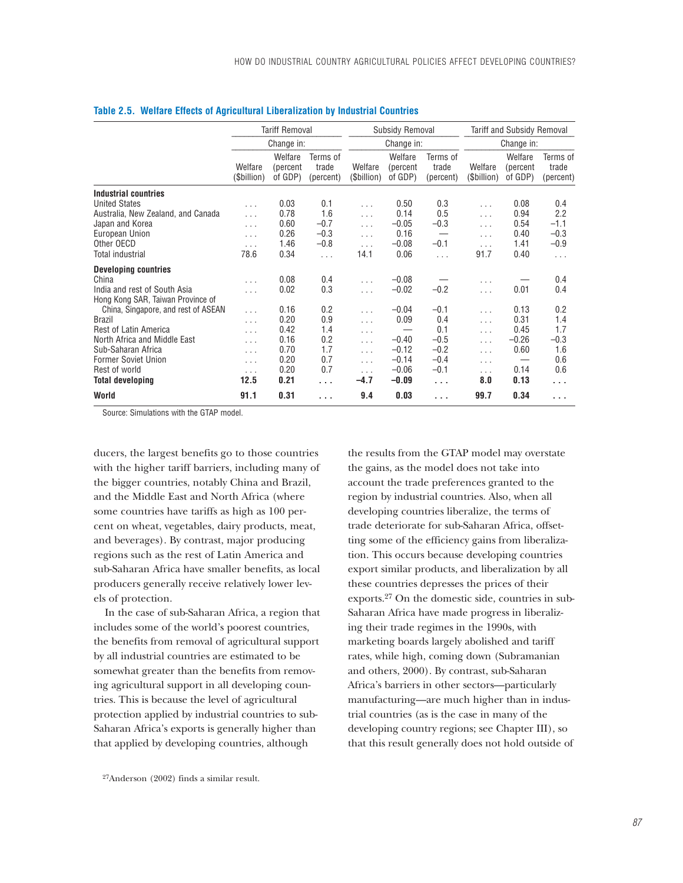|                                     |                        | <b>Tariff Removal</b>          |                                |                        | Subsidy Removal                |                                | <b>Tariff and Subsidy Removal</b> |                                |                                |  |
|-------------------------------------|------------------------|--------------------------------|--------------------------------|------------------------|--------------------------------|--------------------------------|-----------------------------------|--------------------------------|--------------------------------|--|
|                                     |                        | Change in:                     |                                |                        | Change in:                     |                                | Change in:                        |                                |                                |  |
|                                     | Welfare<br>(\$billion) | Welfare<br>(percent<br>of GDP) | Terms of<br>trade<br>(percent) | Welfare<br>(\$billion) | Welfare<br>(percent<br>of GDP) | Terms of<br>trade<br>(percent) | Welfare<br>(\$billion)            | Welfare<br>(percent<br>of GDP) | Terms of<br>trade<br>(percent) |  |
| Industrial countries                |                        |                                |                                |                        |                                |                                |                                   |                                |                                |  |
| <b>United States</b>                | $\cdots$               | 0.03                           | 0.1                            | $\cdots$               | 0.50                           | 0.3                            | $\cdots$                          | 0.08                           | 0.4                            |  |
| Australia, New Zealand, and Canada  | $\cdots$               | 0.78                           | 1.6                            | $\ldots$               | 0.14                           | 0.5                            | $\cdots$                          | 0.94                           | 2.2                            |  |
| Japan and Korea                     | $\cdots$               | 0.60                           | $-0.7$                         | $\ldots$               | $-0.05$                        | $-0.3$                         | $\ldots$                          | 0.54                           | $-1.1$                         |  |
| European Union                      | $\cdots$               | 0.26                           | $-0.3$                         | $\ldots$               | 0.16                           |                                | .                                 | 0.40                           | $-0.3$                         |  |
| Other OECD                          | $\cdots$               | 1.46                           | $-0.8$                         | $\ldots$               | $-0.08$                        | $-0.1$                         | $\cdots$                          | 1.41                           | $-0.9$                         |  |
| <b>Total industrial</b>             | 78.6                   | 0.34                           | .                              | 14.1                   | 0.06                           | $\ldots$                       | 91.7                              | 0.40                           | $\ldots$                       |  |
| <b>Developing countries</b>         |                        |                                |                                |                        |                                |                                |                                   |                                |                                |  |
| China                               | $\cdots$               | 0.08                           | 0.4                            | $\ldots$               | $-0.08$                        |                                | .                                 |                                | 0.4                            |  |
| India and rest of South Asia        | $\cdots$               | 0.02                           | 0.3                            | $\cdots$               | $-0.02$                        | $-0.2$                         | $\ldots$                          | 0.01                           | 0.4                            |  |
| Hong Kong SAR, Taiwan Province of   |                        |                                |                                |                        |                                |                                |                                   |                                |                                |  |
| China, Singapore, and rest of ASEAN | $\cdots$               | 0.16                           | 0.2                            | $\cdots$               | $-0.04$                        | $-0.1$                         | $\ldots$                          | 0.13                           | 0.2                            |  |
| <b>Brazil</b>                       | $\cdots$               | 0.20                           | 0.9                            | $\ldots$               | 0.09                           | 0.4                            | $\ldots$                          | 0.31                           | 1.4                            |  |
| Rest of Latin America               | $\cdots$               | 0.42                           | 1.4                            | $\cdots$               |                                | 0.1                            | $\cdots$                          | 0.45                           | 1.7                            |  |
| North Africa and Middle East        | $\cdots$               | 0.16                           | 0.2                            | $\cdots$               | $-0.40$                        | $-0.5$                         | $\ldots$                          | $-0.26$                        | $-0.3$                         |  |
| Sub-Saharan Africa                  | $\cdots$               | 0.70                           | 1.7                            | $\ldots$               | $-0.12$                        | $-0.2$                         | $\ldots$                          | 0.60                           | 1.6                            |  |
| <b>Former Soviet Union</b>          | $\ldots$               | 0.20                           | 0.7                            | $\ldots$               | $-0.14$                        | $-0.4$                         | $\cdots$                          |                                | 0.6                            |  |
| Rest of world                       | $\cdots$               | 0.20                           | 0.7                            | $\cdots$               | $-0.06$                        | $-0.1$                         | $\ldots$                          | 0.14                           | 0.6                            |  |
| <b>Total developing</b>             | 12.5                   | 0.21                           | $\cdots$                       | $-4.7$                 | $-0.09$                        | $\cdots$                       | 8.0                               | 0.13                           | .                              |  |
| World                               | 91.1                   | 0.31                           | $\cdots$                       | 9.4                    | 0.03                           | .                              | 99.7                              | 0.34                           | .                              |  |

### **Table 2.5. Welfare Effects of Agricultural Liberalization by Industrial Countries**

Source: Simulations with the GTAP model.

ducers, the largest benefits go to those countries with the higher tariff barriers, including many of the bigger countries, notably China and Brazil, and the Middle East and North Africa (where some countries have tariffs as high as 100 percent on wheat, vegetables, dairy products, meat, and beverages). By contrast, major producing regions such as the rest of Latin America and sub-Saharan Africa have smaller benefits, as local producers generally receive relatively lower levels of protection.

In the case of sub-Saharan Africa, a region that includes some of the world's poorest countries, the benefits from removal of agricultural support by all industrial countries are estimated to be somewhat greater than the benefits from removing agricultural support in all developing countries. This is because the level of agricultural protection applied by industrial countries to sub-Saharan Africa's exports is generally higher than that applied by developing countries, although

the results from the GTAP model may overstate the gains, as the model does not take into account the trade preferences granted to the region by industrial countries. Also, when all developing countries liberalize, the terms of trade deteriorate for sub-Saharan Africa, offsetting some of the efficiency gains from liberalization. This occurs because developing countries export similar products, and liberalization by all these countries depresses the prices of their exports.27 On the domestic side, countries in sub-Saharan Africa have made progress in liberalizing their trade regimes in the 1990s, with marketing boards largely abolished and tariff rates, while high, coming down (Subramanian and others, 2000). By contrast, sub-Saharan Africa's barriers in other sectors—particularly manufacturing—are much higher than in industrial countries (as is the case in many of the developing country regions; see Chapter III), so that this result generally does not hold outside of

<sup>27</sup>Anderson (2002) finds a similar result.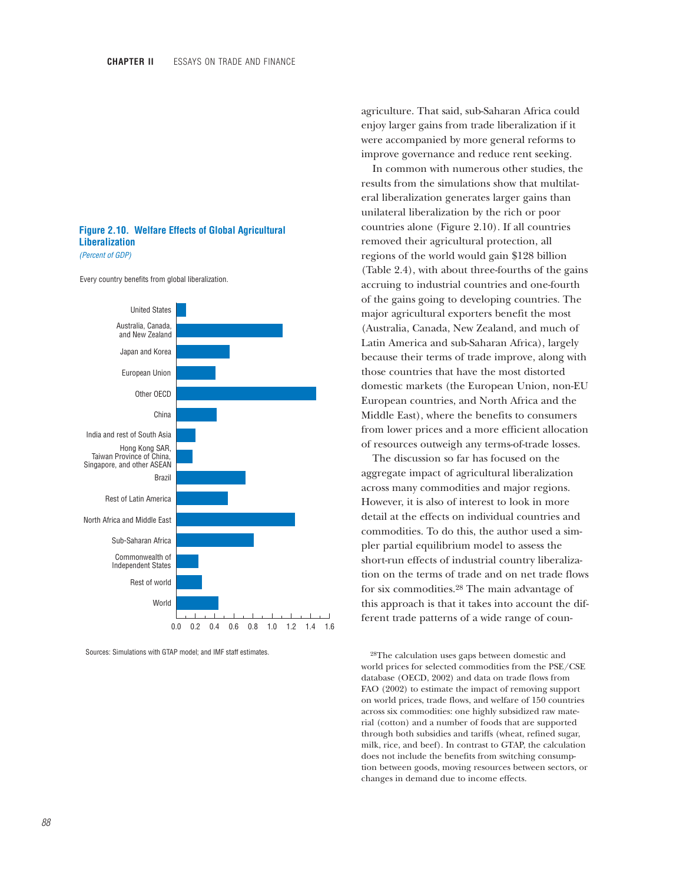### **Figure 2.10. Welfare Effects of Global Agricultural Liberalization**

*(Percent of GDP)*

Every country benefits from global liberalization.



Sources: Simulations with GTAP model; and IMF staff estimates.

agriculture. That said, sub-Saharan Africa could enjoy larger gains from trade liberalization if it were accompanied by more general reforms to improve governance and reduce rent seeking.

In common with numerous other studies, the results from the simulations show that multilateral liberalization generates larger gains than unilateral liberalization by the rich or poor countries alone (Figure 2.10). If all countries removed their agricultural protection, all regions of the world would gain \$128 billion (Table 2.4), with about three-fourths of the gains accruing to industrial countries and one-fourth of the gains going to developing countries. The major agricultural exporters benefit the most (Australia, Canada, New Zealand, and much of Latin America and sub-Saharan Africa), largely because their terms of trade improve, along with those countries that have the most distorted domestic markets (the European Union, non-EU European countries, and North Africa and the Middle East), where the benefits to consumers from lower prices and a more efficient allocation of resources outweigh any terms-of-trade losses.

The discussion so far has focused on the aggregate impact of agricultural liberalization across many commodities and major regions. However, it is also of interest to look in more detail at the effects on individual countries and commodities. To do this, the author used a simpler partial equilibrium model to assess the short-run effects of industrial country liberalization on the terms of trade and on net trade flows for six commodities.28 The main advantage of this approach is that it takes into account the different trade patterns of a wide range of coun-

28The calculation uses gaps between domestic and world prices for selected commodities from the PSE/CSE database (OECD, 2002) and data on trade flows from FAO (2002) to estimate the impact of removing support on world prices, trade flows, and welfare of 150 countries across six commodities: one highly subsidized raw material (cotton) and a number of foods that are supported through both subsidies and tariffs (wheat, refined sugar, milk, rice, and beef). In contrast to GTAP, the calculation does not include the benefits from switching consumption between goods, moving resources between sectors, or changes in demand due to income effects.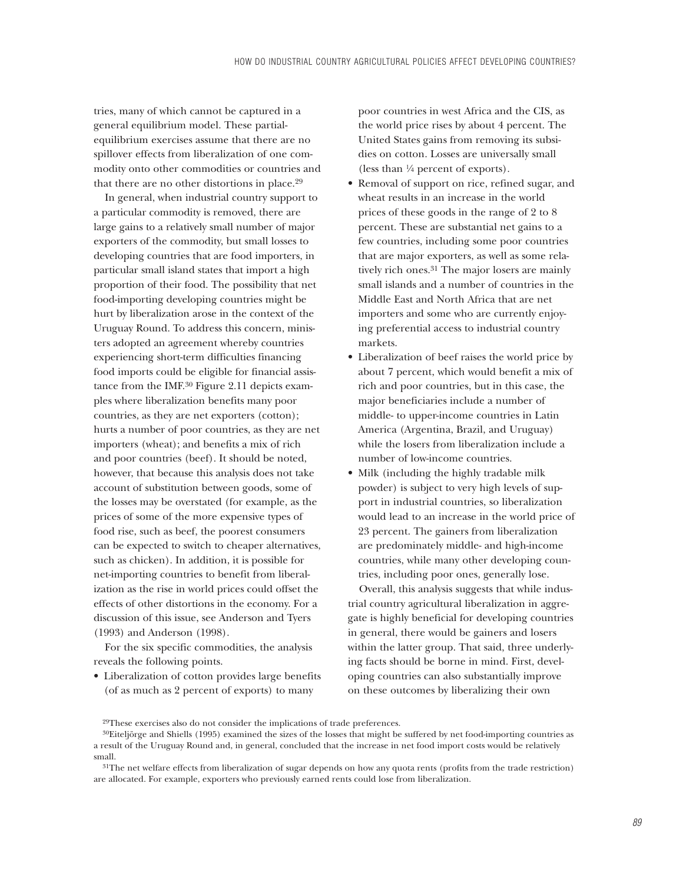tries, many of which cannot be captured in a general equilibrium model. These partialequilibrium exercises assume that there are no spillover effects from liberalization of one commodity onto other commodities or countries and that there are no other distortions in place.29

In general, when industrial country support to a particular commodity is removed, there are large gains to a relatively small number of major exporters of the commodity, but small losses to developing countries that are food importers, in particular small island states that import a high proportion of their food. The possibility that net food-importing developing countries might be hurt by liberalization arose in the context of the Uruguay Round. To address this concern, ministers adopted an agreement whereby countries experiencing short-term difficulties financing food imports could be eligible for financial assistance from the IMF.30 Figure 2.11 depicts examples where liberalization benefits many poor countries, as they are net exporters (cotton); hurts a number of poor countries, as they are net importers (wheat); and benefits a mix of rich and poor countries (beef). It should be noted, however, that because this analysis does not take account of substitution between goods, some of the losses may be overstated (for example, as the prices of some of the more expensive types of food rise, such as beef, the poorest consumers can be expected to switch to cheaper alternatives, such as chicken). In addition, it is possible for net-importing countries to benefit from liberalization as the rise in world prices could offset the effects of other distortions in the economy. For a discussion of this issue, see Anderson and Tyers (1993) and Anderson (1998).

For the six specific commodities, the analysis reveals the following points.

• Liberalization of cotton provides large benefits (of as much as 2 percent of exports) to many

poor countries in west Africa and the CIS, as the world price rises by about 4 percent. The United States gains from removing its subsidies on cotton. Losses are universally small (less than !/4 percent of exports).

- Removal of support on rice, refined sugar, and wheat results in an increase in the world prices of these goods in the range of 2 to 8 percent. These are substantial net gains to a few countries, including some poor countries that are major exporters, as well as some relatively rich ones.<sup>31</sup> The major losers are mainly small islands and a number of countries in the Middle East and North Africa that are net importers and some who are currently enjoying preferential access to industrial country markets.
- Liberalization of beef raises the world price by about 7 percent, which would benefit a mix of rich and poor countries, but in this case, the major beneficiaries include a number of middle- to upper-income countries in Latin America (Argentina, Brazil, and Uruguay) while the losers from liberalization include a number of low-income countries.
- Milk (including the highly tradable milk powder) is subject to very high levels of support in industrial countries, so liberalization would lead to an increase in the world price of 23 percent. The gainers from liberalization are predominately middle- and high-income countries, while many other developing countries, including poor ones, generally lose.

Overall, this analysis suggests that while industrial country agricultural liberalization in aggregate is highly beneficial for developing countries in general, there would be gainers and losers within the latter group. That said, three underlying facts should be borne in mind. First, developing countries can also substantially improve on these outcomes by liberalizing their own

<sup>29</sup>These exercises also do not consider the implications of trade preferences.

<sup>30</sup>Eiteljörge and Shiells (1995) examined the sizes of the losses that might be suffered by net food-importing countries as a result of the Uruguay Round and, in general, concluded that the increase in net food import costs would be relatively small.

<sup>31</sup>The net welfare effects from liberalization of sugar depends on how any quota rents (profits from the trade restriction) are allocated. For example, exporters who previously earned rents could lose from liberalization.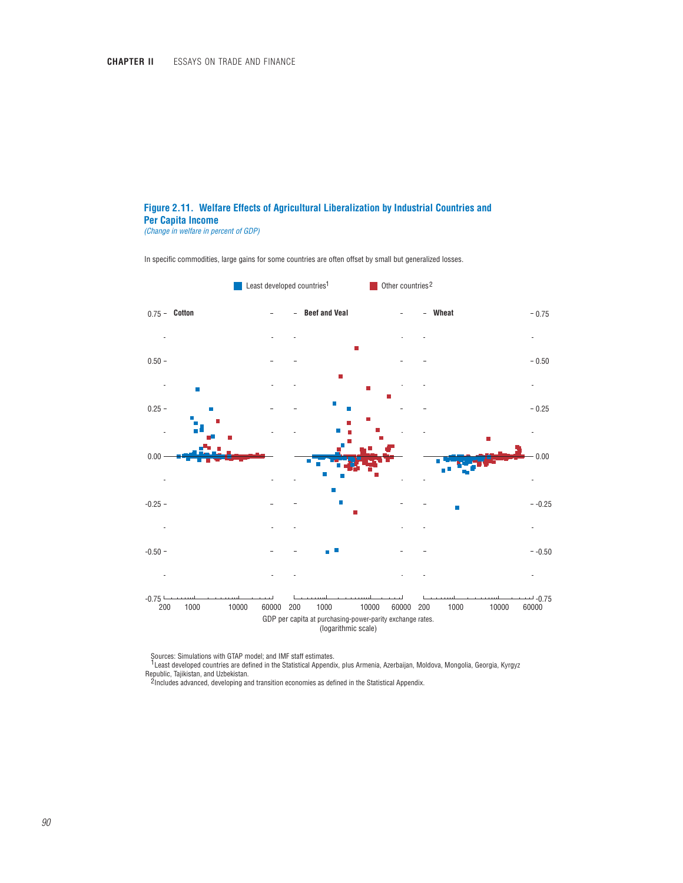## **Figure 2.11. Welfare Effects of Agricultural Liberalization by Industrial Countries and Per Capita Income**

*(Change in welfare in percent of GDP)*

In specific commodities, large gains for some countries are often offset by small but generalized losses.



Sources: Simulations with GTAP model; and IMF staff estimates.

<sup>1</sup> Least developed countries are defined in the Statistical Appendix, plus Armenia, Azerbaijan, Moldova, Mongolia, Georgia, Kyrgyz Republic, Tajikistan, and Uzbekistan.

<sup>2</sup> Includes advanced, developing and transition economies as defined in the Statistical Appendix.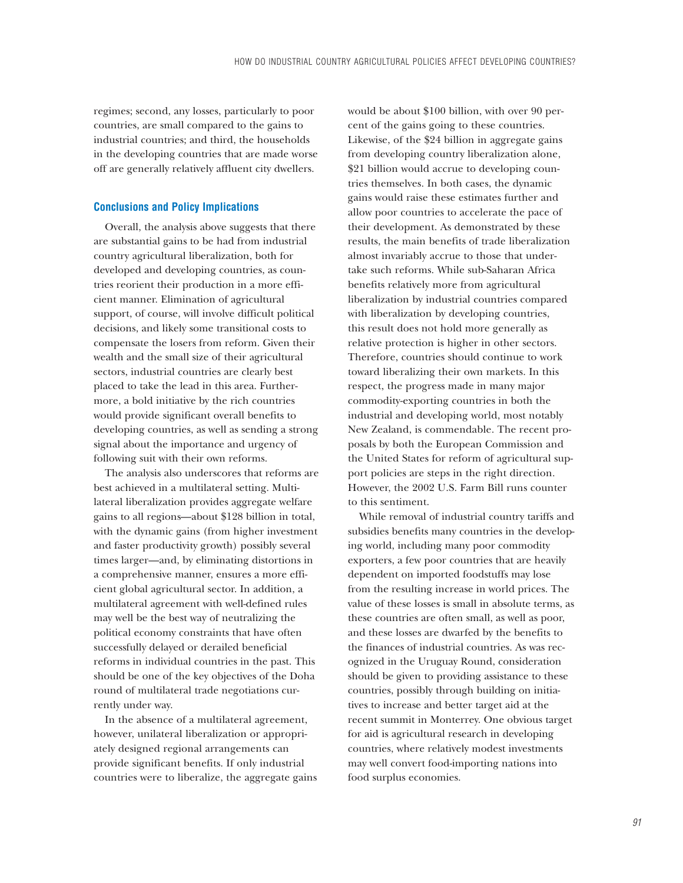regimes; second, any losses, particularly to poor countries, are small compared to the gains to industrial countries; and third, the households in the developing countries that are made worse off are generally relatively affluent city dwellers.

### **Conclusions and Policy Implications**

Overall, the analysis above suggests that there are substantial gains to be had from industrial country agricultural liberalization, both for developed and developing countries, as countries reorient their production in a more efficient manner. Elimination of agricultural support, of course, will involve difficult political decisions, and likely some transitional costs to compensate the losers from reform. Given their wealth and the small size of their agricultural sectors, industrial countries are clearly best placed to take the lead in this area. Furthermore, a bold initiative by the rich countries would provide significant overall benefits to developing countries, as well as sending a strong signal about the importance and urgency of following suit with their own reforms.

The analysis also underscores that reforms are best achieved in a multilateral setting. Multilateral liberalization provides aggregate welfare gains to all regions—about \$128 billion in total, with the dynamic gains (from higher investment and faster productivity growth) possibly several times larger—and, by eliminating distortions in a comprehensive manner, ensures a more efficient global agricultural sector. In addition, a multilateral agreement with well-defined rules may well be the best way of neutralizing the political economy constraints that have often successfully delayed or derailed beneficial reforms in individual countries in the past. This should be one of the key objectives of the Doha round of multilateral trade negotiations currently under way.

In the absence of a multilateral agreement, however, unilateral liberalization or appropriately designed regional arrangements can provide significant benefits. If only industrial countries were to liberalize, the aggregate gains would be about \$100 billion, with over 90 percent of the gains going to these countries. Likewise, of the \$24 billion in aggregate gains from developing country liberalization alone, \$21 billion would accrue to developing countries themselves. In both cases, the dynamic gains would raise these estimates further and allow poor countries to accelerate the pace of their development. As demonstrated by these results, the main benefits of trade liberalization almost invariably accrue to those that undertake such reforms. While sub-Saharan Africa benefits relatively more from agricultural liberalization by industrial countries compared with liberalization by developing countries, this result does not hold more generally as relative protection is higher in other sectors. Therefore, countries should continue to work toward liberalizing their own markets. In this respect, the progress made in many major commodity-exporting countries in both the industrial and developing world, most notably New Zealand, is commendable. The recent proposals by both the European Commission and the United States for reform of agricultural support policies are steps in the right direction. However, the 2002 U.S. Farm Bill runs counter to this sentiment.

While removal of industrial country tariffs and subsidies benefits many countries in the developing world, including many poor commodity exporters, a few poor countries that are heavily dependent on imported foodstuffs may lose from the resulting increase in world prices. The value of these losses is small in absolute terms, as these countries are often small, as well as poor, and these losses are dwarfed by the benefits to the finances of industrial countries. As was recognized in the Uruguay Round, consideration should be given to providing assistance to these countries, possibly through building on initiatives to increase and better target aid at the recent summit in Monterrey. One obvious target for aid is agricultural research in developing countries, where relatively modest investments may well convert food-importing nations into food surplus economies.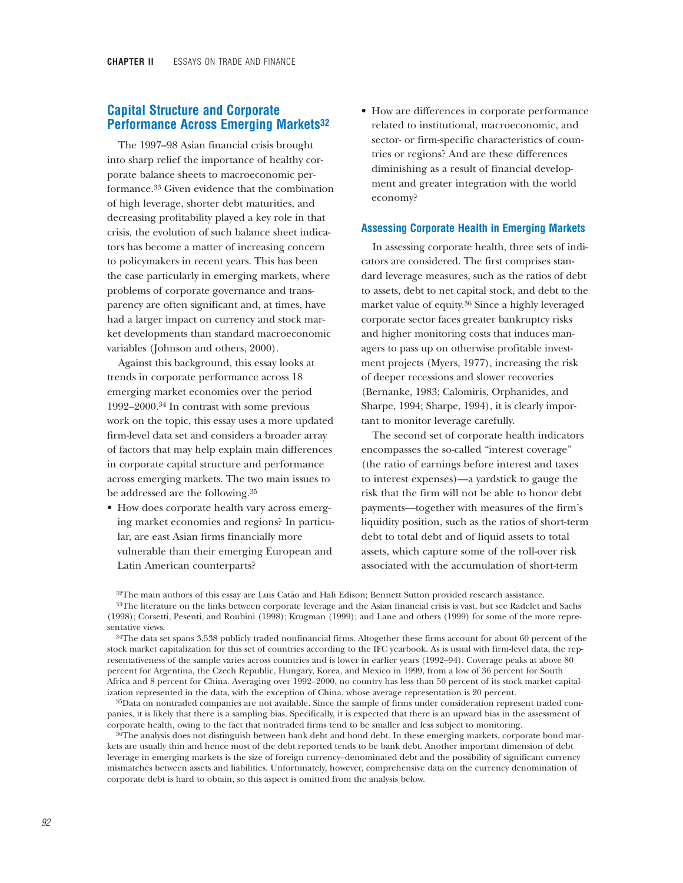# **Capital Structure and Corporate Performance Across Emerging Markets32**

The 1997–98 Asian financial crisis brought into sharp relief the importance of healthy corporate balance sheets to macroeconomic performance.33 Given evidence that the combination of high leverage, shorter debt maturities, and decreasing profitability played a key role in that crisis, the evolution of such balance sheet indicators has become a matter of increasing concern to policymakers in recent years. This has been the case particularly in emerging markets, where problems of corporate governance and transparency are often significant and, at times, have had a larger impact on currency and stock market developments than standard macroeconomic variables (Johnson and others, 2000).

Against this background, this essay looks at trends in corporate performance across 18 emerging market economies over the period 1992–2000.34 In contrast with some previous work on the topic, this essay uses a more updated firm-level data set and considers a broader array of factors that may help explain main differences in corporate capital structure and performance across emerging markets. The two main issues to be addressed are the following.35

• How does corporate health vary across emerging market economies and regions? In particular, are east Asian firms financially more vulnerable than their emerging European and Latin American counterparts?

• How are differences in corporate performance related to institutional, macroeconomic, and sector- or firm-specific characteristics of countries or regions? And are these differences diminishing as a result of financial development and greater integration with the world economy?

### **Assessing Corporate Health in Emerging Markets**

In assessing corporate health, three sets of indicators are considered. The first comprises standard leverage measures, such as the ratios of debt to assets, debt to net capital stock, and debt to the market value of equity.36 Since a highly leveraged corporate sector faces greater bankruptcy risks and higher monitoring costs that induces managers to pass up on otherwise profitable investment projects (Myers, 1977), increasing the risk of deeper recessions and slower recoveries (Bernanke, 1983; Calomiris, Orphanides, and Sharpe, 1994; Sharpe, 1994), it is clearly important to monitor leverage carefully.

The second set of corporate health indicators encompasses the so-called "interest coverage" (the ratio of earnings before interest and taxes to interest expenses)—a yardstick to gauge the risk that the firm will not be able to honor debt payments—together with measures of the firm's liquidity position, such as the ratios of short-term debt to total debt and of liquid assets to total assets, which capture some of the roll-over risk associated with the accumulation of short-term

32The main authors of this essay are Luis Catão and Hali Edison; Bennett Sutton provided research assistance. 33The literature on the links between corporate leverage and the Asian financial crisis is vast, but see Radelet and Sachs (1998); Corsetti, Pesenti, and Roubini (1998); Krugman (1999); and Lane and others (1999) for some of the more representative views.

<sup>34</sup>The data set spans 3,538 publicly traded nonfinancial firms. Altogether these firms account for about 60 percent of the stock market capitalization for this set of countries according to the IFC yearbook. As is usual with firm-level data, the representativeness of the sample varies across countries and is lower in earlier years (1992–94). Coverage peaks at above 80 percent for Argentina, the Czech Republic, Hungary, Korea, and Mexico in 1999, from a low of 36 percent for South Africa and 8 percent for China. Averaging over 1992–2000, no country has less than 50 percent of its stock market capitalization represented in the data, with the exception of China, whose average representation is 20 percent.

35Data on nontraded companies are not available. Since the sample of firms under consideration represent traded companies, it is likely that there is a sampling bias. Specifically, it is expected that there is an upward bias in the assessment of corporate health, owing to the fact that nontraded firms tend to be smaller and less subject to monitoring.

 $36$ The analysis does not distinguish between bank debt and bond debt. In these emerging markets, corporate bond markets are usually thin and hence most of the debt reported tends to be bank debt. Another important dimension of debt leverage in emerging markets is the size of foreign currency–denominated debt and the possibility of significant currency mismatches between assets and liabilities. Unfortunately, however, comprehensive data on the currency denomination of corporate debt is hard to obtain, so this aspect is omitted from the analysis below.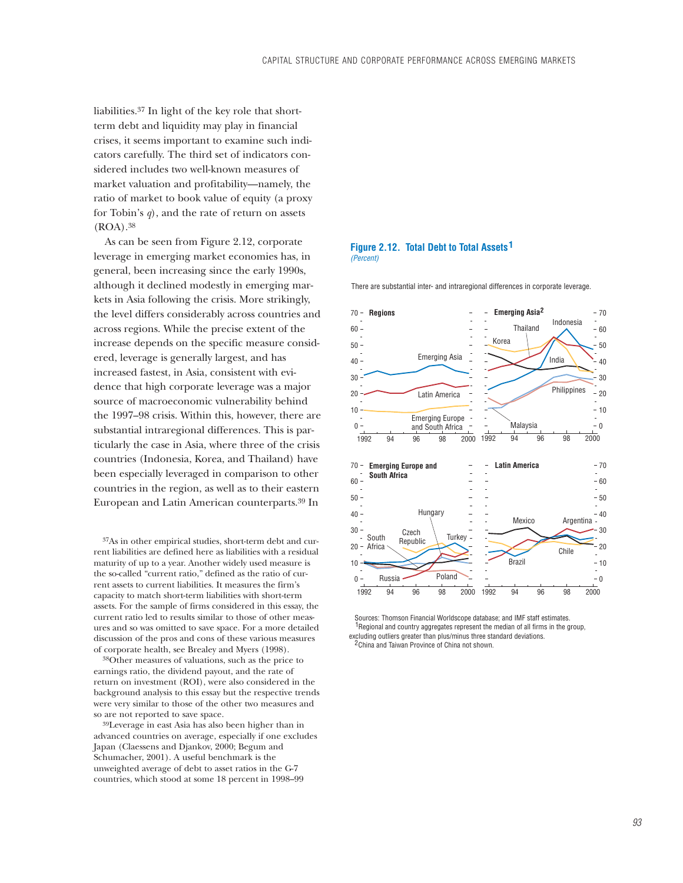liabilities.37 In light of the key role that shortterm debt and liquidity may play in financial crises, it seems important to examine such indicators carefully. The third set of indicators considered includes two well-known measures of market valuation and profitability—namely, the ratio of market to book value of equity (a proxy for Tobin's *q*), and the rate of return on assets  $(ROA).$ <sup>38</sup>

As can be seen from Figure 2.12, corporate leverage in emerging market economies has, in general, been increasing since the early 1990s, although it declined modestly in emerging markets in Asia following the crisis. More strikingly, the level differs considerably across countries and across regions. While the precise extent of the increase depends on the specific measure considered, leverage is generally largest, and has increased fastest, in Asia, consistent with evidence that high corporate leverage was a major source of macroeconomic vulnerability behind the 1997–98 crisis. Within this, however, there are substantial intraregional differences. This is particularly the case in Asia, where three of the crisis countries (Indonesia, Korea, and Thailand) have been especially leveraged in comparison to other countries in the region, as well as to their eastern European and Latin American counterparts.39 In

37As in other empirical studies, short-term debt and current liabilities are defined here as liabilities with a residual maturity of up to a year. Another widely used measure is the so-called "current ratio," defined as the ratio of current assets to current liabilities. It measures the firm's capacity to match short-term liabilities with short-term assets. For the sample of firms considered in this essay, the current ratio led to results similar to those of other measures and so was omitted to save space. For a more detailed discussion of the pros and cons of these various measures of corporate health, see Brealey and Myers (1998).

38Other measures of valuations, such as the price to earnings ratio, the dividend payout, and the rate of return on investment (ROI), were also considered in the background analysis to this essay but the respective trends were very similar to those of the other two measures and so are not reported to save space.

39Leverage in east Asia has also been higher than in advanced countries on average, especially if one excludes Japan (Claessens and Djankov, 2000; Begum and Schumacher, 2001). A useful benchmark is the unweighted average of debt to asset ratios in the G-7 countries, which stood at some 18 percent in 1998–99

### **Figure 2.12. Total Debt to Total Assets 1** *(Percent)*

There are substantial inter- and intraregional differences in corporate leverage.



 Sources: Thomson Financial Worldscope database; and IMF staff estimates.  $1$ Regional and country aggregates represent the median of all firms in the group, excluding outliers greater than plus/minus three standard deviations. <sup>2</sup> China and Taiwan Province of China not shown.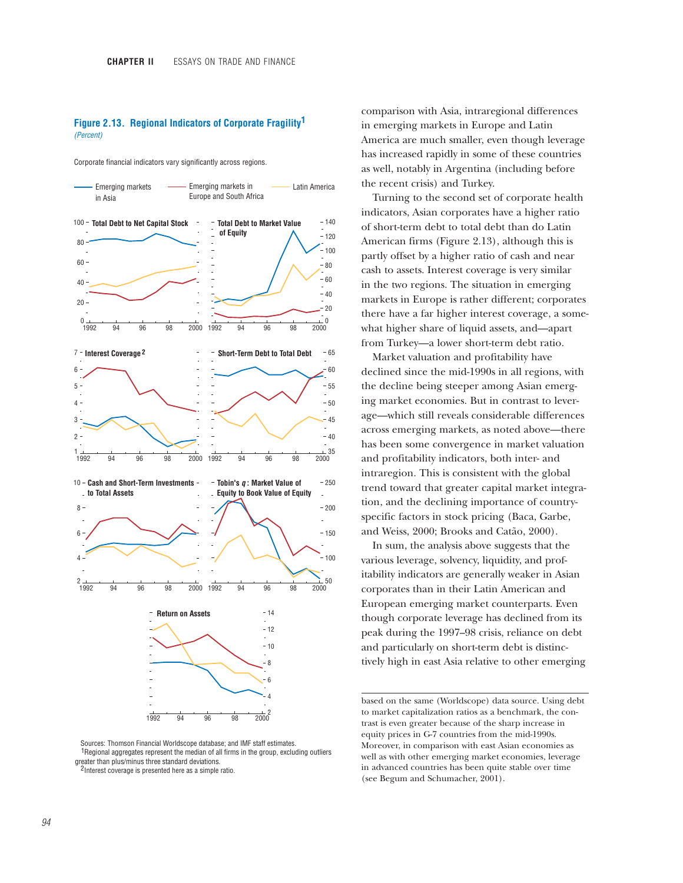### **Figure 2.13. Regional Indicators of Corporate Fragility 1** *(Percent)*

Corporate financial indicators vary significantly across regions.



Sources: Thomson Financial Worldscope database; and IMF staff estimates. <sup>1</sup>Regional aggregates represent the median of all firms in the group, excluding outliers greater than plus/minus three standard deviations.

<sup>2</sup> lnterest coverage is presented here as a simple ratio.

comparison with Asia, intraregional differences in emerging markets in Europe and Latin America are much smaller, even though leverage has increased rapidly in some of these countries as well, notably in Argentina (including before the recent crisis) and Turkey.

Turning to the second set of corporate health indicators, Asian corporates have a higher ratio of short-term debt to total debt than do Latin American firms (Figure 2.13), although this is partly offset by a higher ratio of cash and near cash to assets. Interest coverage is very similar in the two regions. The situation in emerging markets in Europe is rather different; corporates there have a far higher interest coverage, a somewhat higher share of liquid assets, and—apart from Turkey—a lower short-term debt ratio.

Market valuation and profitability have declined since the mid-1990s in all regions, with the decline being steeper among Asian emerging market economies. But in contrast to leverage—which still reveals considerable differences across emerging markets, as noted above—there has been some convergence in market valuation and profitability indicators, both inter- and intraregion. This is consistent with the global trend toward that greater capital market integration, and the declining importance of countryspecific factors in stock pricing (Baca, Garbe, and Weiss, 2000; Brooks and Catão, 2000).

In sum, the analysis above suggests that the various leverage, solvency, liquidity, and profitability indicators are generally weaker in Asian corporates than in their Latin American and European emerging market counterparts. Even though corporate leverage has declined from its peak during the 1997–98 crisis, reliance on debt and particularly on short-term debt is distinctively high in east Asia relative to other emerging

based on the same (Worldscope) data source. Using debt to market capitalization ratios as a benchmark, the contrast is even greater because of the sharp increase in equity prices in G-7 countries from the mid-1990s. Moreover, in comparison with east Asian economies as well as with other emerging market economies, leverage in advanced countries has been quite stable over time (see Begum and Schumacher, 2001).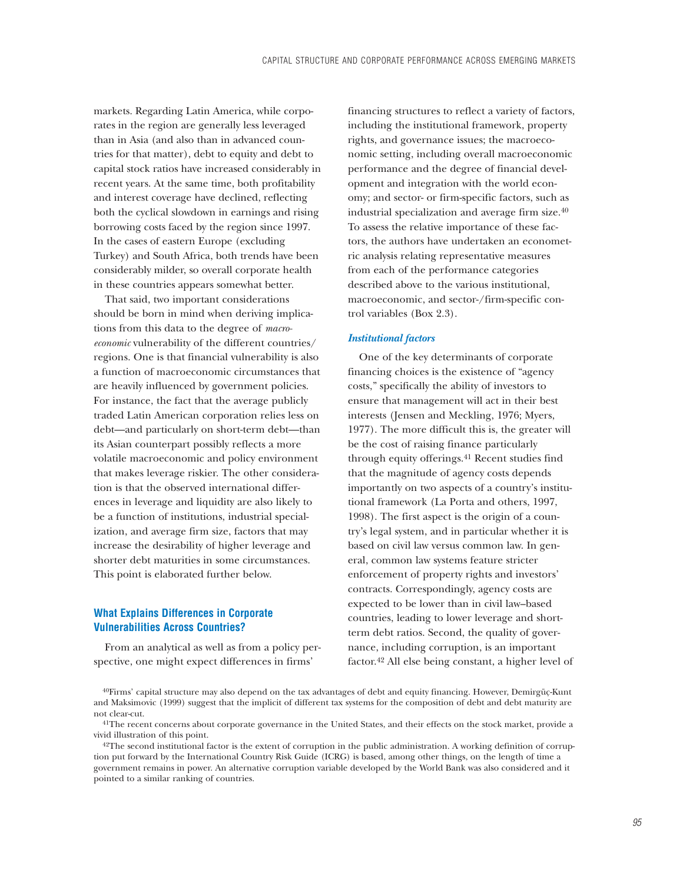markets. Regarding Latin America, while corporates in the region are generally less leveraged than in Asia (and also than in advanced countries for that matter), debt to equity and debt to capital stock ratios have increased considerably in recent years. At the same time, both profitability and interest coverage have declined, reflecting both the cyclical slowdown in earnings and rising borrowing costs faced by the region since 1997. In the cases of eastern Europe (excluding Turkey) and South Africa, both trends have been considerably milder, so overall corporate health in these countries appears somewhat better.

That said, two important considerations should be born in mind when deriving implications from this data to the degree of *macroeconomic* vulnerability of the different countries/ regions. One is that financial vulnerability is also a function of macroeconomic circumstances that are heavily influenced by government policies. For instance, the fact that the average publicly traded Latin American corporation relies less on debt—and particularly on short-term debt—than its Asian counterpart possibly reflects a more volatile macroeconomic and policy environment that makes leverage riskier. The other consideration is that the observed international differences in leverage and liquidity are also likely to be a function of institutions, industrial specialization, and average firm size, factors that may increase the desirability of higher leverage and shorter debt maturities in some circumstances. This point is elaborated further below.

## **What Explains Differences in Corporate Vulnerabilities Across Countries?**

From an analytical as well as from a policy perspective, one might expect differences in firms'

financing structures to reflect a variety of factors, including the institutional framework, property rights, and governance issues; the macroeconomic setting, including overall macroeconomic performance and the degree of financial development and integration with the world economy; and sector- or firm-specific factors, such as industrial specialization and average firm size.40 To assess the relative importance of these factors, the authors have undertaken an econometric analysis relating representative measures from each of the performance categories described above to the various institutional, macroeconomic, and sector-/firm-specific control variables (Box 2.3).

### *Institutional factors*

One of the key determinants of corporate financing choices is the existence of "agency costs," specifically the ability of investors to ensure that management will act in their best interests (Jensen and Meckling, 1976; Myers, 1977). The more difficult this is, the greater will be the cost of raising finance particularly through equity offerings.<sup>41</sup> Recent studies find that the magnitude of agency costs depends importantly on two aspects of a country's institutional framework (La Porta and others, 1997, 1998). The first aspect is the origin of a country's legal system, and in particular whether it is based on civil law versus common law. In general, common law systems feature stricter enforcement of property rights and investors' contracts. Correspondingly, agency costs are expected to be lower than in civil law–based countries, leading to lower leverage and shortterm debt ratios. Second, the quality of governance, including corruption, is an important factor.42 All else being constant, a higher level of

 $40$ Firms' capital structure may also depend on the tax advantages of debt and equity financing. However, Demirgüç-Kunt and Maksimovic (1999) suggest that the implicit of different tax systems for the composition of debt and debt maturity are not clear-cut.

<sup>&</sup>lt;sup>41</sup>The recent concerns about corporate governance in the United States, and their effects on the stock market, provide a vivid illustration of this point.

 $42$ The second institutional factor is the extent of corruption in the public administration. A working definition of corruption put forward by the International Country Risk Guide (ICRG) is based, among other things, on the length of time a government remains in power. An alternative corruption variable developed by the World Bank was also considered and it pointed to a similar ranking of countries.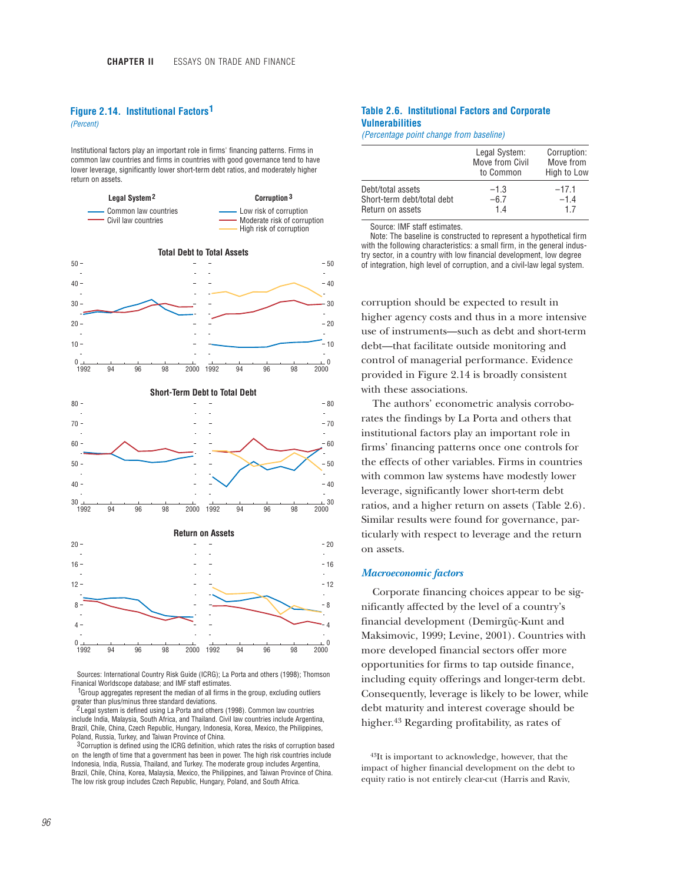## **Figure 2.14. Institutional Factors 1**

*(Percent)*

Institutional factors play an important role in firms' financing patterns. Firms in common law countries and firms in countries with good governance tend to have lower leverage, significantly lower short-term debt ratios, and moderately higher return on assets.



Sources: International Country Risk Guide (ICRG); La Porta and others (1998); Thomson Finanical Worldscope database; and IMF staff estimates.

 $1$ Group aggregates represent the median of all firms in the group, excluding outliers greater than plus/minus three standard deviations.

<sup>2</sup> Legal system is defined using La Porta and others (1998). Common law countries include India, Malaysia, South Africa, and Thailand. Civil law countries include Argentina, Brazil, Chile, China, Czech Republic, Hungary, Indonesia, Korea, Mexico, the Philippines, Poland, Russia, Turkey, and Taiwan Province of China.

 $3$  Corruption is defined using the ICRG definition, which rates the risks of corruption based on the length of time that a government has been in power. The high risk countries include Indonesia, India, Russia, Thailand, and Turkey. The moderate group includes Argentina, Brazil, Chile, China, Korea, Malaysia, Mexico, the Philippines, and Taiwan Province of China. The low risk group includes Czech Republic, Hungary, Poland, and South Africa.

### **Table 2.6. Institutional Factors and Corporate Vulnerabilities**

*(Percentage point change from baseline)*

|                            | Legal System:<br>Move from Civil<br>to Common | Corruption:<br>Move from<br>High to Low |
|----------------------------|-----------------------------------------------|-----------------------------------------|
| Debt/total assets          | $-1.3$                                        | $-17.1$                                 |
| Short-term debt/total debt | $-6.7$                                        | $-1.4$                                  |
| Return on assets           | 14                                            | 17                                      |

Source: IMF staff estimates.

Note: The baseline is constructed to represent a hypothetical firm with the following characteristics: a small firm, in the general industry sector, in a country with low financial development, low degree of integration, high level of corruption, and a civil-law legal system.

corruption should be expected to result in higher agency costs and thus in a more intensive use of instruments—such as debt and short-term debt—that facilitate outside monitoring and control of managerial performance. Evidence provided in Figure 2.14 is broadly consistent with these associations.

The authors' econometric analysis corroborates the findings by La Porta and others that institutional factors play an important role in firms' financing patterns once one controls for the effects of other variables. Firms in countries with common law systems have modestly lower leverage, significantly lower short-term debt ratios, and a higher return on assets (Table 2.6). Similar results were found for governance, particularly with respect to leverage and the return on assets.

#### *Macroeconomic factors*

Corporate financing choices appear to be significantly affected by the level of a country's financial development (Demirgüç-Kunt and Maksimovic, 1999; Levine, 2001). Countries with more developed financial sectors offer more opportunities for firms to tap outside finance, including equity offerings and longer-term debt. Consequently, leverage is likely to be lower, while debt maturity and interest coverage should be higher.43 Regarding profitability, as rates of

43It is important to acknowledge, however, that the impact of higher financial development on the debt to equity ratio is not entirely clear-cut (Harris and Raviv,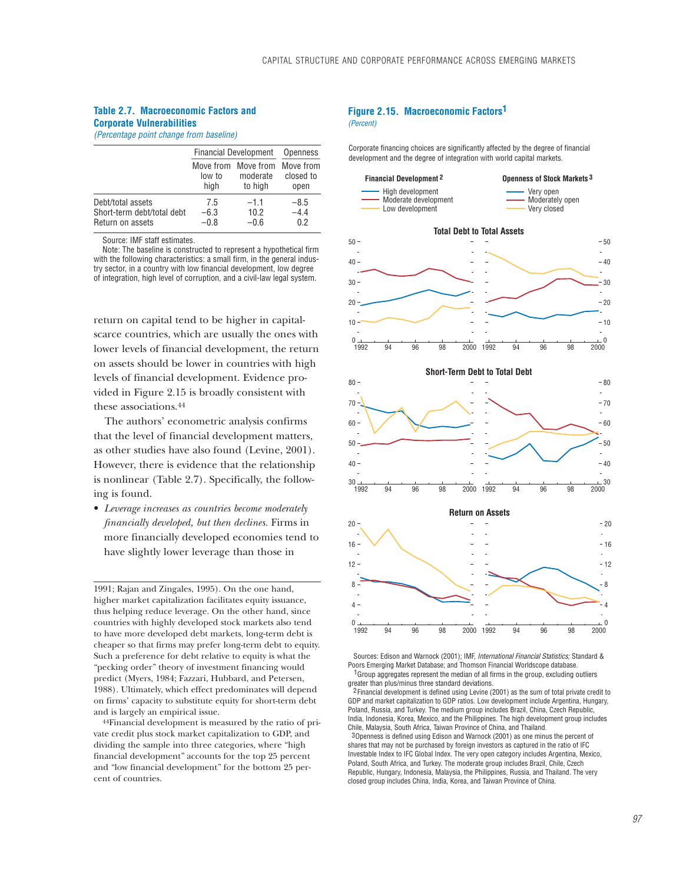### **Table 2.7. Macroeconomic Factors and Corporate Vulnerabilities**

*(Percentage point change from baseline)*

|                                                                     | <b>Financial Development</b> | Openness                                   |                                |
|---------------------------------------------------------------------|------------------------------|--------------------------------------------|--------------------------------|
|                                                                     | low to<br>high               | Move from Move from<br>moderate<br>to high | Move from<br>closed to<br>open |
| Debt/total assets<br>Short-term debt/total debt<br>Return on assets | 7.5<br>$-6.3$<br>$-0.8$      | $-1.1$<br>10.2<br>$-0.6$                   | $-8.5$<br>$-4.4$<br>0.2        |

Source: IMF staff estimates.

Note: The baseline is constructed to represent a hypothetical firm with the following characteristics: a small firm, in the general industry sector, in a country with low financial development, low degree of integration, high level of corruption, and a civil-law legal system.

return on capital tend to be higher in capitalscarce countries, which are usually the ones with lower levels of financial development, the return on assets should be lower in countries with high levels of financial development. Evidence provided in Figure 2.15 is broadly consistent with these associations.44

The authors' econometric analysis confirms that the level of financial development matters, as other studies have also found (Levine, 2001). However, there is evidence that the relationship is nonlinear (Table 2.7). Specifically, the following is found.

• *Leverage increases as countries become moderately financially developed, but then declines.* Firms in more financially developed economies tend to have slightly lower leverage than those in

1991; Rajan and Zingales, 1995). On the one hand, higher market capitalization facilitates equity issuance, thus helping reduce leverage. On the other hand, since countries with highly developed stock markets also tend to have more developed debt markets, long-term debt is cheaper so that firms may prefer long-term debt to equity. Such a preference for debt relative to equity is what the "pecking order" theory of investment financing would predict (Myers, 1984; Fazzari, Hubbard, and Petersen, 1988). Ultimately, which effect predominates will depend on firms' capacity to substitute equity for short-term debt and is largely an empirical issue.

44Financial development is measured by the ratio of private credit plus stock market capitalization to GDP, and dividing the sample into three categories, where "high financial development" accounts for the top 25 percent and "low financial development" for the bottom 25 percent of countries.

### **Figure 2.15. Macroeconomic Factors 1** *(Percent)*

Corporate financing choices are significantly affected by the degree of financial development and the degree of integration with world capital markets.



Sources: Edison and Warnock (2001); IMF, *International Financial Statistics;* Standard & Poors Emerging Market Database; and Thomson Financial Worldscope database.  $1$  Group aggregates represent the median of all firms in the group, excluding outliers greater than plus/minus three standard deviations.

2 Financial development is defined using Levine (2001) as the sum of total private credit to GDP and market capitalization to GDP ratios. Low development include Argentina, Hungary, Poland, Russia, and Turkey. The medium group includes Brazil, China, Czech Republic, India, Indonesia, Korea, Mexico, and the Philippines. The high development group includes Chile, Malaysia, South Africa, Taiwan Province of China, and Thailand. 3 Openness is defined using Edison and Warnock (2001) as one minus the percent of shares that may not be purchased by foreign investors as captured in the ratio of IFC Investable Index to IFC Global Index. The very open category includes Argentina, Mexico, Poland, South Africa, and Turkey. The moderate group includes Brazil, Chile, Czech Republic, Hungary, Indonesia, Malaysia, the Philippines, Russia, and Thailand. The very closed group includes China, India, Korea, and Taiwan Province of China.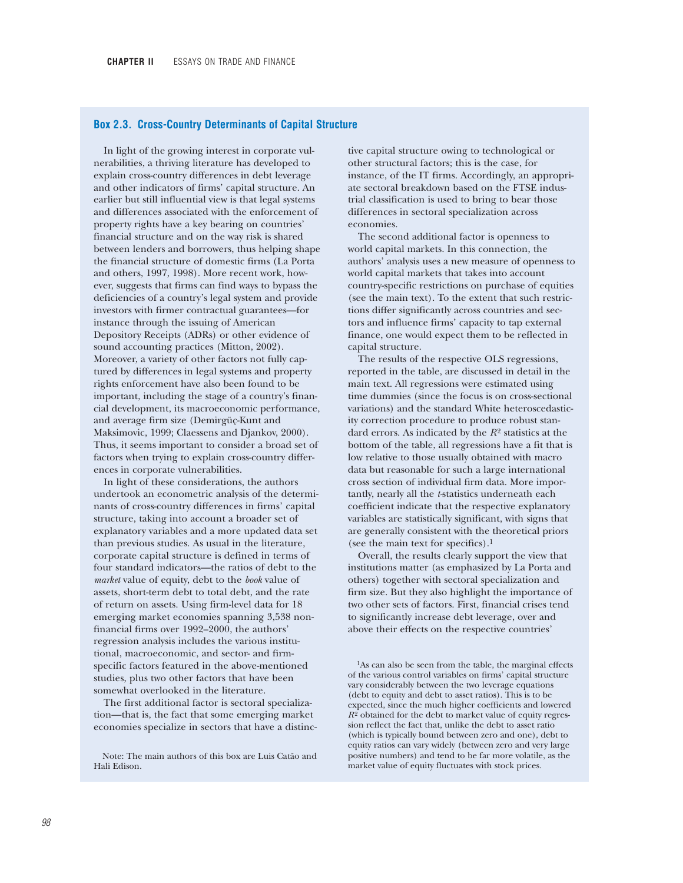## **Box 2.3. Cross-Country Determinants of Capital Structure**

In light of the growing interest in corporate vulnerabilities, a thriving literature has developed to explain cross-country differences in debt leverage and other indicators of firms' capital structure. An earlier but still influential view is that legal systems and differences associated with the enforcement of property rights have a key bearing on countries' financial structure and on the way risk is shared between lenders and borrowers, thus helping shape the financial structure of domestic firms (La Porta and others, 1997, 1998). More recent work, however, suggests that firms can find ways to bypass the deficiencies of a country's legal system and provide investors with firmer contractual guarantees—for instance through the issuing of American Depository Receipts (ADRs) or other evidence of sound accounting practices (Mitton, 2002). Moreover, a variety of other factors not fully captured by differences in legal systems and property rights enforcement have also been found to be important, including the stage of a country's financial development, its macroeconomic performance, and average firm size (Demirgüç-Kunt and Maksimovic, 1999; Claessens and Djankov, 2000). Thus, it seems important to consider a broad set of factors when trying to explain cross-country differences in corporate vulnerabilities.

In light of these considerations, the authors undertook an econometric analysis of the determinants of cross-country differences in firms' capital structure, taking into account a broader set of explanatory variables and a more updated data set than previous studies. As usual in the literature, corporate capital structure is defined in terms of four standard indicators—the ratios of debt to the *market* value of equity, debt to the *book* value of assets, short-term debt to total debt, and the rate of return on assets. Using firm-level data for 18 emerging market economies spanning 3,538 nonfinancial firms over 1992–2000, the authors' regression analysis includes the various institutional, macroeconomic, and sector- and firmspecific factors featured in the above-mentioned studies, plus two other factors that have been somewhat overlooked in the literature.

The first additional factor is sectoral specialization—that is, the fact that some emerging market economies specialize in sectors that have a distinc-

tive capital structure owing to technological or other structural factors; this is the case, for instance, of the IT firms. Accordingly, an appropriate sectoral breakdown based on the FTSE industrial classification is used to bring to bear those differences in sectoral specialization across economies.

The second additional factor is openness to world capital markets. In this connection, the authors' analysis uses a new measure of openness to world capital markets that takes into account country-specific restrictions on purchase of equities (see the main text). To the extent that such restrictions differ significantly across countries and sectors and influence firms' capacity to tap external finance, one would expect them to be reflected in capital structure.

The results of the respective OLS regressions, reported in the table, are discussed in detail in the main text. All regressions were estimated using time dummies (since the focus is on cross-sectional variations) and the standard White heteroscedasticity correction procedure to produce robust standard errors. As indicated by the *R*<sup>2</sup> statistics at the bottom of the table, all regressions have a fit that is low relative to those usually obtained with macro data but reasonable for such a large international cross section of individual firm data. More importantly, nearly all the *t-*statistics underneath each coefficient indicate that the respective explanatory variables are statistically significant, with signs that are generally consistent with the theoretical priors (see the main text for specifics).<sup>1</sup>

Overall, the results clearly support the view that institutions matter (as emphasized by La Porta and others) together with sectoral specialization and firm size. But they also highlight the importance of two other sets of factors. First, financial crises tend to significantly increase debt leverage, over and above their effects on the respective countries'

<sup>1</sup>As can also be seen from the table, the marginal effects of the various control variables on firms' capital structure vary considerably between the two leverage equations (debt to equity and debt to asset ratios). This is to be expected, since the much higher coefficients and lowered  $R^2$  obtained for the debt to market value of equity regression reflect the fact that, unlike the debt to asset ratio (which is typically bound between zero and one), debt to equity ratios can vary widely (between zero and very large positive numbers) and tend to be far more volatile, as the market value of equity fluctuates with stock prices.

Note: The main authors of this box are Luis Catão and Hali Edison.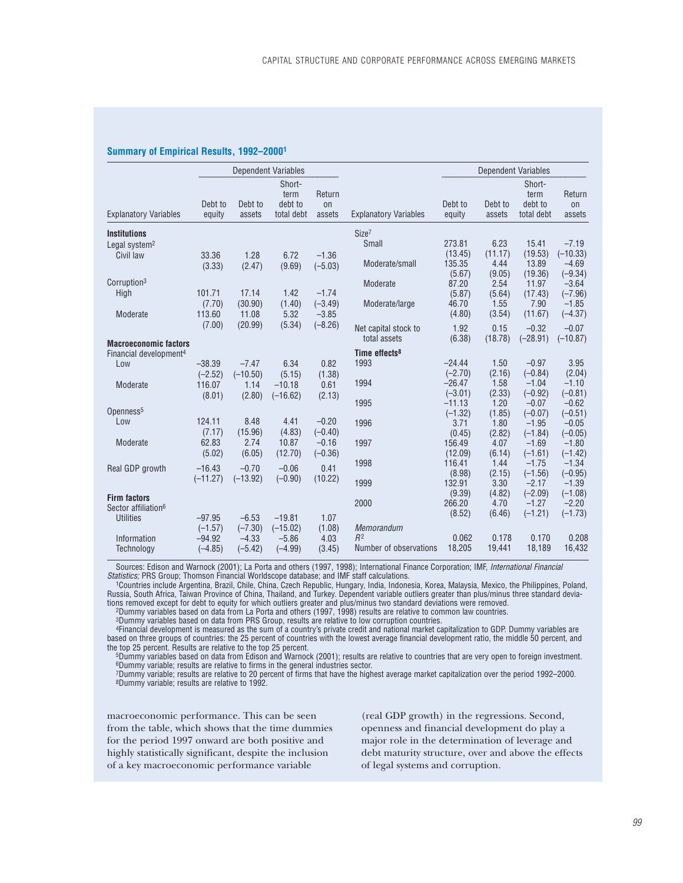#### **Summary of Empirical Results, 1992–20001**

|                                    |                       |                      | <b>Dependent Variables</b>              |                                   |                              |                   |                   | <b>Dependent Variables</b>              |                               |
|------------------------------------|-----------------------|----------------------|-----------------------------------------|-----------------------------------|------------------------------|-------------------|-------------------|-----------------------------------------|-------------------------------|
| <b>Explanatory Variables</b>       | Debt to<br>equity     | Debt to<br>assets    | Short-<br>term<br>debt to<br>total debt | Return<br><sub>on</sub><br>assets | <b>Explanatory Variables</b> | Debt to<br>equity | Debt to<br>assets | Short-<br>term<br>debt to<br>total debt | Return<br><b>on</b><br>assets |
| <b>Institutions</b>                |                       |                      |                                         |                                   | Size <sup>7</sup>            |                   |                   |                                         |                               |
| Legal system <sup>2</sup>          |                       |                      |                                         |                                   | Small                        | 273.81            | 6.23              | 15.41                                   | $-7.19$                       |
| Civil law                          | 33.36                 | 1.28                 | 6.72                                    | $-1.36$                           |                              | (13.45)           | (11.17)           | (19.53)                                 | $(-10.33)$                    |
|                                    | (3.33)                | (2.47)               | (9.69)                                  | $(-5.03)$                         | Moderate/small               | 135.35            | 4.44              | 13.89                                   | $-4.69$                       |
|                                    |                       |                      |                                         |                                   |                              | (5.67)            | (9.05)            | (19.36)                                 | $(-9.34)$                     |
| Corruption <sup>3</sup>            |                       |                      |                                         |                                   | Moderate                     | 87.20             | 2.54              | 11.97                                   | $-3.64$                       |
| High                               | 101.71                | 17.14                | 1.42                                    | $-1.74$                           |                              | (5.87)            | (5.64)            | (17.43)                                 | $(-7.96)$                     |
|                                    | (7.70)                | (30.90)              | (1.40)                                  | $(-3.49)$                         | Moderate/large               | 46.70             | 1.55              | 7.90                                    | $-1.85$                       |
| Moderate                           | 113.60                | 11.08                | 5.32                                    | $-3.85$                           |                              | (4.80)            | (3.54)            | (11.67)                                 | $(-4.37)$                     |
|                                    | (7.00)                | (20.99)              | (5.34)                                  | $(-8.26)$                         | Net capital stock to         | 1.92              | 0.15              | $-0.32$                                 | $-0.07$                       |
| <b>Macroeconomic factors</b>       |                       |                      |                                         |                                   | total assets                 | (6.38)            | (18.78)           | $(-28.91)$                              | $(-10.87)$                    |
| Financial development <sup>4</sup> |                       |                      |                                         |                                   | Time effects <sup>8</sup>    |                   |                   |                                         |                               |
| Low                                | $-38.39$              | $-7.47$              | 6.34                                    | 0.82                              | 1993                         | $-24.44$          | 1.50              | $-0.97$                                 | 3.95                          |
|                                    | $(-2.52)$             | $(-10.50)$           | (5.15)                                  | (1.38)                            |                              | $(-2.70)$         | (2.16)            | $(-0.84)$                               | (2.04)                        |
| Moderate                           | 116.07                | 1.14                 | $-10.18$                                | 0.61                              | 1994                         | $-26.47$          | 1.58              | $-1.04$                                 | $-1.10$                       |
|                                    | (8.01)                | (2.80)               | $(-16.62)$                              | (2.13)                            |                              | $(-3.01)$         | (2.33)            | $(-0.92)$                               | $(-0.81)$                     |
|                                    |                       |                      |                                         |                                   | 1995                         | $-11.13$          | 1.20              | $-0.07$                                 | $-0.62$                       |
| Openness <sup>5</sup>              |                       |                      |                                         |                                   |                              | $(-1.32)$         | (1.85)            | $(-0.07)$                               | $(-0.51)$                     |
| Low                                | 124.11                | 8.48                 | 4.41                                    | $-0.20$                           | 1996                         | 3.71              | 1.80              | $-1.95$                                 | $-0.05$                       |
|                                    | (7.17)                | (15.96)              | (4.83)                                  | $(-0.40)$                         |                              | (0.45)            | (2.82)            | $(-1.84)$                               | $(-0.05)$                     |
| Moderate                           | 62.83                 | 2.74                 | 10.87                                   | $-0.16$                           | 1997                         | 156.49            | 4.07              | $-1.69$                                 | $-1.80$                       |
|                                    | (5.02)                | (6.05)               | (12.70)                                 | $(-0.36)$                         |                              | (12.09)           | (6.14)<br>1.44    | $(-1.61)$                               | $(-1.42)$                     |
| Real GDP growth                    | $-16.43$              | $-0.70$              | $-0.06$                                 | 0.41                              | 1998                         | 116.41<br>(8.98)  | (2.15)            | $-1.75$<br>$(-1.56)$                    | $-1.34$<br>$(-0.95)$          |
|                                    | $(-11.27)$            | $(-13.92)$           | $(-0.90)$                               | (10.22)                           | 1999                         | 132.91            | 3.30              | $-2.17$                                 | $-1.39$                       |
|                                    |                       |                      |                                         |                                   |                              | (9.39)            | (4.82)            | $(-2.09)$                               | $(-1.08)$                     |
| <b>Firm factors</b>                |                       |                      |                                         |                                   | 2000                         | 266.20            | 4.70              | $-1.27$                                 | $-2.20$                       |
| Sector affiliation <sup>6</sup>    |                       |                      |                                         |                                   |                              | (8.52)            | (6.46)            | $(-1.21)$                               | $(-1.73)$                     |
| <b>Utilities</b>                   | $-97.95$              | $-6.53$              | $-19.81$                                | 1.07                              |                              |                   |                   |                                         |                               |
|                                    | $(-1.57)$             | $(-7.30)$            | $(-15.02)$                              | (1.08)                            | Memorandum<br>R <sup>2</sup> | 0.062             | 0.178             | 0.170                                   | 0.208                         |
| Information<br>Technology          | $-94.92$<br>$(-4.85)$ | $-4.33$<br>$(-5.42)$ | $-5.86$<br>$(-4.99)$                    | 4.03<br>(3.45)                    | Number of observations       | 18,205            | 19,441            | 18,189                                  | 16,432                        |
|                                    |                       |                      |                                         |                                   |                              |                   |                   |                                         |                               |

Sources: Edison and Warnock (2001); La Porta and others (1997, 1998); International Finance Corporation; IMF, *International Financial Statistics;* PRS Group; Thomson Financial Worldscope database; and IMF staff calculations.

1Countries include Argentina, Brazil, Chile, China, Czech Republic, Hungary, India, Indonesia, Korea, Malaysia, Mexico, the Philippines, Poland, Russia, South Africa, Taiwan Province of China, Thailand, and Turkey. Dependent variable outliers greater than plus/minus three standard deviations removed except for debt to equity for which outliers greater and plus/minus two standard deviations were removed.<br>Dummy variables based on data from La Porta and others (1997, 1998) results are relative to common law

3Dummy variables based on data from PRS Group, results are relative to low corruption countries.

4Financial development is measured as the sum of a country's private credit and national market capitalization to GDP. Dummy variables are based on three groups of countries: the 25 percent of countries with the lowest average financial development ratio, the middle 50 percent, and the top 25 percent. Results are relative to the top 25 percent.

5Dummy variables based on data from Edison and Warnock (2001); results are relative to countries that are very open to foreign investment. 6Dummy variable; results are relative to firms in the general industries sector.

7Dummy variable; results are relative to 20 percent of firms that have the highest average market capitalization over the period 1992–2000. 8Dummy variable; results are relative to 1992.

macroeconomic performance. This can be seen from the table, which shows that the time dummies for the period 1997 onward are both positive and highly statistically significant, despite the inclusion of a key macroeconomic performance variable

(real GDP growth) in the regressions. Second, openness and financial development do play a major role in the determination of leverage and debt maturity structure, over and above the effects of legal systems and corruption.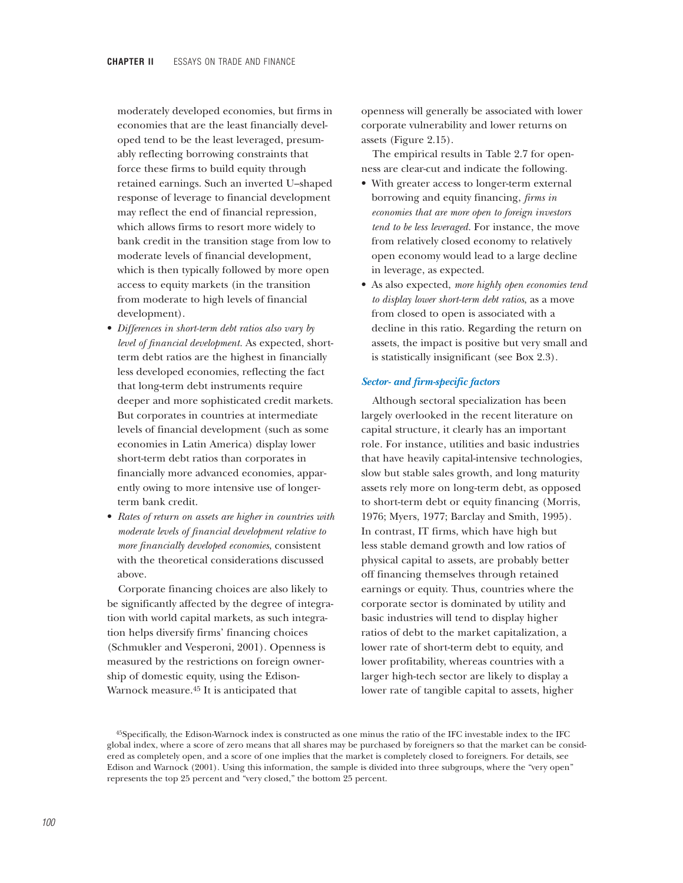moderately developed economies, but firms in economies that are the least financially developed tend to be the least leveraged, presumably reflecting borrowing constraints that force these firms to build equity through retained earnings. Such an inverted U–shaped response of leverage to financial development may reflect the end of financial repression, which allows firms to resort more widely to bank credit in the transition stage from low to moderate levels of financial development, which is then typically followed by more open access to equity markets (in the transition from moderate to high levels of financial development).

- *Differences in short-term debt ratios also vary by level of financial development.* As expected, shortterm debt ratios are the highest in financially less developed economies, reflecting the fact that long-term debt instruments require deeper and more sophisticated credit markets. But corporates in countries at intermediate levels of financial development (such as some economies in Latin America) display lower short-term debt ratios than corporates in financially more advanced economies, apparently owing to more intensive use of longerterm bank credit.
- *Rates of return on assets are higher in countries with moderate levels of financial development relative to more financially developed economies*, consistent with the theoretical considerations discussed above.

Corporate financing choices are also likely to be significantly affected by the degree of integration with world capital markets, as such integration helps diversify firms' financing choices (Schmukler and Vesperoni, 2001). Openness is measured by the restrictions on foreign ownership of domestic equity, using the Edison-Warnock measure.45 It is anticipated that

openness will generally be associated with lower corporate vulnerability and lower returns on assets (Figure 2.15).

The empirical results in Table 2.7 for openness are clear-cut and indicate the following.

- With greater access to longer-term external borrowing and equity financing, *firms in economies that are more open to foreign investors tend to be less leveraged.* For instance, the move from relatively closed economy to relatively open economy would lead to a large decline in leverage, as expected.
- As also expected, *more highly open economies tend to display lower short-term debt ratios*, as a move from closed to open is associated with a decline in this ratio. Regarding the return on assets, the impact is positive but very small and is statistically insignificant (see Box 2.3).

### *Sector- and firm-specific factors*

Although sectoral specialization has been largely overlooked in the recent literature on capital structure, it clearly has an important role. For instance, utilities and basic industries that have heavily capital-intensive technologies, slow but stable sales growth, and long maturity assets rely more on long-term debt, as opposed to short-term debt or equity financing (Morris, 1976; Myers, 1977; Barclay and Smith, 1995). In contrast, IT firms, which have high but less stable demand growth and low ratios of physical capital to assets, are probably better off financing themselves through retained earnings or equity. Thus, countries where the corporate sector is dominated by utility and basic industries will tend to display higher ratios of debt to the market capitalization, a lower rate of short-term debt to equity, and lower profitability, whereas countries with a larger high-tech sector are likely to display a lower rate of tangible capital to assets, higher

<sup>45</sup>Specifically, the Edison-Warnock index is constructed as one minus the ratio of the IFC investable index to the IFC global index, where a score of zero means that all shares may be purchased by foreigners so that the market can be considered as completely open, and a score of one implies that the market is completely closed to foreigners. For details, see Edison and Warnock (2001). Using this information, the sample is divided into three subgroups, where the "very open" represents the top 25 percent and "very closed," the bottom 25 percent.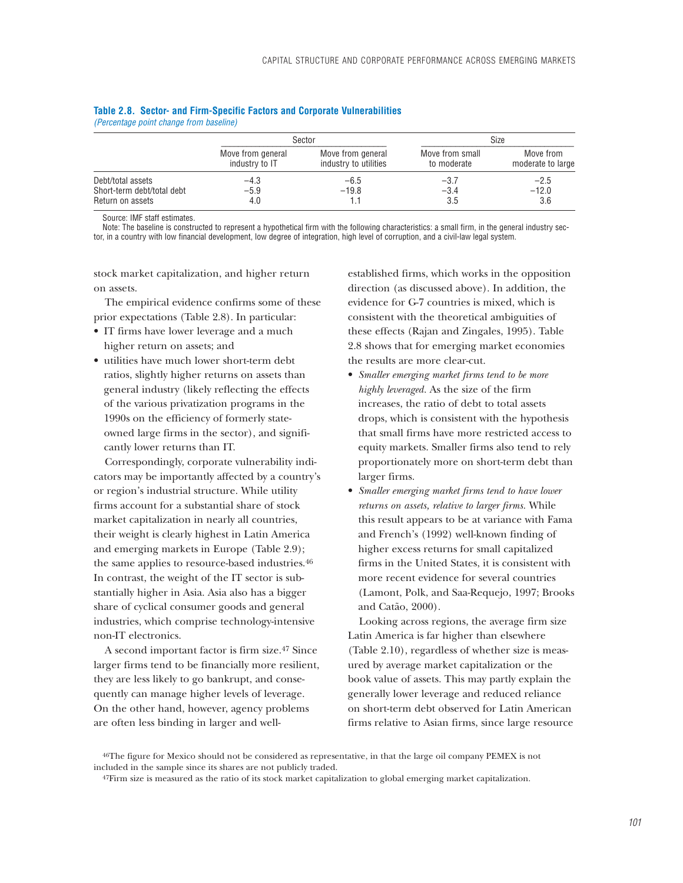|                            |                                     | Sector                                     |                                | Size                           |
|----------------------------|-------------------------------------|--------------------------------------------|--------------------------------|--------------------------------|
|                            | Move from general<br>industry to IT | Move from general<br>industry to utilities | Move from small<br>to moderate | Move from<br>moderate to large |
| Debt/total assets          | $-4.3$                              | $-6.5$                                     | $-3.7$                         | $-2.5$                         |
| Short-term debt/total debt | $-5.9$                              | $-19.8$                                    | $-3.4$                         | $-12.0$                        |
| Return on assets           | 4.0                                 |                                            | 3.5                            | 3.6                            |

### **Table 2.8. Sector- and Firm-Specific Factors and Corporate Vulnerabilities** *(Percentage point change from baseline)*

Source: IMF staff estimates.

Note: The baseline is constructed to represent a hypothetical firm with the following characteristics: a small firm, in the general industry sector, in a country with low financial development, low degree of integration, high level of corruption, and a civil-law legal system.

stock market capitalization, and higher return on assets.

The empirical evidence confirms some of these prior expectations (Table 2.8). In particular:

- IT firms have lower leverage and a much higher return on assets; and
- utilities have much lower short-term debt ratios, slightly higher returns on assets than general industry (likely reflecting the effects of the various privatization programs in the 1990s on the efficiency of formerly stateowned large firms in the sector), and significantly lower returns than IT.

Correspondingly, corporate vulnerability indicators may be importantly affected by a country's or region's industrial structure. While utility firms account for a substantial share of stock market capitalization in nearly all countries, their weight is clearly highest in Latin America and emerging markets in Europe (Table 2.9); the same applies to resource-based industries.46 In contrast, the weight of the IT sector is substantially higher in Asia. Asia also has a bigger share of cyclical consumer goods and general industries, which comprise technology-intensive non-IT electronics.

A second important factor is firm size.47 Since larger firms tend to be financially more resilient, they are less likely to go bankrupt, and consequently can manage higher levels of leverage. On the other hand, however, agency problems are often less binding in larger and wellestablished firms, which works in the opposition direction (as discussed above). In addition, the evidence for G-7 countries is mixed, which is consistent with the theoretical ambiguities of these effects (Rajan and Zingales, 1995). Table 2.8 shows that for emerging market economies the results are more clear-cut.

- *Smaller emerging market firms tend to be more highly leveraged.* As the size of the firm increases, the ratio of debt to total assets drops, which is consistent with the hypothesis that small firms have more restricted access to equity markets. Smaller firms also tend to rely proportionately more on short-term debt than larger firms.
- *Smaller emerging market firms tend to have lower returns on assets, relative to larger firms.* While this result appears to be at variance with Fama and French's (1992) well-known finding of higher excess returns for small capitalized firms in the United States, it is consistent with more recent evidence for several countries (Lamont, Polk, and Saa-Requejo, 1997; Brooks and Catão, 2000).

Looking across regions, the average firm size Latin America is far higher than elsewhere (Table 2.10), regardless of whether size is measured by average market capitalization or the book value of assets. This may partly explain the generally lower leverage and reduced reliance on short-term debt observed for Latin American firms relative to Asian firms, since large resource

46The figure for Mexico should not be considered as representative, in that the large oil company PEMEX is not included in the sample since its shares are not publicly traded.

<sup>&</sup>lt;sup>47</sup>Firm size is measured as the ratio of its stock market capitalization to global emerging market capitalization.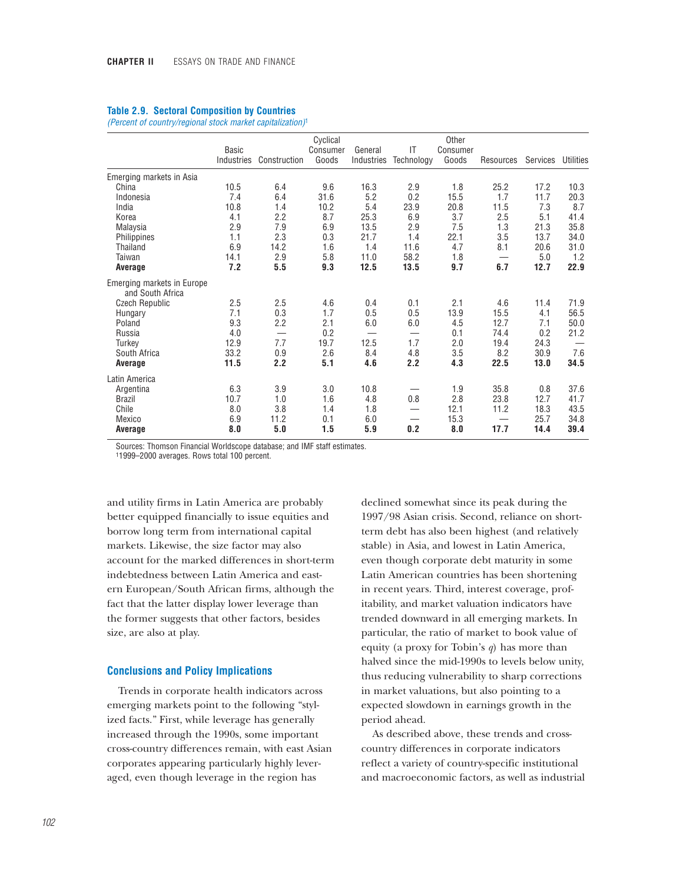|  |  | <b>Table 2.9. Sectoral Composition by Countries</b> |  |
|--|--|-----------------------------------------------------|--|
|--|--|-----------------------------------------------------|--|

*(Percent of country/regional stock market capitalization)*<sup>1</sup>

|                                                | <b>Basic</b><br>Industries | Construction             | Cyclical<br>Consumer<br>Goods | General<br>Industries    | IT<br>Technology | Other<br>Consumer<br>Goods | Resources | Services | <b>Utilities</b> |
|------------------------------------------------|----------------------------|--------------------------|-------------------------------|--------------------------|------------------|----------------------------|-----------|----------|------------------|
| Emerging markets in Asia                       |                            |                          |                               |                          |                  |                            |           |          |                  |
| China                                          | 10.5                       | 6.4                      | 9.6                           | 16.3                     | 2.9              | 1.8                        | 25.2      | 17.2     | 10.3             |
| Indonesia                                      | 7.4                        | 6.4                      | 31.6                          | 5.2                      | 0.2              | 15.5                       | 1.7       | 11.7     | 20.3             |
| India                                          | 10.8                       | 1.4                      | 10.2                          | 5.4                      | 23.9             | 20.8                       | 11.5      | 7.3      | 8.7              |
| Korea                                          | 4.1                        | 2.2                      | 8.7                           | 25.3                     | 6.9              | 3.7                        | 2.5       | 5.1      | 41.4             |
| Malaysia                                       | 2.9                        | 7.9                      | 6.9                           | 13.5                     | 2.9              | 7.5                        | 1.3       | 21.3     | 35.8             |
| Philippines                                    | 1.1                        | 2.3                      | 0.3                           | 21.7                     | 1.4              | 22.1                       | 3.5       | 13.7     | 34.0             |
| Thailand                                       | 6.9                        | 14.2                     | 1.6                           | 1.4                      | 11.6             | 4.7                        | 8.1       | 20.6     | 31.0             |
| Taiwan                                         | 14.1                       | 2.9                      | 5.8                           | 11.0                     | 58.2             | 1.8                        |           | 5.0      | 1.2              |
| Average                                        | 7.2                        | 5.5                      | 9.3                           | 12.5                     | 13.5             | 9.7                        | 6.7       | 12.7     | 22.9             |
| Emerging markets in Europe<br>and South Africa |                            |                          |                               |                          |                  |                            |           |          |                  |
| <b>Czech Republic</b>                          | 2.5                        | 2.5                      | 4.6                           | 0.4                      | 0.1              | 2.1                        | 4.6       | 11.4     | 71.9             |
| Hungary                                        | 7.1                        | 0.3                      | 1.7                           | 0.5                      | 0.5              | 13.9                       | 15.5      | 4.1      | 56.5             |
| Poland                                         | 9.3                        | 2.2                      | 2.1                           | 6.0                      | 6.0              | 4.5                        | 12.7      | 7.1      | 50.0             |
| Russia                                         | 4.0                        | $\overline{\phantom{0}}$ | 0.2                           | $\overline{\phantom{0}}$ |                  | 0.1                        | 74.4      | 0.2      | 21.2             |
| Turkey                                         | 12.9                       | 7.7                      | 19.7                          | 12.5                     | 1.7              | 2.0                        | 19.4      | 24.3     |                  |
| South Africa                                   | 33.2                       | 0.9                      | 2.6                           | 8.4                      | 4.8              | 3.5                        | 8.2       | 30.9     | 7.6              |
| Average                                        | 11.5                       | 2.2                      | 5.1                           | 4.6                      | 2.2              | 4.3                        | 22.5      | 13.0     | 34.5             |
| Latin America                                  |                            |                          |                               |                          |                  |                            |           |          |                  |
| Argentina                                      | 6.3                        | 3.9                      | 3.0                           | 10.8                     |                  | 1.9                        | 35.8      | 0.8      | 37.6             |
| <b>Brazil</b>                                  | 10.7                       | 1.0                      | 1.6                           | 4.8                      | 0.8              | 2.8                        | 23.8      | 12.7     | 41.7             |
| Chile                                          | 8.0                        | 3.8                      | 1.4                           | 1.8                      |                  | 12.1                       | 11.2      | 18.3     | 43.5             |
| Mexico                                         | 6.9                        | 11.2                     | 0.1                           | 6.0                      |                  | 15.3                       |           | 25.7     | 34.8             |
| Average                                        | 8.0                        | 5.0                      | 1.5                           | 5.9                      | 0.2              | 8.0                        | 17.7      | 14.4     | 39.4             |

Sources: Thomson Financial Worldscope database; and IMF staff estimates.

11999–2000 averages. Rows total 100 percent.

and utility firms in Latin America are probably better equipped financially to issue equities and borrow long term from international capital markets. Likewise, the size factor may also account for the marked differences in short-term indebtedness between Latin America and eastern European/South African firms, although the fact that the latter display lower leverage than the former suggests that other factors, besides size, are also at play.

### **Conclusions and Policy Implications**

Trends in corporate health indicators across emerging markets point to the following "stylized facts." First, while leverage has generally increased through the 1990s, some important cross-country differences remain, with east Asian corporates appearing particularly highly leveraged, even though leverage in the region has

declined somewhat since its peak during the 1997/98 Asian crisis. Second, reliance on shortterm debt has also been highest (and relatively stable) in Asia, and lowest in Latin America, even though corporate debt maturity in some Latin American countries has been shortening in recent years. Third, interest coverage, profitability, and market valuation indicators have trended downward in all emerging markets. In particular, the ratio of market to book value of equity (a proxy for Tobin's *q*) has more than halved since the mid-1990s to levels below unity, thus reducing vulnerability to sharp corrections in market valuations, but also pointing to a expected slowdown in earnings growth in the period ahead.

As described above, these trends and crosscountry differences in corporate indicators reflect a variety of country-specific institutional and macroeconomic factors, as well as industrial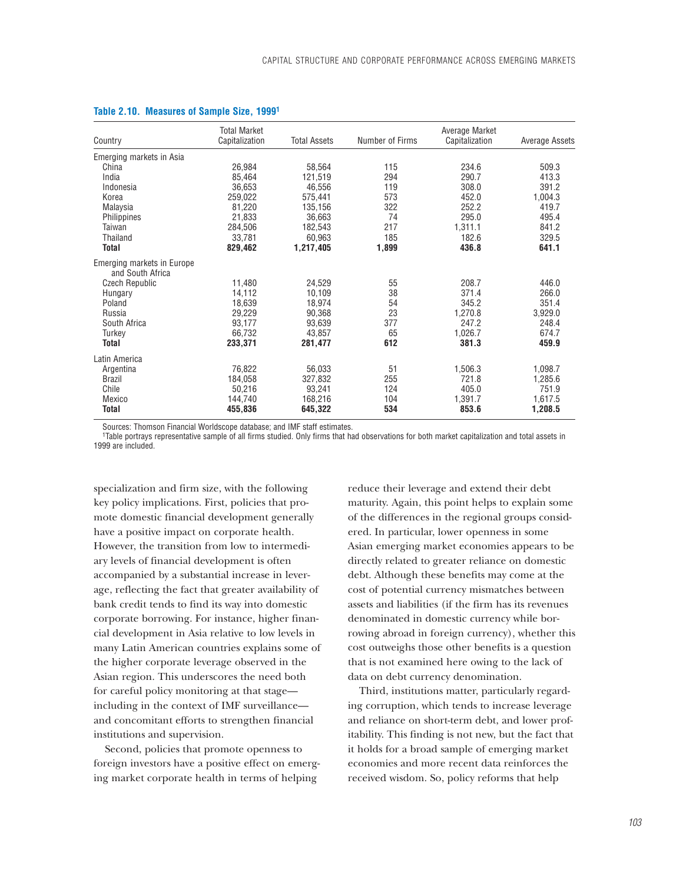| Country                                        | <b>Total Market</b><br>Capitalization | <b>Total Assets</b> | Number of Firms | Average Market<br>Capitalization | Average Assets |
|------------------------------------------------|---------------------------------------|---------------------|-----------------|----------------------------------|----------------|
|                                                |                                       |                     |                 |                                  |                |
| Emerging markets in Asia                       |                                       |                     |                 |                                  |                |
| China                                          | 26,984                                | 58,564              | 115             | 234.6                            | 509.3          |
| India                                          | 85,464                                | 121,519             | 294             | 290.7                            | 413.3          |
| Indonesia                                      | 36,653                                | 46,556              | 119             | 308.0                            | 391.2          |
| Korea                                          | 259,022                               | 575,441             | 573             | 452.0                            | 1,004.3        |
| Malaysia                                       | 81.220                                | 135,156             | 322             | 252.2                            | 419.7          |
| Philippines                                    | 21,833                                | 36,663              | 74              | 295.0                            | 495.4          |
| Taiwan                                         | 284,506                               | 182,543             | 217             | 1,311.1                          | 841.2          |
| Thailand                                       | 33.781                                | 60.963              | 185             | 182.6                            | 329.5          |
| <b>Total</b>                                   | 829,462                               | 1,217,405           | 1,899           | 436.8                            | 641.1          |
| Emerging markets in Europe<br>and South Africa |                                       |                     |                 |                                  |                |
| <b>Czech Republic</b>                          | 11,480                                | 24,529              | 55              | 208.7                            | 446.0          |
| Hungary                                        | 14,112                                | 10,109              | 38              | 371.4                            | 266.0          |
| Poland                                         | 18,639                                | 18,974              | 54              | 345.2                            | 351.4          |
| Russia                                         | 29,229                                | 90,368              | 23              | 1,270.8                          | 3,929.0        |
| South Africa                                   | 93,177                                | 93,639              | 377             | 247.2                            | 248.4          |
| Turkey                                         | 66,732                                | 43,857              | 65              | 1,026.7                          | 674.7          |
| Total                                          | 233,371                               | 281,477             | 612             | 381.3                            | 459.9          |
| Latin America                                  |                                       |                     |                 |                                  |                |
| Argentina                                      | 76,822                                | 56,033              | 51              | 1,506.3                          | 1,098.7        |
| <b>Brazil</b>                                  | 184,058                               | 327,832             | 255             | 721.8                            | 1,285.6        |
| Chile                                          | 50,216                                | 93,241              | 124             | 405.0                            | 751.9          |
| Mexico                                         | 144,740                               | 168,216             | 104             | 1,391.7                          | 1,617.5        |
| Total                                          | 455,836                               | 645,322             | 534             | 853.6                            | 1,208.5        |

### **Table 2.10. Measures of Sample Size, 19991**

Sources: Thomson Financial Worldscope database; and IMF staff estimates.

1Table portrays representative sample of all firms studied. Only firms that had observations for both market capitalization and total assets in 1999 are included.

specialization and firm size, with the following key policy implications. First, policies that promote domestic financial development generally have a positive impact on corporate health. However, the transition from low to intermediary levels of financial development is often accompanied by a substantial increase in leverage, reflecting the fact that greater availability of bank credit tends to find its way into domestic corporate borrowing. For instance, higher financial development in Asia relative to low levels in many Latin American countries explains some of the higher corporate leverage observed in the Asian region. This underscores the need both for careful policy monitoring at that stage including in the context of IMF surveillance and concomitant efforts to strengthen financial institutions and supervision.

Second, policies that promote openness to foreign investors have a positive effect on emerging market corporate health in terms of helping

reduce their leverage and extend their debt maturity. Again, this point helps to explain some of the differences in the regional groups considered. In particular, lower openness in some Asian emerging market economies appears to be directly related to greater reliance on domestic debt. Although these benefits may come at the cost of potential currency mismatches between assets and liabilities (if the firm has its revenues denominated in domestic currency while borrowing abroad in foreign currency), whether this cost outweighs those other benefits is a question that is not examined here owing to the lack of data on debt currency denomination.

Third, institutions matter, particularly regarding corruption, which tends to increase leverage and reliance on short-term debt, and lower profitability. This finding is not new, but the fact that it holds for a broad sample of emerging market economies and more recent data reinforces the received wisdom. So, policy reforms that help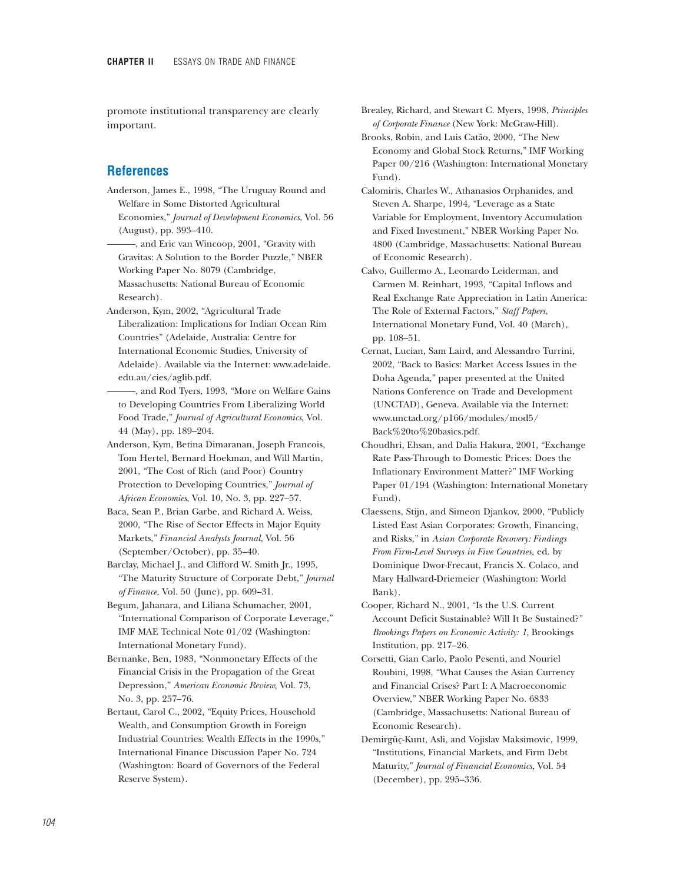promote institutional transparency are clearly important.

## **References**

- Anderson, James E., 1998, "The Uruguay Round and Welfare in Some Distorted Agricultural Economies," *Journal of Development Economics*, Vol. 56 (August), pp. 393–410.
- ———, and Eric van Wincoop, 2001, "Gravity with Gravitas: A Solution to the Border Puzzle," NBER Working Paper No. 8079 (Cambridge, Massachusetts: National Bureau of Economic Research).
- Anderson, Kym, 2002, "Agricultural Trade Liberalization: Implications for Indian Ocean Rim Countries" (Adelaide, Australia: Centre for International Economic Studies, University of Adelaide). Available via the Internet: www.adelaide. edu.au/cies/aglib.pdf.
- ———, and Rod Tyers, 1993, "More on Welfare Gains to Developing Countries From Liberalizing World Food Trade," *Journal of Agricultural Economics*, Vol. 44 (May), pp. 189–204.
- Anderson, Kym, Betina Dimaranan, Joseph Francois, Tom Hertel, Bernard Hoekman, and Will Martin, 2001, "The Cost of Rich (and Poor) Country Protection to Developing Countries," *Journal of African Economies*, Vol. 10, No. 3, pp. 227–57.
- Baca, Sean P., Brian Garbe, and Richard A. Weiss, 2000, "The Rise of Sector Effects in Major Equity Markets," *Financial Analysts Journal,* Vol. 56 (September/October), pp. 35–40.
- Barclay, Michael J., and Clifford W. Smith Jr., 1995, "The Maturity Structure of Corporate Debt," *Journal of Finance,* Vol. 50 (June), pp. 609–31.
- Begum, Jahanara, and Liliana Schumacher, 2001, "International Comparison of Corporate Leverage," IMF MAE Technical Note 01/02 (Washington: International Monetary Fund).
- Bernanke, Ben, 1983, "Nonmonetary Effects of the Financial Crisis in the Propagation of the Great Depression," *American Economic Review,* Vol. 73, No. 3, pp. 257–76.
- Bertaut, Carol C., 2002, "Equity Prices, Household Wealth, and Consumption Growth in Foreign Industrial Countries: Wealth Effects in the 1990s," International Finance Discussion Paper No. 724 (Washington: Board of Governors of the Federal Reserve System).

Brealey, Richard, and Stewart C. Myers, 1998, *Principles of Corporate Finance* (New York: McGraw-Hill).

- Brooks, Robin, and Luis Catão, 2000, "The New Economy and Global Stock Returns," IMF Working Paper 00/216 (Washington: International Monetary Fund).
- Calomiris, Charles W., Athanasios Orphanides, and Steven A. Sharpe, 1994, "Leverage as a State Variable for Employment, Inventory Accumulation and Fixed Investment," NBER Working Paper No. 4800 (Cambridge, Massachusetts: National Bureau of Economic Research).
- Calvo, Guillermo A., Leonardo Leiderman, and Carmen M. Reinhart, 1993, "Capital Inflows and Real Exchange Rate Appreciation in Latin America: The Role of External Factors," *Staff Papers*, International Monetary Fund, Vol. 40 (March), pp. 108–51.
- Cernat, Lucian, Sam Laird, and Alessandro Turrini, 2002, "Back to Basics: Market Access Issues in the Doha Agenda," paper presented at the United Nations Conference on Trade and Development (UNCTAD), Geneva. Available via the Internet: www.unctad.org/p166/modules/mod5/ Back%20to%20basics.pdf.
- Choudhri, Ehsan, and Dalia Hakura, 2001, "Exchange Rate Pass-Through to Domestic Prices: Does the Inflationary Environment Matter?" IMF Working Paper 01/194 (Washington: International Monetary Fund).
- Claessens, Stijn, and Simeon Djankov, 2000, "Publicly Listed East Asian Corporates: Growth, Financing, and Risks," in *Asian Corporate Recovery: Findings From Firm-Level Surveys in Five Countries,* ed. by Dominique Dwor-Frecaut, Francis X. Colaco, and Mary Hallward-Driemeier (Washington: World Bank).
- Cooper, Richard N., 2001, "Is the U.S. Current Account Deficit Sustainable? Will It Be Sustained?" *Brookings Papers on Economic Activity: 1*, Brookings Institution, pp. 217–26.
- Corsetti, Gian Carlo, Paolo Pesenti, and Nouriel Roubini, 1998, "What Causes the Asian Currency and Financial Crises? Part I: A Macroeconomic Overview," NBER Working Paper No. 6833 (Cambridge, Massachusetts: National Bureau of Economic Research).
- Demirgüç-Kunt, Asli, and Vojislav Maksimovic, 1999, "Institutions, Financial Markets, and Firm Debt Maturity," *Journal of Financial Economics,* Vol. 54 (December), pp. 295–336.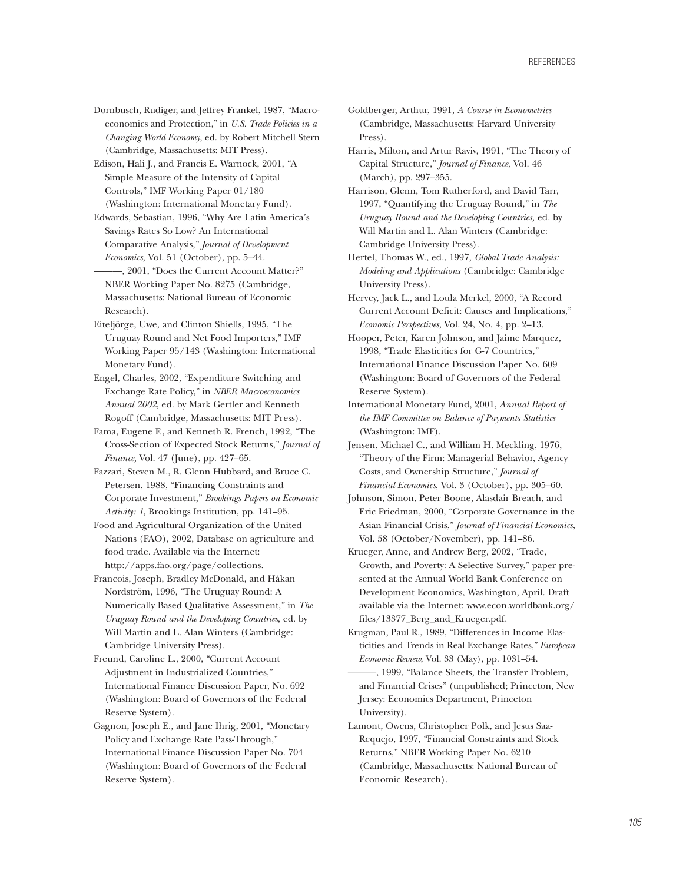Dornbusch, Rudiger, and Jeffrey Frankel, 1987, "Macroeconomics and Protection," in *U.S. Trade Policies in a Changing World Economy*, ed. by Robert Mitchell Stern (Cambridge, Massachusetts: MIT Press).

Edison, Hali J., and Francis E. Warnock, 2001, "A Simple Measure of the Intensity of Capital Controls," IMF Working Paper 01/180 (Washington: International Monetary Fund).

Edwards, Sebastian, 1996, "Why Are Latin America's Savings Rates So Low? An International Comparative Analysis," *Journal of Development Economics*, Vol. 51 (October), pp. 5–44.

———, 2001, "Does the Current Account Matter?" NBER Working Paper No. 8275 (Cambridge, Massachusetts: National Bureau of Economic Research).

Eiteljörge, Uwe, and Clinton Shiells, 1995, "The Uruguay Round and Net Food Importers," IMF Working Paper 95/143 (Washington: International Monetary Fund).

Engel, Charles, 2002, "Expenditure Switching and Exchange Rate Policy," in *NBER Macroeconomics Annual 2002*, ed. by Mark Gertler and Kenneth Rogoff (Cambridge, Massachusetts: MIT Press).

Fama, Eugene F., and Kenneth R. French, 1992, "The Cross-Section of Expected Stock Returns," *Journal of Finance,* Vol. 47 (June), pp. 427–65.

Fazzari, Steven M., R. Glenn Hubbard, and Bruce C. Petersen, 1988, "Financing Constraints and Corporate Investment," *Brookings Papers on Economic Activity: 1*, Brookings Institution, pp. 141–95.

Food and Agricultural Organization of the United Nations (FAO), 2002, Database on agriculture and food trade. Available via the Internet: http://apps.fao.org/page/collections.

Francois, Joseph, Bradley McDonald, and Håkan Nordström, 1996, "The Uruguay Round: A Numerically Based Qualitative Assessment," in *The Uruguay Round and the Developing Countries*, ed. by Will Martin and L. Alan Winters (Cambridge: Cambridge University Press).

Freund, Caroline L., 2000, "Current Account Adjustment in Industrialized Countries," International Finance Discussion Paper, No. 692 (Washington: Board of Governors of the Federal Reserve System).

Gagnon, Joseph E., and Jane Ihrig, 2001, "Monetary Policy and Exchange Rate Pass-Through," International Finance Discussion Paper No. 704 (Washington: Board of Governors of the Federal Reserve System).

Goldberger, Arthur, 1991, *A Course in Econometrics* (Cambridge, Massachusetts: Harvard University Press).

Harris, Milton, and Artur Raviv, 1991, "The Theory of Capital Structure," *Journal of Finance,* Vol. 46 (March), pp. 297–355.

Harrison, Glenn, Tom Rutherford, and David Tarr, 1997, "Quantifying the Uruguay Round," in *The Uruguay Round and the Developing Countries,* ed. by Will Martin and L. Alan Winters (Cambridge: Cambridge University Press).

Hertel, Thomas W., ed., 1997, *Global Trade Analysis: Modeling and Applications* (Cambridge: Cambridge University Press).

Hervey, Jack L., and Loula Merkel, 2000, "A Record Current Account Deficit: Causes and Implications," *Economic Perspectives*, Vol. 24, No. 4, pp. 2–13.

Hooper, Peter, Karen Johnson, and Jaime Marquez, 1998, "Trade Elasticities for G-7 Countries," International Finance Discussion Paper No. 609 (Washington: Board of Governors of the Federal Reserve System).

International Monetary Fund, 2001, *Annual Report of the IMF Committee on Balance of Payments Statistics* (Washington: IMF).

Jensen, Michael C., and William H. Meckling, 1976, "Theory of the Firm: Managerial Behavior, Agency Costs, and Ownership Structure," *Journal of Financial Economics*, Vol. 3 (October), pp. 305–60.

Johnson, Simon, Peter Boone, Alasdair Breach, and Eric Friedman, 2000, "Corporate Governance in the Asian Financial Crisis," *Journal of Financial Economics*, Vol. 58 (October/November), pp. 141–86.

Krueger, Anne, and Andrew Berg, 2002, "Trade, Growth, and Poverty: A Selective Survey," paper presented at the Annual World Bank Conference on Development Economics, Washington, April. Draft available via the Internet: www.econ.worldbank.org/ files/13377\_Berg\_and\_Krueger.pdf*.*

Krugman, Paul R., 1989, "Differences in Income Elasticities and Trends in Real Exchange Rates," *European Economic Review,* Vol. 33 (May), pp. 1031–54.

———, 1999, "Balance Sheets, the Transfer Problem, and Financial Crises" (unpublished; Princeton, New Jersey: Economics Department, Princeton University).

Lamont, Owens, Christopher Polk, and Jesus Saa-Requejo, 1997, "Financial Constraints and Stock Returns," NBER Working Paper No. 6210 (Cambridge, Massachusetts: National Bureau of Economic Research).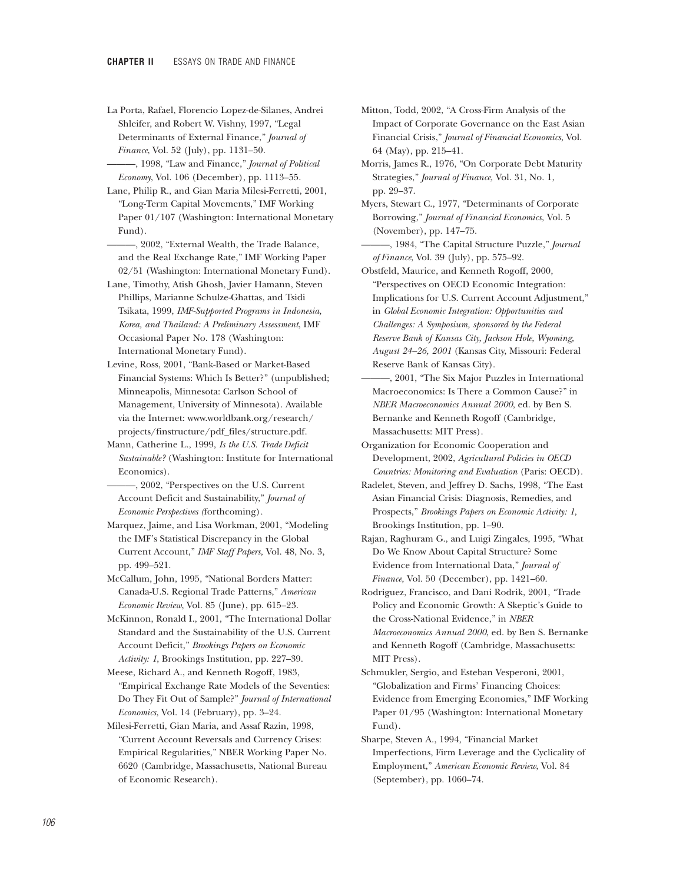- La Porta, Rafael, Florencio Lopez-de-Silanes, Andrei Shleifer, and Robert W. Vishny, 1997, "Legal Determinants of External Finance," *Journal of Finance*, Vol. 52 (July), pp. 1131–50.
- ———, 1998, "Law and Finance," *Journal of Political Economy*, Vol. 106 (December), pp. 1113–55.

Lane, Philip R., and Gian Maria Milesi-Ferretti, 2001, "Long-Term Capital Movements," IMF Working Paper 01/107 (Washington: International Monetary Fund).

- -, 2002, "External Wealth, the Trade Balance, and the Real Exchange Rate," IMF Working Paper 02/51 (Washington: International Monetary Fund).
- Lane, Timothy, Atish Ghosh, Javier Hamann, Steven Phillips, Marianne Schulze-Ghattas, and Tsidi Tsikata, 1999, *IMF-Supported Programs in Indonesia, Korea, and Thailand: A Preliminary Assessment*, IMF Occasional Paper No. 178 (Washington: International Monetary Fund).
- Levine, Ross, 2001, "Bank-Based or Market-Based Financial Systems: Which Is Better?" (unpublished; Minneapolis, Minnesota: Carlson School of Management, University of Minnesota). Available via the Internet: www.worldbank.org/research/ projects/finstructure/pdf\_files/structure.pdf.
- Mann, Catherine L., 1999, *Is the U.S. Trade Deficit Sustainable?* (Washington: Institute for International Economics).
- ———, 2002, "Perspectives on the U.S. Current Account Deficit and Sustainability," *Journal of Economic Perspectives (*forthcoming)*.*
- Marquez, Jaime, and Lisa Workman, 2001, "Modeling the IMF's Statistical Discrepancy in the Global Current Account," *IMF Staff Papers,* Vol. 48, No. 3, pp. 499–521.

McCallum, John, 1995, "National Borders Matter: Canada-U.S. Regional Trade Patterns," *American Economic Review*, Vol. 85 (June), pp. 615–23.

McKinnon, Ronald I., 2001, "The International Dollar Standard and the Sustainability of the U.S. Current Account Deficit," *Brookings Papers on Economic Activity: 1*, Brookings Institution, pp. 227–39.

Meese, Richard A., and Kenneth Rogoff, 1983, "Empirical Exchange Rate Models of the Seventies: Do They Fit Out of Sample?" *Journal of International Economics*, Vol. 14 (February), pp. 3–24.

Milesi-Ferretti, Gian Maria, and Assaf Razin, 1998, "Current Account Reversals and Currency Crises: Empirical Regularities," NBER Working Paper No. 6620 (Cambridge, Massachusetts, National Bureau of Economic Research).

- Mitton, Todd, 2002, "A Cross-Firm Analysis of the Impact of Corporate Governance on the East Asian Financial Crisis," *Journal of Financial Economics*, Vol. 64 (May), pp. 215–41.
- Morris, James R., 1976, "On Corporate Debt Maturity Strategies," *Journal of Finance,* Vol. 31, No. 1, pp. 29–37.

Myers, Stewart C., 1977, "Determinants of Corporate Borrowing," *Journal of Financial Economics,* Vol. 5 (November), pp. 147–75.

———, 1984, "The Capital Structure Puzzle," *Journal of Finance*, Vol. 39 (July), pp. 575–92.

Obstfeld, Maurice, and Kenneth Rogoff, 2000, "Perspectives on OECD Economic Integration: Implications for U.S. Current Account Adjustment," in *Global Economic Integration: Opportunities and Challenges: A Symposium, sponsored by the Federal Reserve Bank of Kansas City, Jackson Hole, Wyoming, August 24–26, 2001* (Kansas City, Missouri: Federal Reserve Bank of Kansas City).

———, 2001, "The Six Major Puzzles in International Macroeconomics: Is There a Common Cause?" in *NBER Macroeconomics Annual 2000*, ed. by Ben S. Bernanke and Kenneth Rogoff (Cambridge, Massachusetts: MIT Press).

Organization for Economic Cooperation and Development, 2002, *Agricultural Policies in OECD Countries: Monitoring and Evaluation* (Paris: OECD).

Radelet, Steven, and Jeffrey D. Sachs, 1998, "The East Asian Financial Crisis: Diagnosis, Remedies, and Prospects," *Brookings Papers on Economic Activity: 1,* Brookings Institution, pp. 1–90.

Rajan, Raghuram G., and Luigi Zingales, 1995, "What Do We Know About Capital Structure? Some Evidence from International Data," *Journal of Finance,* Vol. 50 (December), pp. 1421–60.

Rodriguez, Francisco, and Dani Rodrik, 2001, "Trade Policy and Economic Growth: A Skeptic's Guide to the Cross-National Evidence," in *NBER Macroeconomics Annual 2000*, ed. by Ben S. Bernanke and Kenneth Rogoff (Cambridge, Massachusetts: MIT Press).

- Schmukler, Sergio, and Esteban Vesperoni, 2001, "Globalization and Firms' Financing Choices: Evidence from Emerging Economies," IMF Working Paper 01/95 (Washington: International Monetary Fund).
- Sharpe, Steven A., 1994, "Financial Market Imperfections, Firm Leverage and the Cyclicality of Employment," *American Economic Review*, Vol. 84 (September), pp. 1060–74.